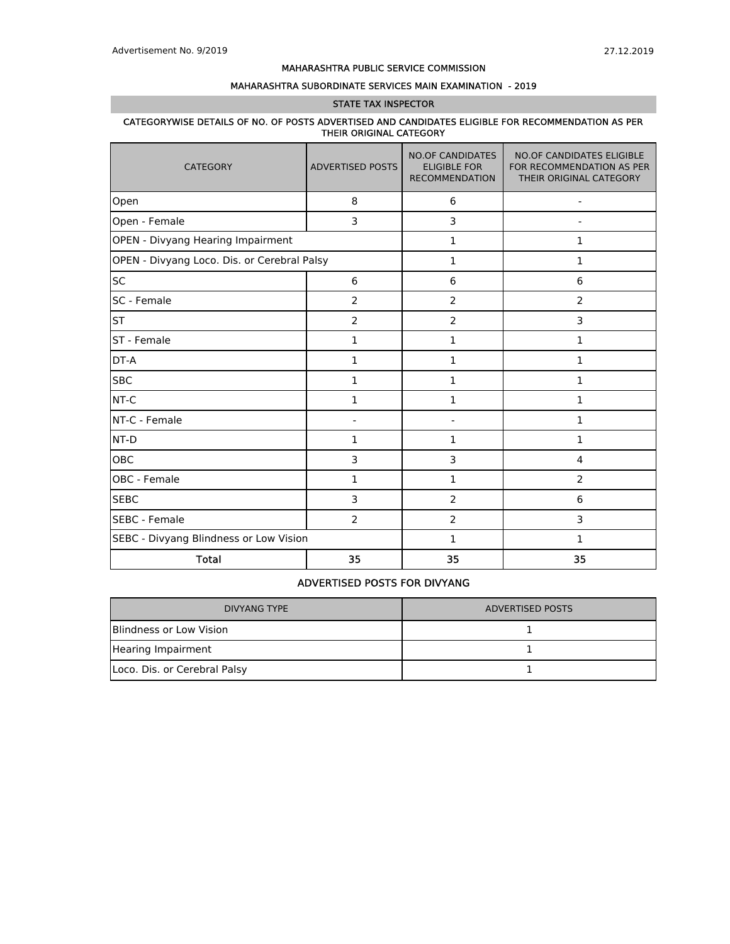### MAHARASHTRA SUBORDINATE SERVICES MAIN EXAMINATION - 2019

#### STATE TAX INSPECTOR

#### CATEGORYWISE DETAILS OF NO. OF POSTS ADVERTISED AND CANDIDATES ELIGIBLE FOR RECOMMENDATION AS PER THEIR ORIGINAL CATEGORY

| <b>CATEGORY</b>                             | <b>ADVERTISED POSTS</b> | <b>NO.OF CANDIDATES</b><br><b>ELIGIBLE FOR</b><br><b>RECOMMENDATION</b> | <b>NO.OF CANDIDATES ELIGIBLE</b><br>FOR RECOMMENDATION AS PER<br>THEIR ORIGINAL CATEGORY |  |  |
|---------------------------------------------|-------------------------|-------------------------------------------------------------------------|------------------------------------------------------------------------------------------|--|--|
| Open                                        | 8                       | 6                                                                       | $\qquad \qquad \blacksquare$                                                             |  |  |
| Open - Female                               | 3                       | 3                                                                       |                                                                                          |  |  |
| OPEN - Divyang Hearing Impairment           |                         | 1                                                                       | $\mathbf{1}$                                                                             |  |  |
| OPEN - Divyang Loco. Dis. or Cerebral Palsy |                         | $\mathbf 1$                                                             | $\mathbf{1}$                                                                             |  |  |
| SC                                          | 6                       | 6                                                                       | 6                                                                                        |  |  |
| SC - Female                                 | 2                       | $\overline{2}$                                                          | $\overline{2}$                                                                           |  |  |
| <b>ST</b>                                   | 2                       | $\overline{2}$                                                          | 3                                                                                        |  |  |
| ST - Female                                 | $\mathbf{1}$            | 1                                                                       | 1                                                                                        |  |  |
| DT-A                                        | 1                       | 1                                                                       | 1                                                                                        |  |  |
| <b>SBC</b>                                  | 1                       | 1                                                                       | 1                                                                                        |  |  |
| NT-C                                        | 1                       | 1                                                                       | $\mathbf{1}$                                                                             |  |  |
| NT-C - Female                               |                         |                                                                         | 1                                                                                        |  |  |
| NT-D                                        | $\mathbf{1}$            | $\mathbf 1$                                                             | 1                                                                                        |  |  |
| OBC                                         | 3                       | 3                                                                       | 4                                                                                        |  |  |
| OBC - Female                                | 1                       | 1                                                                       | 2                                                                                        |  |  |
| <b>SEBC</b>                                 | 3                       | 2                                                                       | 6                                                                                        |  |  |
| <b>SEBC</b> - Female                        | 2                       | $\overline{2}$                                                          | 3                                                                                        |  |  |
| SEBC - Divyang Blindness or Low Vision      |                         | 1                                                                       | 1                                                                                        |  |  |
| <b>Total</b>                                | 35                      | 35                                                                      | 35                                                                                       |  |  |

### ADVERTISED POSTS FOR DIVYANG

| <b>DIVYANG TYPE</b>          | ADVERTISED POSTS |
|------------------------------|------------------|
| Blindness or Low Vision      |                  |
| Hearing Impairment           |                  |
| Loco. Dis. or Cerebral Palsy |                  |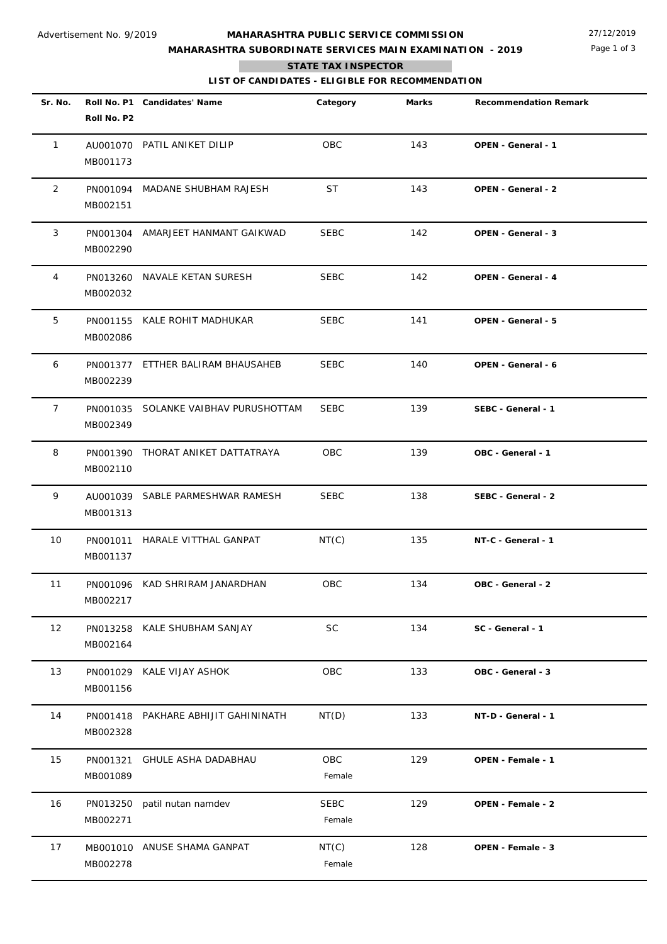## **MAHARASHTRA SUBORDINATE SERVICES MAIN EXAMINATION - 2019**

Page 1 of 3

### **STATE TAX INSPECTOR**

**The State** 

**LIST OF CANDIDATES - ELIGIBLE FOR RECOMMENDATION**

| Sr. No.        | Roll No. P2          | Roll No. P1 Candidates' Name         | Category              | Marks | <b>Recommendation Remark</b> |
|----------------|----------------------|--------------------------------------|-----------------------|-------|------------------------------|
| $\mathbf{1}$   | MB001173             | AU001070 PATIL ANIKET DILIP          | OBC                   | 143   | OPEN - General - 1           |
| 2              | PN001094<br>MB002151 | MADANE SHUBHAM RAJESH                | ST                    | 143   | OPEN - General - 2           |
| 3              | MB002290             | PN001304 AMARJEET HANMANT GAIKWAD    | <b>SEBC</b>           | 142   | OPEN - General - 3           |
| 4              | PN013260<br>MB002032 | NAVALE KETAN SURESH                  | <b>SEBC</b>           | 142   | OPEN - General - 4           |
| 5              | MB002086             | PN001155 KALE ROHIT MADHUKAR         | <b>SEBC</b>           | 141   | OPEN - General - 5           |
| 6              | PN001377<br>MB002239 | ETTHER BALIRAM BHAUSAHEB             | <b>SEBC</b>           | 140   | <b>OPEN - General - 6</b>    |
| $\overline{7}$ | MB002349             | PN001035 SOLANKE VAIBHAV PURUSHOTTAM | <b>SEBC</b>           | 139   | SEBC - General - 1           |
| 8              | PN001390<br>MB002110 | THORAT ANIKET DATTATRAYA             | <b>OBC</b>            | 139   | OBC - General - 1            |
| 9              | MB001313             | AU001039 SABLE PARMESHWAR RAMESH     | <b>SEBC</b>           | 138   | SEBC - General - 2           |
| 10             | PN001011<br>MB001137 | HARALE VITTHAL GANPAT                | NT(C)                 | 135   | NT-C - General - 1           |
| 11             | MB002217             | PN001096 KAD SHRIRAM JANARDHAN       | OBC                   | 134   | OBC - General - 2            |
| 12             | PN013258<br>MB002164 | KALE SHUBHAM SANJAY                  | <b>SC</b>             | 134   | SC - General - 1             |
| 13             | PN001029<br>MB001156 | KALE VIJAY ASHOK                     | OBC                   | 133   | OBC - General - 3            |
| 14             | PN001418<br>MB002328 | PAKHARE ABHIJIT GAHININATH           | NT(D)                 | 133   | NT-D - General - 1           |
| 15             | PN001321<br>MB001089 | <b>GHULE ASHA DADABHAU</b>           | OBC<br>Female         | 129   | OPEN - Female - 1            |
| 16             | PN013250<br>MB002271 | patil nutan namdev                   | <b>SEBC</b><br>Female | 129   | OPEN - Female - 2            |
| 17             | MB001010<br>MB002278 | ANUSE SHAMA GANPAT                   | NT(C)<br>Female       | 128   | OPEN - Female - 3            |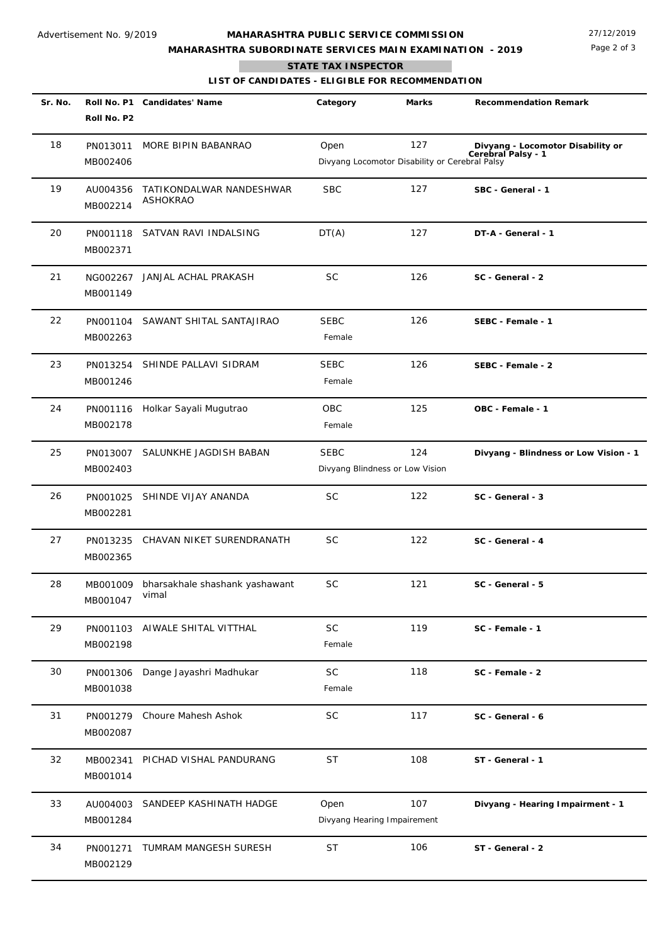## **MAHARASHTRA SUBORDINATE SERVICES MAIN EXAMINATION - 2019**

Page 2 of 3

**STATE TAX INSPECTOR**

**The State** 

**LIST OF CANDIDATES - ELIGIBLE FOR RECOMMENDATION**

| Sr. No. | Roll No. P2          | Roll No. P1 Candidates' Name                     | Category                            | Marks                                                 | <b>Recommendation Remark</b>                            |
|---------|----------------------|--------------------------------------------------|-------------------------------------|-------------------------------------------------------|---------------------------------------------------------|
| 18      | PN013011<br>MB002406 | MORE BIPIN BABANRAO                              | Open                                | 127<br>Divyang Locomotor Disability or Cerebral Palsy | Divyang - Locomotor Disability or<br>Cerebral Palsy - 1 |
| 19      | AU004356<br>MB002214 | TATIKONDALWAR NANDESHWAR<br><b>ASHOKRAO</b>      | <b>SBC</b>                          | 127                                                   | SBC - General - 1                                       |
| 20      | PN001118<br>MB002371 | SATVAN RAVI INDALSING                            | DT(A)                               | 127                                                   | DT-A - General - 1                                      |
| 21      | NG002267<br>MB001149 | JANJAL ACHAL PRAKASH                             | <b>SC</b>                           | 126                                                   | SC - General - 2                                        |
| 22      | PN001104<br>MB002263 | SAWANT SHITAL SANTAJIRAO                         | <b>SEBC</b><br>Female               | 126                                                   | SEBC - Female - 1                                       |
| 23      | PN013254<br>MB001246 | SHINDE PALLAVI SIDRAM                            | <b>SEBC</b><br>Female               | 126                                                   | SEBC - Female - 2                                       |
| 24      | PN001116<br>MB002178 | Holkar Sayali Mugutrao                           | OBC<br>Female                       | 125                                                   | OBC - Female - 1                                        |
| 25      | PN013007<br>MB002403 | SALUNKHE JAGDISH BABAN                           | <b>SEBC</b>                         | 124<br>Divyang Blindness or Low Vision                | Divyang - Blindness or Low Vision - 1                   |
| 26      | PN001025<br>MB002281 | SHINDE VIJAY ANANDA                              | <b>SC</b>                           | 122                                                   | SC - General - 3                                        |
| 27      | PN013235<br>MB002365 | CHAVAN NIKET SURENDRANATH                        | <b>SC</b>                           | 122                                                   | SC - General - 4                                        |
| 28      | MB001047             | MB001009 bharsakhale shashank yashawant<br>vimal | <b>SC</b>                           | 121                                                   | SC - General - 5                                        |
| 29      | PN001103<br>MB002198 | AIWALE SHITAL VITTHAL                            | SC<br>Female                        | 119                                                   | SC - Female - 1                                         |
| 30      | PN001306<br>MB001038 | Dange Jayashri Madhukar                          | <b>SC</b><br>Female                 | 118                                                   | SC - Female - 2                                         |
| 31      | PN001279<br>MB002087 | Choure Mahesh Ashok                              | SC                                  | 117                                                   | SC - General - 6                                        |
| 32      | MB002341<br>MB001014 | PICHAD VISHAL PANDURANG                          | ST                                  | 108                                                   | ST - General - 1                                        |
| 33      | AU004003<br>MB001284 | SANDEEP KASHINATH HADGE                          | Open<br>Divyang Hearing Impairement | 107                                                   | Divyang - Hearing Impairment - 1                        |
| 34      | PN001271<br>MB002129 | TUMRAM MANGESH SURESH                            | <b>ST</b>                           | 106                                                   | ST - General - 2                                        |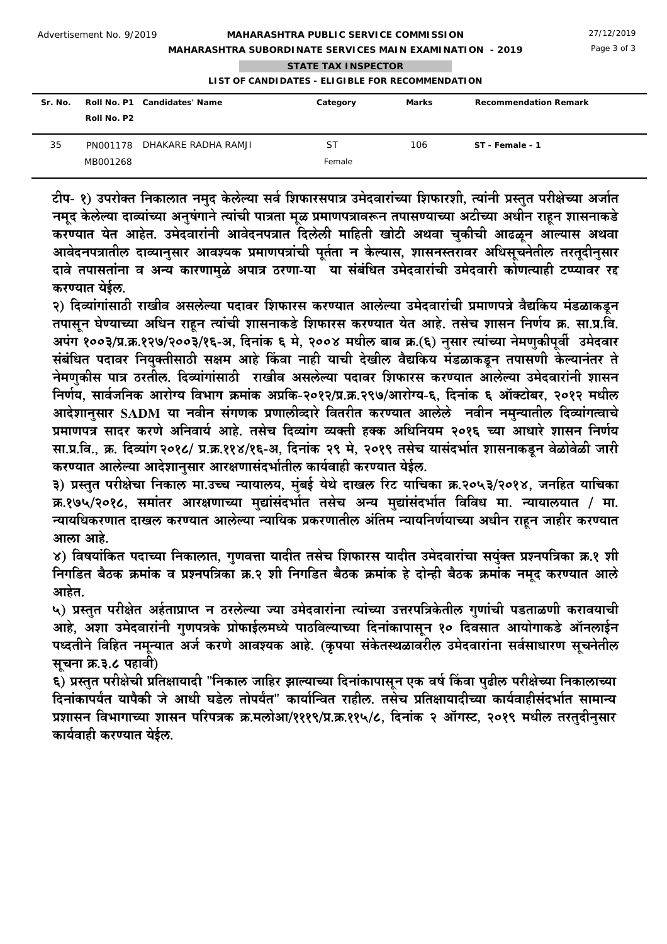**MAHARASHTRA SUBORDINATE SERVICES MAIN EXAMINATION - 2019**

Page 3 of 3

|  | <b>STATE TAX INSPECTOR</b> |  |
|--|----------------------------|--|

## **LIST OF CANDIDATES - ELIGIBLE FOR RECOMMENDATION**

| Sr. No. | Roll No. P2 | Roll No. P1 Candidates' Name | Category            | Marks | <b>Recommendation Remark</b> |
|---------|-------------|------------------------------|---------------------|-------|------------------------------|
| 35      | MB001268    | PN001178 DHAKARE RADHA RAMJI | <b>ST</b><br>Female | 106   | ST - Female - 1              |

टीप- १) उपरोक्त निकालात नमुद केलेल्या सर्व शिफारसपात्र उमेदवारांच्या शिफारशी, त्यांनी प्रस्तुत परीक्षेच्या अर्जात नमुद केलेल्या दाव्यांच्या अनुषंगाने त्यांची पात्रता मुळ प्रमाणपत्रावरून तपासण्याच्या अटीच्या अधीन राहन शासनाकडे करण्यात येत आहेत. उमेदवारांनी आवेदनपत्रात दिलेली माहिती खोटी अथवा चुकीची आढळून आल्यास अथवा आवेदनपत्रातील दाव्यानुसार आवश्यक प्रमाणपत्रांची पुर्तता न केल्यास, शासनस्तरावर अधिसूचनेतील तरतुदीनुसार दावे तपासतांना व अन्य कारणामळे अपात्र ठरणा-या ेया संबंधित उमेदवारांची उमेदवारी कोणत्याही टप्प्यावर रद्द करण्यात येईल.

२) दिव्यांगांसाठी राखीव असलेल्या पदावर शिफारस करण्यात आलेल्या उमेदवारांची प्रमाणपत्रे वैद्यकिय मंडळाकडून तपासून घेण्याच्या अधिन राहून त्यांची शासनाकडे शिफारस करण्यात येत आहे. तसेच शासन निर्णय क्र. सा.प्र.वि. अपंग १००३/प्र.क्र.१२७/२००३/१६-अ, दिनांक ६ मे, २००४ मधील बाब क्र.(६) नुसार त्यांच्या नेमणुकीपूर्वी उमेदवार संबंधित पदावर नियुक्तीसाठी सक्षम आहे किंवा नाही याची देखील वैद्यकिय मंडळाकडून तपासणी केल्यानंतर ते नेमणुकीस पात्र ठरतील. दिव्यांगांसाठी राखीव असलेल्या पदावर शिफारस करण्यात आलेल्या उमेदवारांनी शासन निर्णय, सार्वजनिक आरोग्य विभाग क्रमांक अप्रकि-२०१२/प्र.क्र.२९७/आरोग्य-६, दिनांक ६ ऑक्टोबर, २०१२ मधील आदेशानसार SADM या नवीन संगणक प्रणालीव्दारे वितरीत करण्यात आलेले नवीन नमन्यातील दिव्यांगत्वाचे प्रमाणपत्र सादर करणे अनिवार्य आहे. तसेच दिव्यांग व्यक्ती हक्क अधिनियम २०१६ च्या आधारे शासन निर्णय सा.प्र.वि.. क्र. दिव्यांग २०१८/ प्र.क्र.११४/१६-अ. दिनांक २९ मे. २०१९ तसेच यासंदर्भात शासनाकडून वेळोवेळी जारी करण्यात आलेल्या आदेशानुसार आरक्षणासंदर्भातील कार्यवाही करण्यात येईल.

३) प्रस्तुत परीक्षेचा निकाल मा.उच्च न्यायालय, मुंबई येथे दाखल रिट याचिका क्र.२०५३/२०१४, जनहित याचिका क्र.१७५/२०१८, समांतर आरक्षणाच्या मुद्यांसंदर्भात तसेच अन्य मुद्यांसंदर्भात विविध मा. न्यायालयात / मा. न्यायधिकरणात दाखल करण्यात आलेल्या न्यायिक प्रकरणातील अंतिम न्यायनिर्णयाच्या अधीन राहून जाहीर करण्यात आला आहे.

४) विषयांकित पदाच्या निकालात, गुणवत्ता यादीत तसेच शिफारस यादीत उमेदवारांचा सयुंक्त प्रश्नपत्रिका क्र.१ शी निगडित बैठक क्रमांक व प्रश्नपत्रिका क्र.२ शी निगडित बैठक क्रमांक हे दोन्ही बैठक क्रमांक नमुद करण्यात आले आहेत

५) प्रस्तत परीक्षेत अर्हताप्राप्त न ठरलेल्या ज्या उमेदवारांना त्यांच्या उत्तरपत्रिकेतील गणांची पडताळणी करावयाची आहे, अशा उमेदवारांनी गुणपत्रके प्रोफाईलमध्ये पाठविल्याच्या दिनांकापासून १० दिवसात आयोगाकडे ऑनलाईन पध्दतीने विहित नमून्यात अर्ज करणे आवश्यक आहे. (कृपया संकेतस्थळावरील उमेदवारांना सर्वसाधारण सूचनेतील सचना क्र.३.८ पहावी)

६) प्रस्तत परीक्षेची प्रतिक्षायादी "निकाल जाहिर झाल्याच्या दिनांकापासन एक वर्ष किंवा पढील परीक्षेच्या निकालाच्या दिनांकापर्यंत यापैकी जे आधी घडेल तोपर्यंत" कार्यान्वित राहील. तसेच प्रतिक्षायादीच्या कार्यवाहीसंदर्भात सामान्य प्रशासन विभागाच्या शासन परिपत्रक क्र.मलोआ/१११९/प्र.क्र.११५/८, दिनांक २ ऑगस्ट, २०१९ मधील तरतदीनुसार कार्यवाही करण्यात येईल.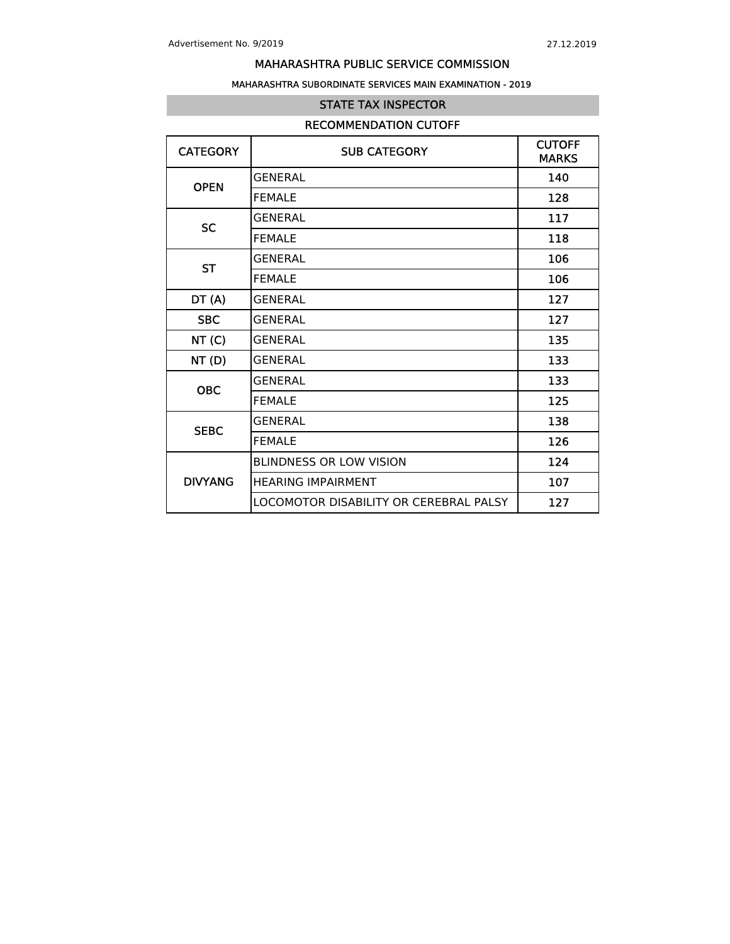### MAHARASHTRA SUBORDINATE SERVICES MAIN EXAMINATION - 2019

### STATE TAX INSPECTOR

### RECOMMENDATION CUTOFF

| <b>CATEGORY</b> | <b>SUB CATEGORY</b>                    | <b>CUTOFF</b><br><b>MARKS</b> |
|-----------------|----------------------------------------|-------------------------------|
| <b>OPEN</b>     | GENERAI                                | 140                           |
|                 | <b>FEMALE</b>                          | 128                           |
| <b>SC</b>       | GENERAI                                | 117                           |
|                 | <b>FEMALE</b>                          | 118                           |
| <b>ST</b>       | <b>GENERAL</b>                         | 106                           |
|                 | <b>FEMALE</b>                          | 106                           |
| DT(A)           | <b>GENERAL</b>                         | 127                           |
| <b>SBC</b>      | <b>GENERAL</b>                         | 127                           |
| NT(C)           | <b>GENERAL</b>                         | 135                           |
| NT(D)           | GENERAL                                | 133                           |
| <b>OBC</b>      | GENERAL                                | 133                           |
|                 | <b>FEMALE</b>                          | 125                           |
| <b>SEBC</b>     | <b>GENERAL</b>                         | 138                           |
|                 | <b>FEMALE</b>                          | 126                           |
|                 | <b>BLINDNESS OR LOW VISION</b>         | 124                           |
| <b>DIVYANG</b>  | <b>HEARING IMPAIRMENT</b>              | 107                           |
|                 | LOCOMOTOR DISABILITY OR CEREBRAL PALSY | 127                           |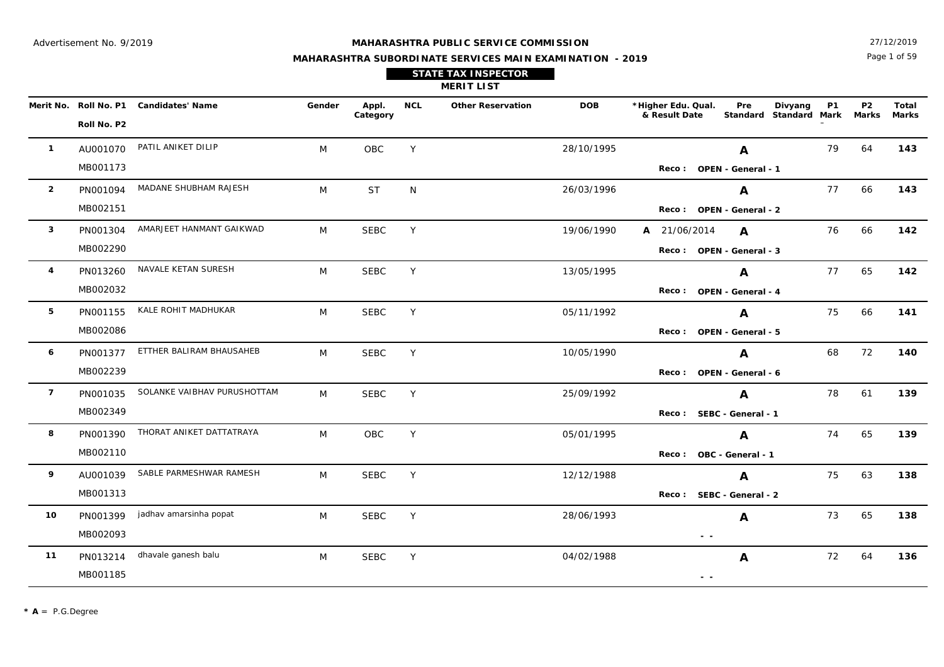Page 1 of 59 27/12/2019

## **MAHARASHTRA SUBORDINATE SERVICES MAIN EXAMINATION - 2019 STATE TAX INSPECTOR**

**MERIT LIST**

|                | Roll No. P2 | Merit No. Roll No. P1 Candidates' Name | Gender | Appl.<br>Category | <b>NCL</b> | <b>Other Reservation</b> | <b>DOB</b> | *Higher Edu. Qual.<br>& Result Date                                               | Pre<br>Standard Standard Mark | Divyang | P1 | P <sub>2</sub><br>Marks | Total<br>Marks |
|----------------|-------------|----------------------------------------|--------|-------------------|------------|--------------------------|------------|-----------------------------------------------------------------------------------|-------------------------------|---------|----|-------------------------|----------------|
| $\mathbf{1}$   | AU001070    | PATIL ANIKET DILIP                     | M      | OBC               | Y          |                          | 28/10/1995 |                                                                                   | $\mathbf{A}$                  |         | 79 | 64                      | 143            |
|                | MB001173    |                                        |        |                   |            |                          |            |                                                                                   | Reco: OPEN - General - 1      |         |    |                         |                |
| $\overline{2}$ | PN001094    | MADANE SHUBHAM RAJESH                  | M      | <b>ST</b>         | N          |                          | 26/03/1996 |                                                                                   | A                             |         | 77 | 66                      | 143            |
|                | MB002151    |                                        |        |                   |            |                          |            |                                                                                   | Reco: OPEN - General - 2      |         |    |                         |                |
| $\mathbf{3}$   | PN001304    | AMARJEET HANMANT GAIKWAD               | M      | <b>SEBC</b>       | Y          |                          | 19/06/1990 | A 21/06/2014                                                                      | $\mathbf{A}$                  |         | 76 | 66                      | 142            |
|                | MB002290    |                                        |        |                   |            |                          |            |                                                                                   | Reco: OPEN - General - 3      |         |    |                         |                |
| 4              | PN013260    | NAVALE KETAN SURESH                    | M      | <b>SEBC</b>       | Y          |                          | 13/05/1995 |                                                                                   | $\mathbf{A}$                  |         | 77 | 65                      | 142            |
|                | MB002032    |                                        |        |                   |            |                          |            |                                                                                   | Reco: OPEN - General - 4      |         |    |                         |                |
| 5              | PN001155    | KALE ROHIT MADHUKAR                    | M      | <b>SEBC</b>       | Y          |                          | 05/11/1992 |                                                                                   | $\mathbf{A}$                  |         | 75 | 66                      | 141            |
|                | MB002086    |                                        |        |                   |            |                          |            |                                                                                   | Reco: OPEN - General - 5      |         |    |                         |                |
| 6              | PN001377    | ETTHER BALIRAM BHAUSAHEB               | M      | <b>SEBC</b>       | Y          |                          | 10/05/1990 |                                                                                   | $\mathbf{A}$                  |         | 68 | 72                      | 140            |
|                | MB002239    |                                        |        |                   |            |                          |            |                                                                                   | Reco: OPEN - General - 6      |         |    |                         |                |
| $\overline{7}$ | PN001035    | SOLANKE VAIBHAV PURUSHOTTAM            | M      | <b>SEBC</b>       | Y          |                          | 25/09/1992 |                                                                                   | $\mathbf{A}$                  |         | 78 | 61                      | 139            |
|                | MB002349    |                                        |        |                   |            |                          |            |                                                                                   | Reco: SEBC - General - 1      |         |    |                         |                |
| 8              | PN001390    | THORAT ANIKET DATTATRAYA               | M      | <b>OBC</b>        | Y          |                          | 05/01/1995 |                                                                                   | $\mathbf{A}$                  |         | 74 | 65                      | 139            |
|                | MB002110    |                                        |        |                   |            |                          |            |                                                                                   | Reco: OBC - General - 1       |         |    |                         |                |
| 9              | AU001039    | SABLE PARMESHWAR RAMESH                | M      | <b>SEBC</b>       | Y          |                          | 12/12/1988 |                                                                                   | $\mathbf{A}$                  |         | 75 | 63                      | 138            |
|                | MB001313    |                                        |        |                   |            |                          |            |                                                                                   | Reco: SEBC - General - 2      |         |    |                         |                |
| 10             | PN001399    | jadhav amarsinha popat                 | M      | <b>SEBC</b>       | Y          |                          | 28/06/1993 |                                                                                   | $\mathbf{A}$                  |         | 73 | 65                      | 138            |
|                | MB002093    |                                        |        |                   |            |                          |            | $\frac{1}{2} \left( \frac{1}{2} \right) = \frac{1}{2} \left( \frac{1}{2} \right)$ |                               |         |    |                         |                |
| 11             | PN013214    | dhavale ganesh balu                    | M      | <b>SEBC</b>       | Y          |                          | 04/02/1988 |                                                                                   | A                             |         | 72 | 64                      | 136            |
|                | MB001185    |                                        |        |                   |            |                          |            | $ -$                                                                              |                               |         |    |                         |                |

 **- -**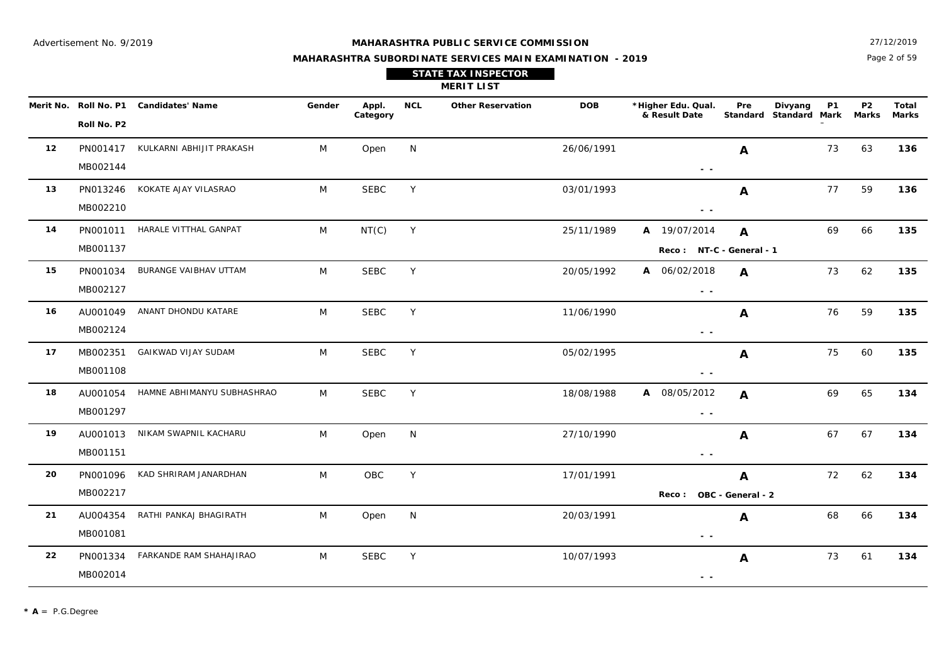Page 2 of 59 27/12/2019

| <b>STATE TAX INSPECTOR</b> |
|----------------------------|
| <b>MERIT LIST</b>          |

|    |             | Merit No. Roll No. P1 Candidates' Name | Gender | Appl.<br>Category | <b>NCL</b> | <b>Other Reservation</b> | <b>DOB</b> | *Higher Edu. Qual.<br>& Result Date | Pre               | Divyang<br>Standard Standard Mark Marks | <b>P1</b> | <b>P2</b> | Total<br><b>Marks</b> |
|----|-------------|----------------------------------------|--------|-------------------|------------|--------------------------|------------|-------------------------------------|-------------------|-----------------------------------------|-----------|-----------|-----------------------|
|    | Roll No. P2 |                                        |        |                   |            |                          |            |                                     |                   |                                         |           |           |                       |
| 12 | PN001417    | KULKARNI ABHIJIT PRAKASH               | M      | Open              | N          |                          | 26/06/1991 |                                     | $\mathbf{A}$      |                                         | 73        | 63        | 136                   |
|    | MB002144    |                                        |        |                   |            |                          |            | $ -$                                |                   |                                         |           |           |                       |
| 13 | PN013246    | KOKATE AJAY VILASRAO                   | M      | <b>SEBC</b>       | Y          |                          | 03/01/1993 |                                     | A                 |                                         | 77        | 59        | 136                   |
|    | MB002210    |                                        |        |                   |            |                          |            | $\sim$ $\sim$                       |                   |                                         |           |           |                       |
| 14 |             | PN001011 HARALE VITTHAL GANPAT         | M      | NT(C)             | Y          |                          | 25/11/1989 | A 19/07/2014                        | A                 |                                         | 69        | 66        | 135                   |
|    | MB001137    |                                        |        |                   |            |                          |            | Reco: NT-C - General - 1            |                   |                                         |           |           |                       |
| 15 | PN001034    | BURANGE VAIBHAV UTTAM                  | M      | <b>SEBC</b>       | Y          |                          | 20/05/1992 | A 06/02/2018                        | $\mathbf{A}$      |                                         | 73        | 62        | 135                   |
|    | MB002127    |                                        |        |                   |            |                          |            | $\sim$ $\sim$                       |                   |                                         |           |           |                       |
| 16 | AU001049    | ANANT DHONDU KATARE                    | M      | <b>SEBC</b>       | Y          |                          | 11/06/1990 |                                     | $\mathbf{A}$      |                                         | 76        | 59        | 135                   |
|    | MB002124    |                                        |        |                   |            |                          |            | $\sim$ $\sim$                       |                   |                                         |           |           |                       |
| 17 | MB002351    | <b>GAIKWAD VIJAY SUDAM</b>             | M      | <b>SEBC</b>       | Y          |                          | 05/02/1995 |                                     | $\mathbf{A}$      |                                         | 75        | 60        | 135                   |
|    | MB001108    |                                        |        |                   |            |                          |            | $\sim$ $-$                          |                   |                                         |           |           |                       |
| 18 | AU001054    | HAMNE ABHIMANYU SUBHASHRAO             | M      | <b>SEBC</b>       | Y          |                          | 18/08/1988 | A 08/05/2012                        | $\mathbf{A}$      |                                         | 69        | 65        | 134                   |
|    | MB001297    |                                        |        |                   |            |                          |            | $\sim$ $\sim$                       |                   |                                         |           |           |                       |
| 19 | AU001013    | NIKAM SWAPNIL KACHARU                  | M      | Open              | N          |                          | 27/10/1990 |                                     | A                 |                                         | 67        | 67        | 134                   |
|    | MB001151    |                                        |        |                   |            |                          |            | $ -$                                |                   |                                         |           |           |                       |
| 20 | PN001096    | KAD SHRIRAM JANARDHAN                  | M      | OBC               | Y          |                          | 17/01/1991 |                                     | $\mathbf{A}$      |                                         | 72        | 62        | 134                   |
|    | MB002217    |                                        |        |                   |            |                          |            | <b>Reco :</b>                       | OBC - General - 2 |                                         |           |           |                       |
| 21 | AU004354    | RATHI PANKAJ BHAGIRATH                 | M      | Open              | N          |                          | 20/03/1991 |                                     | A                 |                                         | 68        | 66        | 134                   |
|    | MB001081    |                                        |        |                   |            |                          |            | $\sim$ $\sim$                       |                   |                                         |           |           |                       |
| 22 | PN001334    | FARKANDE RAM SHAHAJIRAO                | M      | <b>SEBC</b>       | Y          |                          | 10/07/1993 |                                     | A                 |                                         | 73        | 61        | 134                   |
|    | MB002014    |                                        |        |                   |            |                          |            | $ -$                                |                   |                                         |           |           |                       |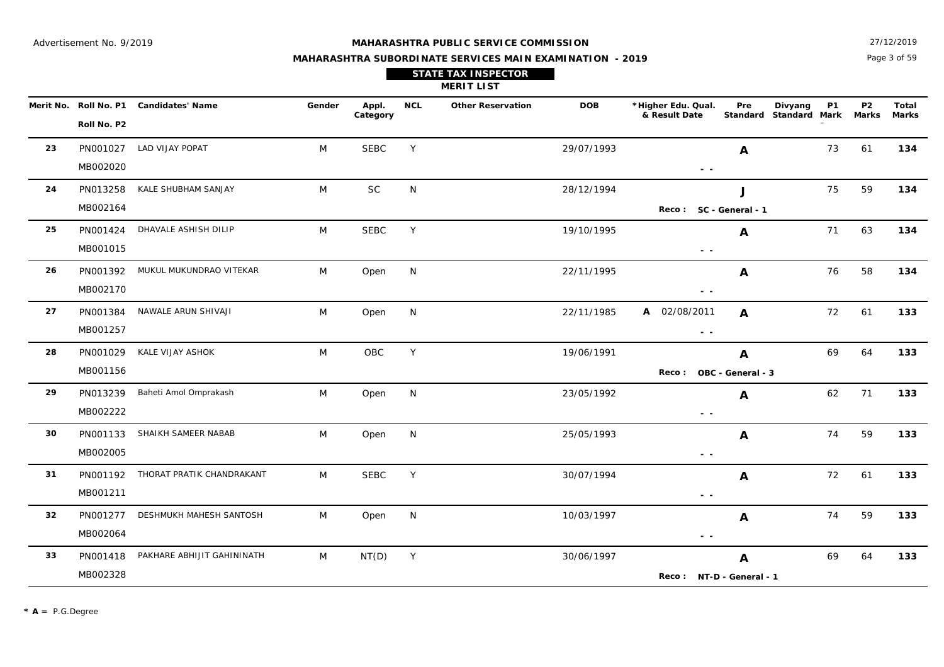Page 3 of 59 27/12/2019

## **MAHARASHTRA SUBORDINATE SERVICES MAIN EXAMINATION - 2019 STATE TAX INSPECTOR**

|    |                      |                                        |        |                   |            | <b>MERIT LIST</b>        |            |                                                                                 |                        |                                                |                    |                       |
|----|----------------------|----------------------------------------|--------|-------------------|------------|--------------------------|------------|---------------------------------------------------------------------------------|------------------------|------------------------------------------------|--------------------|-----------------------|
|    | Roll No. P2          | Merit No. Roll No. P1 Candidates' Name | Gender | Appl.<br>Category | <b>NCL</b> | <b>Other Reservation</b> | <b>DOB</b> | *Higher Edu. Qual.<br>& Result Date                                             | Pre                    | Divyang<br><b>P1</b><br>Standard Standard Mark | <b>P2</b><br>Marks | Total<br><b>Marks</b> |
| 23 | PN001027<br>MB002020 | LAD VIJAY POPAT                        | M      | <b>SEBC</b>       | Y          |                          | 29/07/1993 | $\sim$ $\sim$                                                                   | $\boldsymbol{A}$       | 73                                             | 61                 | 134                   |
| 24 | PN013258<br>MB002164 | KALE SHUBHAM SANJAY                    | M      | SC                | N          |                          | 28/12/1994 | Reco: SC - General - 1                                                          | J                      | 75                                             | 59                 | 134                   |
| 25 | PN001424<br>MB001015 | DHAVALE ASHISH DILIP                   | M      | <b>SEBC</b>       | Y          |                          | 19/10/1995 | $ -$                                                                            | A                      | 71                                             | 63                 | 134                   |
| 26 | PN001392<br>MB002170 | MUKUL MUKUNDRAO VITEKAR                | M      | Open              | N          |                          | 22/11/1995 | $\sim$ $-$                                                                      | $\boldsymbol{A}$       | 76                                             | 58                 | 134                   |
| 27 | PN001384<br>MB001257 | NAWALE ARUN SHIVAJI                    | M      | Open              | N          |                          | 22/11/1985 | A 02/08/2011<br>$\sim$ $\sim$                                                   | $\boldsymbol{A}$       | 72                                             | 61                 | 133                   |
| 28 | PN001029<br>MB001156 | KALE VIJAY ASHOK                       | M      | OBC               | Y          |                          | 19/06/1991 | <b>Reco:</b>                                                                    | A<br>OBC - General - 3 | 69                                             | 64                 | 133                   |
| 29 | PN013239<br>MB002222 | Baheti Amol Omprakash                  | M      | Open              | N          |                          | 23/05/1992 | $\sim$ $\sim$                                                                   | A                      | 62                                             | 71                 | 133                   |
| 30 | PN001133<br>MB002005 | SHAIKH SAMEER NABAB                    | M      | Open              | N          |                          | 25/05/1993 | $\frac{1}{2} \left( \frac{1}{2} \right) \frac{1}{2} \left( \frac{1}{2} \right)$ | $\mathbf{A}$           | 74                                             | 59                 | 133                   |
| 31 | PN001192<br>MB001211 | THORAT PRATIK CHANDRAKANT              | M      | <b>SEBC</b>       | Y          |                          | 30/07/1994 | $\frac{1}{2} \left( \frac{1}{2} \right) \frac{1}{2} \left( \frac{1}{2} \right)$ | A                      | 72                                             | 61                 | 133                   |
| 32 | PN001277<br>MB002064 | DESHMUKH MAHESH SANTOSH                | M      | Open              | N          |                          | 10/03/1997 | $\sim$ $\sim$                                                                   | A                      | 74                                             | 59                 | 133                   |
| 33 | PN001418<br>MB002328 | PAKHARE ABHIJIT GAHININATH             | M      | NT(D)             | Y          |                          | 30/06/1997 | Reco: NT-D - General - 1                                                        | A                      | 69                                             | 64                 | 133                   |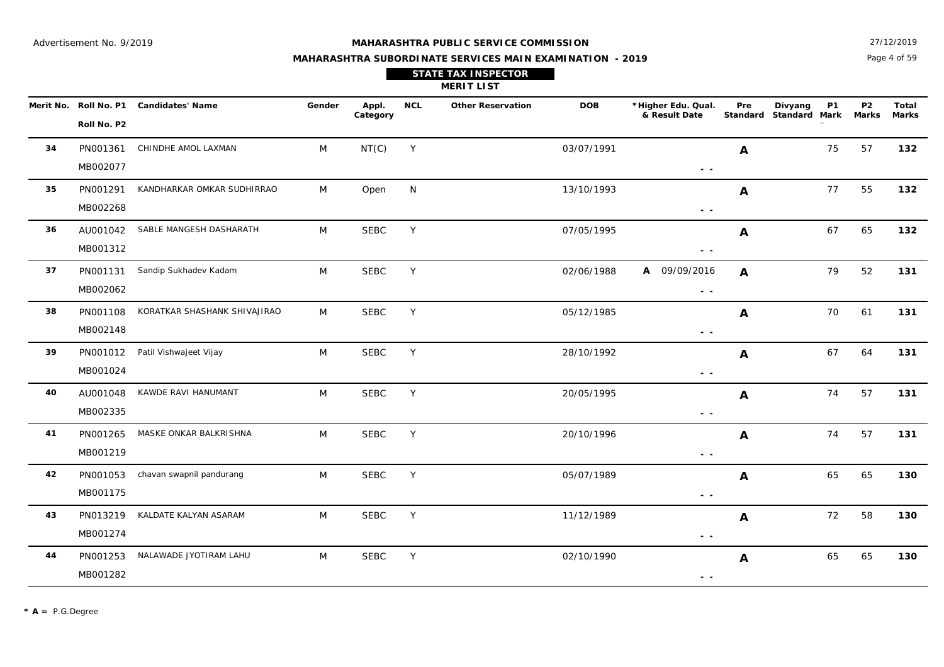Page 4 of 59 27/12/2019

**P2**

DOB \*Higher Edu. Qual. Pre Divyang P1 P2 Total

**Pre**

## **MAHARASHTRA SUBORDINATE SERVICES MAIN EXAMINATION - 2019 STATE TAX INSPECTOR**

**MERIT LIST**

**NCL Other Reservation**

SEBC

|    | Roll No. P2          | rit No. Roll No. P1 Candidates' Name | Gender | Appl.<br>Category | <b>NCL</b> | <b>Other Reservation</b> | <b>DOB</b> | *Higher Edu. Qual.<br>& Result Date                                               | Pre          | Divyang<br><b>P1</b><br>Standard Standard Mark | P2<br>Marks | Total<br>Marks |
|----|----------------------|--------------------------------------|--------|-------------------|------------|--------------------------|------------|-----------------------------------------------------------------------------------|--------------|------------------------------------------------|-------------|----------------|
| 34 | PN001361<br>MB002077 | CHINDHE AMOL LAXMAN                  | M      | NT(C)             | Y          |                          | 03/07/1991 | $\sim$ $\sim$                                                                     | A            | 75                                             | 57          | 132            |
| 35 | PN001291<br>MB002268 | KANDHARKAR OMKAR SUDHIRRAO           | M      | Open              | N          |                          | 13/10/1993 | $\sim$ $-$                                                                        | A            | 77                                             | 55          | 132            |
| 36 | AU001042<br>MB001312 | SABLE MANGESH DASHARATH              | M      | <b>SEBC</b>       | Y          |                          | 07/05/1995 | $\sim$ $\sim$                                                                     | A            | 67                                             | 65          | 132            |
| 37 | PN001131<br>MB002062 | Sandip Sukhadev Kadam                | M      | <b>SEBC</b>       | Y          |                          | 02/06/1988 | A 09/09/2016<br>$\sim$ $\sim$                                                     | A            | 79                                             | 52          | 131            |
| 38 | PN001108<br>MB002148 | KORATKAR SHASHANK SHIVAJIRAO         | M      | <b>SEBC</b>       | Y          |                          | 05/12/1985 | $\sim$ $\sim$                                                                     | A            | 70                                             | 61          | 131            |
| 39 | PN001012<br>MB001024 | Patil Vishwajeet Vijay               | M      | <b>SEBC</b>       | Y          |                          | 28/10/1992 | $\frac{1}{2} \left( \frac{1}{2} \right) = \frac{1}{2} \left( \frac{1}{2} \right)$ | A            | 67                                             | 64          | 131            |
| 40 | AU001048<br>MB002335 | KAWDE RAVI HANUMANT                  | M      | <b>SEBC</b>       | Y          |                          | 20/05/1995 | $\sim$ $\sim$                                                                     | $\mathbf{A}$ | 74                                             | 57          | 131            |
| 41 | PN001265<br>MB001219 | MASKE ONKAR BALKRISHNA               | M      | <b>SEBC</b>       | Y          |                          | 20/10/1996 | $ -$                                                                              | A            | 74                                             | 57          | 131            |
| 42 | PN001053<br>MB001175 | chavan swapnil pandurang             | M      | <b>SEBC</b>       | Y          |                          | 05/07/1989 | $\sim$ $-$                                                                        | $\mathbf{A}$ | 65                                             | 65          | 130            |
| 43 | PN013219<br>MB001274 | KALDATE KALYAN ASARAM                | M      | <b>SEBC</b>       | Y          |                          | 11/12/1989 | $ -$                                                                              | A            | 72                                             | 58          | 130            |

M SEBC Y 02/10/1990 **A** 65 65 **130** 

Y 1990 **A** 65 65 65

 **- -** 

**A**

PN001253

NALAWADE JYOTIRAM LAHU M

**44**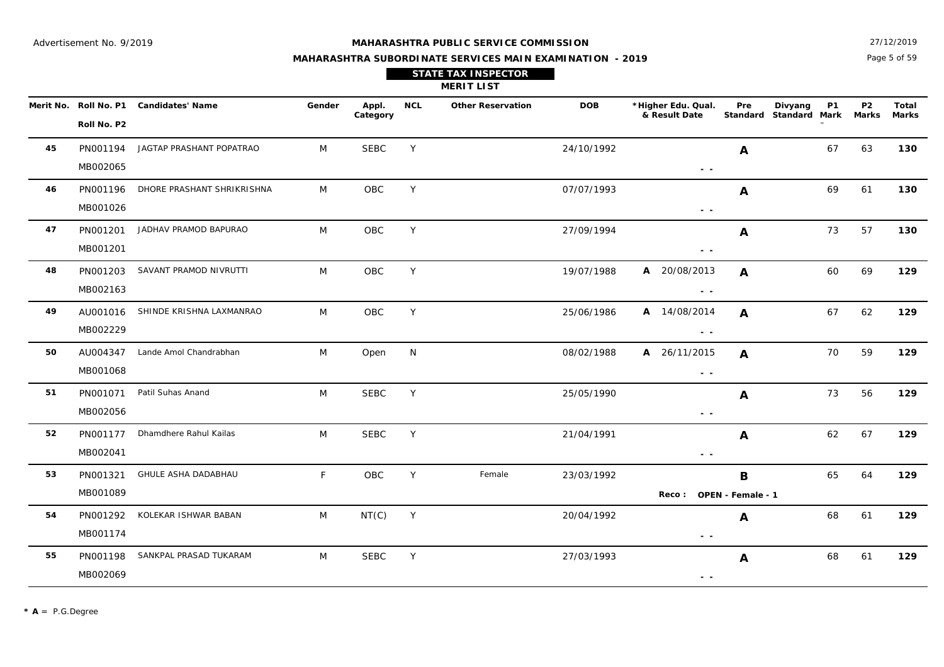Page 5 of 59 27/12/2019

#### **MAHARASHTRA SUBORDINATE SERVICES MAIN EXAMINATION - 2019**

|  | <b>STATE TAX INSPECTOR</b> |  |  |
|--|----------------------------|--|--|
|  |                            |  |  |

**MERIT LIST**

|    | Roll No. P2          | Merit No. Roll No. P1 Candidates' Name | Gender | Appl.<br>Category | <b>NCL</b> | <b>Other Reservation</b> | <b>DOB</b> | *Higher Edu. Qual.<br>& Result Date | Pre          | Divyang<br><b>P1</b><br>Standard Standard Mark | P <sub>2</sub><br>Marks | Total<br><b>Marks</b> |
|----|----------------------|----------------------------------------|--------|-------------------|------------|--------------------------|------------|-------------------------------------|--------------|------------------------------------------------|-------------------------|-----------------------|
| 45 | MB002065             | PN001194 JAGTAP PRASHANT POPATRAO      | M      | <b>SEBC</b>       | Y          |                          | 24/10/1992 | $\sim$ $-$                          | $\mathbf{A}$ | 67                                             | 63                      | 130                   |
| 46 | PN001196<br>MB001026 | DHORE PRASHANT SHRIKRISHNA             | M      | OBC               | Y          |                          | 07/07/1993 | $ -$                                | $\mathbf{A}$ | 69                                             | 61                      | 130                   |
| 47 | PN001201<br>MB001201 | JADHAV PRAMOD BAPURAO                  | M      | OBC               | Y          |                          | 27/09/1994 | - -                                 | A            | 73                                             | 57                      | 130                   |
| 48 | PN001203<br>MB002163 | SAVANT PRAMOD NIVRUTTI                 | M      | OBC               | Y          |                          | 19/07/1988 | A 20/08/2013<br>$\sim$ $\sim$       | A            | 60                                             | 69                      | 129                   |
| 49 | MB002229             | AU001016 SHINDE KRISHNA LAXMANRAO      | M      | OBC               | Y          |                          | 25/06/1986 | A 14/08/2014<br>$\sim$ $\sim$       | A            | 67                                             | 62                      | 129                   |
| 50 | MB001068             | AU004347 Lande Amol Chandrabhan        | M      | Open              | N          |                          | 08/02/1988 | A 26/11/2015<br>$\sim$ $\sim$       | A            | 70                                             | 59                      | 129                   |
| 51 | PN001071<br>MB002056 | Patil Suhas Anand                      | M      | <b>SEBC</b>       | Y          |                          | 25/05/1990 | $\sim$ $\sim$                       | A            | 73                                             | 56                      | 129                   |
| 52 | PN001177<br>MB002041 | Dhamdhere Rahul Kailas                 | M      | <b>SEBC</b>       | Y          |                          | 21/04/1991 | $\sim$ $\sim$                       | $\mathbf{A}$ | 62                                             | 67                      | 129                   |
| 53 | PN001321<br>MB001089 | GHULE ASHA DADABHAU                    | F      | OBC               | Y          | Female                   | 23/03/1992 | Reco: OPEN - Female - 1             | $\mathbf B$  | 65                                             | 64                      | 129                   |
| 54 | PN001292<br>MB001174 | KOLEKAR ISHWAR BABAN                   | M      | NT(C)             | Y          |                          | 20/04/1992 | $\sim$ $\sim$                       | $\mathbf{A}$ | 68                                             | 61                      | 129                   |
| 55 | PN001198<br>MB002069 | SANKPAL PRASAD TUKARAM                 | M      | <b>SEBC</b>       | Y          |                          | 27/03/1993 | - -                                 | A            | 68                                             | 61                      | 129                   |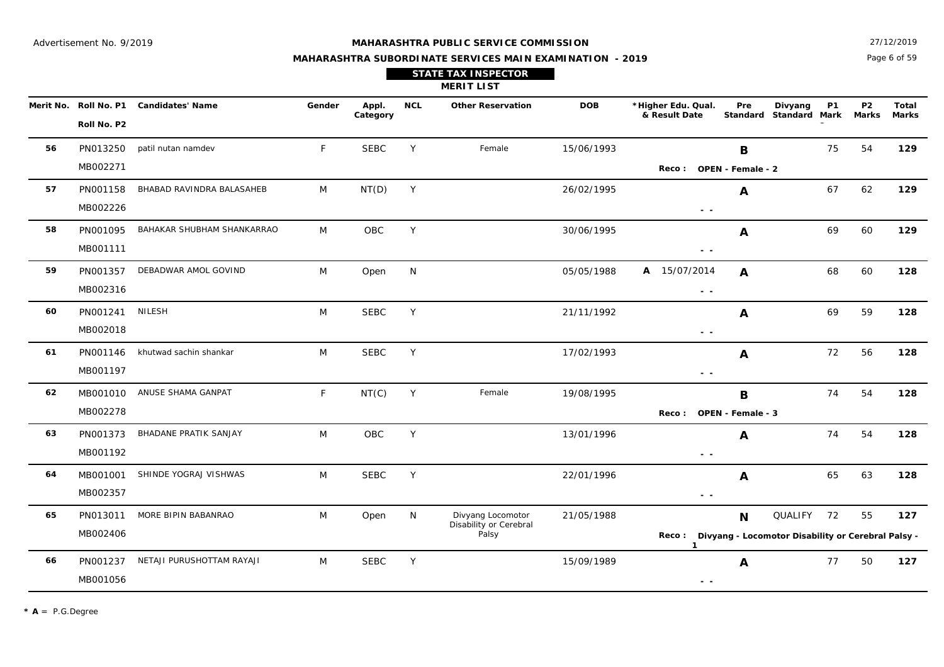Page 6 of 59 27/12/2019

## **MAHARASHTRA SUBORDINATE SERVICES MAIN EXAMINATION - 2019 STATE TAX INSPECTOR**

|    | <b>MERIT LIST</b><br>Merit No. Roll No. P1 Candidates' Name |                            |        |                   |            |                                                      |            |                                                                                 |              |                                                                                  |                                |                |  |
|----|-------------------------------------------------------------|----------------------------|--------|-------------------|------------|------------------------------------------------------|------------|---------------------------------------------------------------------------------|--------------|----------------------------------------------------------------------------------|--------------------------------|----------------|--|
|    | Roll No. P2                                                 |                            | Gender | Appl.<br>Category | <b>NCL</b> | <b>Other Reservation</b>                             | <b>DOB</b> | *Higher Edu. Qual.<br>& Result Date                                             | Pre          | Divyang<br><b>P1</b><br>Standard Standard Mark                                   | P <sub>2</sub><br><b>Marks</b> | Total<br>Marks |  |
| 56 | PN013250<br>MB002271                                        | patil nutan namdev         | F      | <b>SEBC</b>       | Y          | Female                                               | 15/06/1993 | Reco: OPEN - Female - 2                                                         | B            | 75                                                                               | 54                             | 129            |  |
| 57 | PN001158<br>MB002226                                        | BHABAD RAVINDRA BALASAHEB  | M      | NT(D)             | Y          |                                                      | 26/02/1995 | $\frac{1}{2} \left( \frac{1}{2} \right) \frac{1}{2} \left( \frac{1}{2} \right)$ | A            | 67                                                                               | 62                             | 129            |  |
| 58 | PN001095<br>MB001111                                        | BAHAKAR SHUBHAM SHANKARRAO | M      | OBC               | Y          |                                                      | 30/06/1995 | $\sim$ $\sim$                                                                   | A            | 69                                                                               | 60                             | 129            |  |
| 59 | PN001357<br>MB002316                                        | DEBADWAR AMOL GOVIND       | M      | Open              | N          |                                                      | 05/05/1988 | A 15/07/2014<br>$\sim$ $\sim$                                                   | $\mathbf{A}$ | 68                                                                               | 60                             | 128            |  |
| 60 | PN001241<br>MB002018                                        | <b>NILESH</b>              | M      | <b>SEBC</b>       | Y          |                                                      | 21/11/1992 | $ -$                                                                            | A            | 69                                                                               | 59                             | 128            |  |
| 61 | PN001146<br>MB001197                                        | khutwad sachin shankar     | M      | <b>SEBC</b>       | Y          |                                                      | 17/02/1993 | $\frac{1}{2} \left( \frac{1}{2} \right) = \frac{1}{2}$                          | A            | 72                                                                               | 56                             | 128            |  |
| 62 | MB001010<br>MB002278                                        | ANUSE SHAMA GANPAT         | F      | NT(C)             | Y          | Female                                               | 19/08/1995 | Reco: OPEN - Female - 3                                                         | B            | 74                                                                               | 54                             | 128            |  |
| 63 | PN001373<br>MB001192                                        | BHADANE PRATIK SANJAY      | M      | OBC               | Y          |                                                      | 13/01/1996 | $\sim$ $-$                                                                      | A            | 74                                                                               | 54                             | 128            |  |
| 64 | MB001001<br>MB002357                                        | SHINDE YOGRAJ VISHWAS      | M      | <b>SEBC</b>       | Y          |                                                      | 22/01/1996 | $\sim$ $\sim$                                                                   | A            | 65                                                                               | 63                             | 128            |  |
| 65 | PN013011<br>MB002406                                        | MORE BIPIN BABANRAO        | M      | Open              | N          | Divyang Locomotor<br>Disability or Cerebral<br>Palsy | 21/05/1988 | $\mathbf{1}$                                                                    | <b>N</b>     | <b>QUALIFY</b><br>72<br>Reco: Divyang - Locomotor Disability or Cerebral Palsy - | 55                             | 127            |  |
| 66 | PN001237<br>MB001056                                        | NETAJI PURUSHOTTAM RAYAJI  | M      | <b>SEBC</b>       | Y          |                                                      | 15/09/1989 | $\sim$ $\sim$                                                                   | A            | 77                                                                               | 50                             | 127            |  |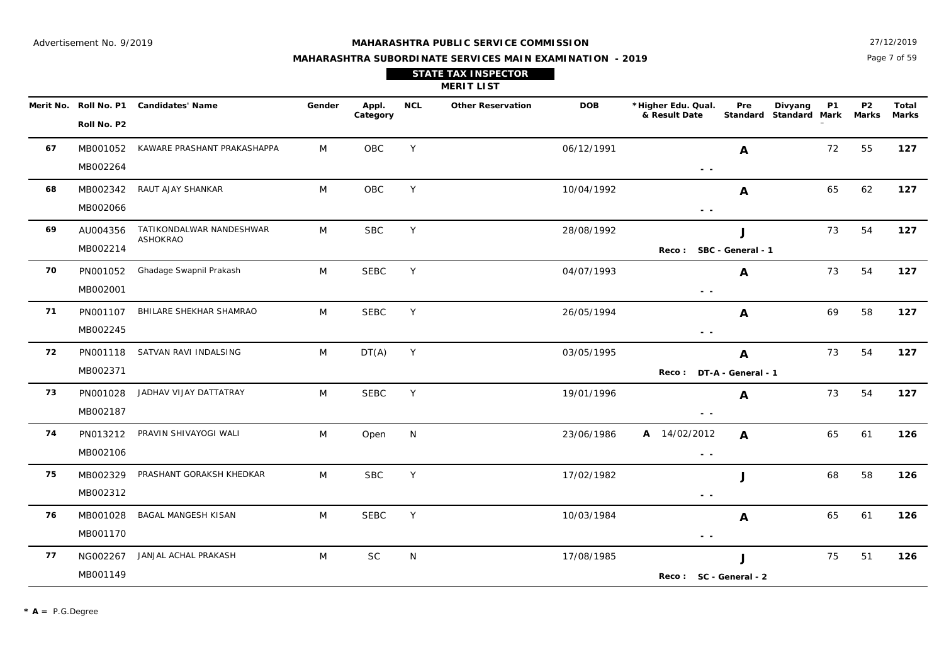Page 7 of 59 27/12/2019

|                   |            | <b>STATE TAX INSPECTOR</b><br><b>MERIT LIST</b> |            |                                     |            |                                   |           |                         |              |
|-------------------|------------|-------------------------------------------------|------------|-------------------------------------|------------|-----------------------------------|-----------|-------------------------|--------------|
| Appl.<br>Category | <b>NCL</b> | <b>Other Reservation</b>                        | <b>DOB</b> | *Higher Edu. Qual.<br>& Result Date | <b>Pre</b> | Divvang<br>Standard Standard Mark | <b>P1</b> | P <sub>2</sub><br>Marks | Tota<br>Mark |

|    | Roll No. P2 | Merit No. Roll No. P1 Candidates' Name | Gender | Appl.<br>Category | <b>NCL</b> | <b>Other Reservation</b> | <b>DOB</b> | *Higher Edu. Qual.<br>& Result Date | Pre                | Divyang<br>Standard Standard Mark | <b>P1</b> | P <sub>2</sub><br><b>Marks</b> | <b>Total</b><br><b>Marks</b> |
|----|-------------|----------------------------------------|--------|-------------------|------------|--------------------------|------------|-------------------------------------|--------------------|-----------------------------------|-----------|--------------------------------|------------------------------|
| 67 |             | MB001052 KAWARE PRASHANT PRAKASHAPPA   | M      | <b>OBC</b>        | Y          |                          | 06/12/1991 |                                     | A                  |                                   | 72        | 55                             | 127                          |
|    | MB002264    |                                        |        |                   |            |                          |            | $\sim$ $\sim$                       |                    |                                   |           |                                |                              |
| 68 |             | MB002342 RAUT AJAY SHANKAR             | M      | OBC               | Y          |                          | 10/04/1992 |                                     | A                  |                                   | 65        | 62                             | 127                          |
|    | MB002066    |                                        |        |                   |            |                          |            | $\sim$ $\sim$                       |                    |                                   |           |                                |                              |
| 69 | AU004356    | TATIKONDALWAR NANDESHWAR<br>ASHOKRAO   | M      | <b>SBC</b>        | Y          |                          | 28/08/1992 |                                     | J                  |                                   | 73        | 54                             | 127                          |
|    | MB002214    |                                        |        |                   |            |                          |            | Reco: SBC - General - 1             |                    |                                   |           |                                |                              |
| 70 | PN001052    | Ghadage Swapnil Prakash                | M      | <b>SEBC</b>       | Y          |                          | 04/07/1993 |                                     | A                  |                                   | 73        | 54                             | 127                          |
|    | MB002001    |                                        |        |                   |            |                          |            | $\sim$ $\sim$                       |                    |                                   |           |                                |                              |
| 71 | PN001107    | BHILARE SHEKHAR SHAMRAO                | M      | <b>SEBC</b>       | Y          |                          | 26/05/1994 |                                     | A                  |                                   | 69        | 58                             | 127                          |
|    | MB002245    |                                        |        |                   |            |                          |            | $ -$                                |                    |                                   |           |                                |                              |
| 72 |             | PN001118 SATVAN RAVI INDALSING         | M      | DT(A)             | Y          |                          | 03/05/1995 |                                     | A                  |                                   | 73        | 54                             | 127                          |
|    | MB002371    |                                        |        |                   |            |                          |            | <b>Reco:</b>                        | DT-A - General - 1 |                                   |           |                                |                              |
| 73 |             | PN001028 JADHAV VIJAY DATTATRAY        | M      | <b>SEBC</b>       | Y          |                          | 19/01/1996 |                                     | A                  |                                   | 73        | 54                             | 127                          |
|    | MB002187    |                                        |        |                   |            |                          |            | $\sim$ $\sim$                       |                    |                                   |           |                                |                              |
| 74 | PN013212    | PRAVIN SHIVAYOGI WALI                  | M      | Open              | N          |                          | 23/06/1986 | A 14/02/2012                        | $\mathbf{A}$       |                                   | 65        | 61                             | 126                          |
|    | MB002106    |                                        |        |                   |            |                          |            | $\sim$ $\sim$                       |                    |                                   |           |                                |                              |
| 75 | MB002329    | PRASHANT GORAKSH KHEDKAR               | M      | <b>SBC</b>        | Y          |                          | 17/02/1982 |                                     | J                  |                                   | 68        | 58                             | 126                          |
|    | MB002312    |                                        |        |                   |            |                          |            | $\sim$ $\sim$                       |                    |                                   |           |                                |                              |
| 76 | MB001028    | BAGAL MANGESH KISAN                    | M      | <b>SEBC</b>       | Y          |                          | 10/03/1984 |                                     | A                  |                                   | 65        | 61                             | 126                          |
|    | MB001170    |                                        |        |                   |            |                          |            | $\sim$ $\sim$                       |                    |                                   |           |                                |                              |
| 77 | NG002267    | JANJAL ACHAL PRAKASH                   | M      | <b>SC</b>         | N          |                          | 17/08/1985 |                                     | J                  |                                   | 75        | 51                             | 126                          |
|    | MB001149    |                                        |        |                   |            |                          |            | Reco: SC - General - 2              |                    |                                   |           |                                |                              |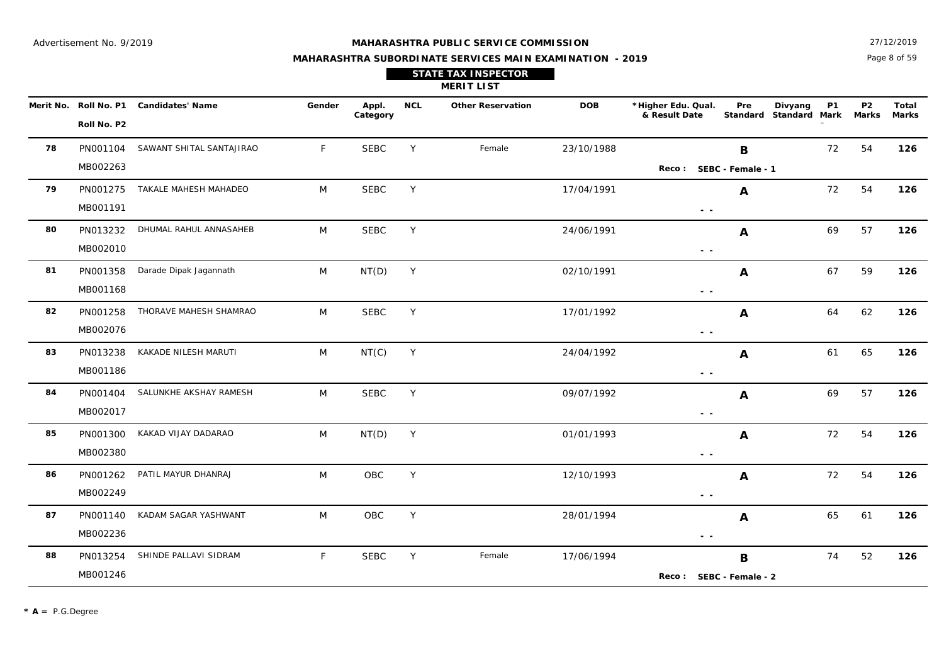Page 8 of 59 27/12/2019

|           |             |                         |        |                   |     | <b>STATE TAX INSPECTOR</b><br><b>MERIT LIST</b> |            |                                     |                 |                          |           |                    |              |
|-----------|-------------|-------------------------|--------|-------------------|-----|-------------------------------------------------|------------|-------------------------------------|-----------------|--------------------------|-----------|--------------------|--------------|
| Merit No. | Roll No. P1 | <b>Candidates' Name</b> | Gender | Appl.<br>Category | NCL | <b>Other Reservation</b>                        | <b>DOB</b> | *Higher Edu. Qual.<br>& Result Date | Pre<br>Standard | Divyang<br>Standard Mark | <b>P1</b> | <b>P2</b><br>Marks | Tota<br>Mark |
|           | ________    |                         |        |                   |     |                                                 |            |                                     |                 |                          |           |                    |              |

|    | Roll No. P2 | Merit No. Roll No. P1 Candidates' Name | Gender      | Appl.<br>Category | <b>NCL</b> | <b>Other Reservation</b> | <b>DOB</b> | *Higher Edu. Qual.<br>& Result Date                                               | Pre              | Divyang<br>Standard Standard Mark Marks | <b>P1</b> | P <sub>2</sub> | Total<br><b>Marks</b> |
|----|-------------|----------------------------------------|-------------|-------------------|------------|--------------------------|------------|-----------------------------------------------------------------------------------|------------------|-----------------------------------------|-----------|----------------|-----------------------|
| 78 | PN001104    | SAWANT SHITAL SANTAJIRAO               | F           | <b>SEBC</b>       | Y          | Female                   | 23/10/1988 |                                                                                   | В                |                                         | 72        | 54             | 126                   |
|    | MB002263    |                                        |             |                   |            |                          |            | Reco: SEBC - Female - 1                                                           |                  |                                         |           |                |                       |
| 79 |             | PN001275 TAKALE MAHESH MAHADEO         | M           | <b>SEBC</b>       | Y          |                          | 17/04/1991 |                                                                                   | A                |                                         | 72        | 54             | 126                   |
|    | MB001191    |                                        |             |                   |            |                          |            | $\frac{1}{2} \left( \frac{1}{2} \right) = \frac{1}{2}$                            |                  |                                         |           |                |                       |
| 80 | PN013232    | DHUMAL RAHUL ANNASAHEB                 | M           | <b>SEBC</b>       | Y          |                          | 24/06/1991 |                                                                                   | A                |                                         | 69        | 57             | 126                   |
|    | MB002010    |                                        |             |                   |            |                          |            | $\sim$ $-$                                                                        |                  |                                         |           |                |                       |
| 81 | PN001358    | Darade Dipak Jagannath                 | M           | NT(D)             | Y          |                          | 02/10/1991 |                                                                                   | A                |                                         | 67        | 59             | 126                   |
|    | MB001168    |                                        |             |                   |            |                          |            | $\frac{1}{2} \left( \frac{1}{2} \right) = \frac{1}{2} \left( \frac{1}{2} \right)$ |                  |                                         |           |                |                       |
| 82 | PN001258    | THORAVE MAHESH SHAMRAO                 | M           | <b>SEBC</b>       | Y          |                          | 17/01/1992 |                                                                                   | A                |                                         | 64        | 62             | 126                   |
|    | MB002076    |                                        |             |                   |            |                          |            | $ -$                                                                              |                  |                                         |           |                |                       |
| 83 | PN013238    | KAKADE NILESH MARUTI                   | M           | NT(C)             | Y          |                          | 24/04/1992 |                                                                                   | A                |                                         | 61        | 65             | 126                   |
|    | MB001186    |                                        |             |                   |            |                          |            | $\frac{1}{2} \left( \frac{1}{2} \right) = \frac{1}{2} \left( \frac{1}{2} \right)$ |                  |                                         |           |                |                       |
| 84 | PN001404    | SALUNKHE AKSHAY RAMESH                 | M           | <b>SEBC</b>       | Y          |                          | 09/07/1992 |                                                                                   | A                |                                         | 69        | 57             | 126                   |
|    | MB002017    |                                        |             |                   |            |                          |            | $\frac{1}{2} \left( \frac{1}{2} \right) = \frac{1}{2}$                            |                  |                                         |           |                |                       |
| 85 | PN001300    | KAKAD VIJAY DADARAO                    | M           | NT(D)             | Y          |                          | 01/01/1993 |                                                                                   | A                |                                         | 72        | 54             | 126                   |
|    | MB002380    |                                        |             |                   |            |                          |            | $\frac{1}{2} \left( \frac{1}{2} \right) = \frac{1}{2}$                            |                  |                                         |           |                |                       |
| 86 | PN001262    | PATIL MAYUR DHANRAJ                    | M           | OBC               | Y          |                          | 12/10/1993 |                                                                                   | A                |                                         | 72        | 54             | 126                   |
|    | MB002249    |                                        |             |                   |            |                          |            | $\frac{1}{2} \left( \frac{1}{2} \right) = \frac{1}{2} \left( \frac{1}{2} \right)$ |                  |                                         |           |                |                       |
| 87 | PN001140    | KADAM SAGAR YASHWANT                   | M           | OBC               | Y          |                          | 28/01/1994 |                                                                                   | $\boldsymbol{A}$ |                                         | 65        | 61             | 126                   |
|    | MB002236    |                                        |             |                   |            |                          |            | $\sim$ $-$                                                                        |                  |                                         |           |                |                       |
| 88 | PN013254    | SHINDE PALLAVI SIDRAM                  | $\mathsf F$ | <b>SEBC</b>       | Y          | Female                   | 17/06/1994 |                                                                                   | $\, {\bf B}$     |                                         | 74        | 52             | 126                   |
|    | MB001246    |                                        |             |                   |            |                          |            | Reco: SEBC - Female - 2                                                           |                  |                                         |           |                |                       |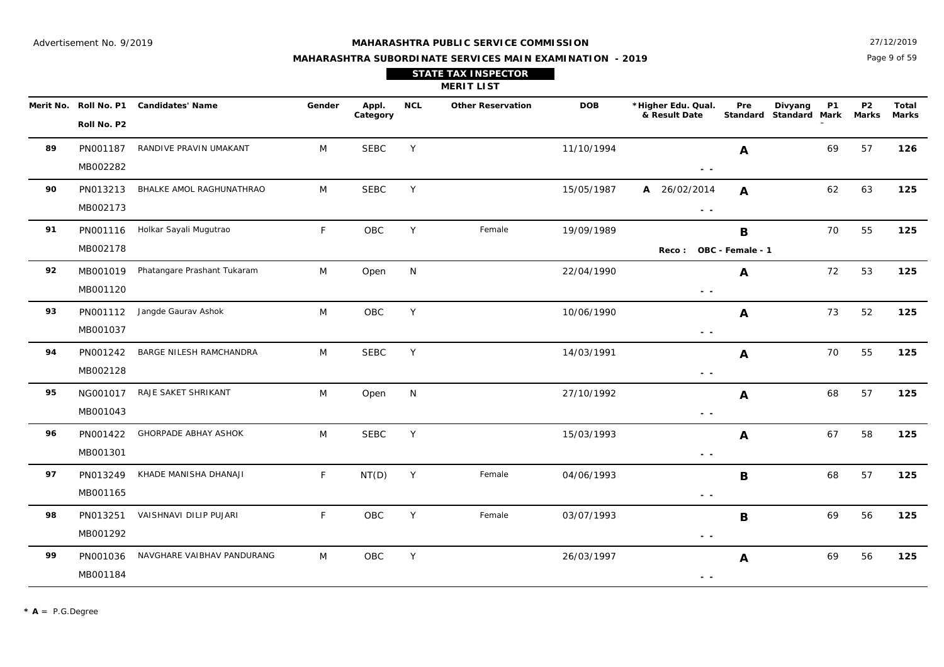**89**

**90**

**91**

**92**

**93**

**94**

**95**

**96**

**97**

**98**

**99**

MB001165

PN013251

MB001292

PN001036

MB001184

NAVGHARE VAIBHAV PANDURANG M

#### **MAHARASHTRA PUBLIC SERVICE COMMISSION**

Page 9 of 59 27/12/2019

**P2**

DOB \*Higher Edu. Qual. Pre Divyang P1 P2 Total

**Pre**

 **- -** 

 **- -** 

 **- -** 

**B**

**A**

### **MAHARASHTRA SUBORDINATE SERVICES MAIN EXAMINATION - 2019 STATE TAX INSPECTOR**

**MERIT LIST**

**NCL Other Reservation**

OBC

OBC

|   | No. Roll No. P1 | <b>Candidates' Name</b>     | Gender | Appl.<br>Category | <b>NCL</b> | <b>Other Reservation</b> | <b>DOB</b> | *Higher Edu. Qual.<br>& Result Date | Pre              | Divyang<br>P1<br>Standard Standard Mark | P <sub>2</sub><br><b>Marks</b> | Total<br><b>Marks</b> |
|---|-----------------|-----------------------------|--------|-------------------|------------|--------------------------|------------|-------------------------------------|------------------|-----------------------------------------|--------------------------------|-----------------------|
|   | Roll No. P2     |                             |        |                   |            |                          |            |                                     |                  |                                         |                                |                       |
| 9 | PN001187        | RANDIVE PRAVIN UMAKANT      | M      | <b>SEBC</b>       | Y          |                          | 11/10/1994 |                                     | A                | 69                                      | 57                             | 126                   |
|   | MB002282        |                             |        |                   |            |                          |            | $\sim$ $\sim$                       |                  |                                         |                                |                       |
| 0 | PN013213        | BHALKE AMOL RAGHUNATHRAO    | M      | <b>SEBC</b>       | Y          |                          | 15/05/1987 | 26/02/2014<br>A                     | A                | 62                                      | 63                             | 125                   |
|   | MB002173        |                             |        |                   |            |                          |            | $\sim$ $-$                          |                  |                                         |                                |                       |
| 1 | PN001116        | Holkar Sayali Mugutrao      | F      | OBC               | Y          | Female                   | 19/09/1989 |                                     | B                | 70                                      | 55                             | 125                   |
|   | MB002178        |                             |        |                   |            |                          |            | Reco :                              | OBC - Female - 1 |                                         |                                |                       |
| 2 | MB001019        | Phatangare Prashant Tukaram | M      | Open              | N          |                          | 22/04/1990 |                                     | A                | 72                                      | 53                             | 125                   |
|   | MB001120        |                             |        |                   |            |                          |            | $\sim$ $-$                          |                  |                                         |                                |                       |
| 3 | PN001112        | Jangde Gaurav Ashok         | M      | OBC               | Y          |                          | 10/06/1990 |                                     | A                | 73                                      | 52                             | 125                   |
|   | MB001037        |                             |        |                   |            |                          |            | $\sim$ $-$                          |                  |                                         |                                |                       |
| 4 | PN001242        | BARGE NILESH RAMCHANDRA     | M      | <b>SEBC</b>       | Y          |                          | 14/03/1991 |                                     | A                | 70                                      | 55                             | 125                   |
|   | MB002128        |                             |        |                   |            |                          |            | $ -$                                |                  |                                         |                                |                       |
| 5 | NG001017        | RAJE SAKET SHRIKANT         | M      | Open              | N          |                          | 27/10/1992 |                                     | A                | 68                                      | 57                             | 125                   |
|   | MB001043        |                             |        |                   |            |                          |            | $ -$                                |                  |                                         |                                |                       |
| 6 | PN001422        | <b>GHORPADE ABHAY ASHOK</b> | M      | <b>SEBC</b>       | Y          |                          | 15/03/1993 |                                     | A                | 67                                      | 58                             | 125                   |
|   | MB001301        |                             |        |                   |            |                          |            | $\sim$ $-$                          |                  |                                         |                                |                       |
|   | PN013249        | KHADE MANISHA DHANAJI       | F      | NT(D)             | Y          | Female                   | 04/06/1993 |                                     | B                | 68                                      | 57                             | 125                   |

VAISHNAVI DILIP PUJARI **F** OBC Y Female 03/07/1993 **R** B 69 56 125

03/07/1993

M OBC Y 26/03/1997 **A** 69 56 **125** 

Y 26/03/1997 **A** 69 56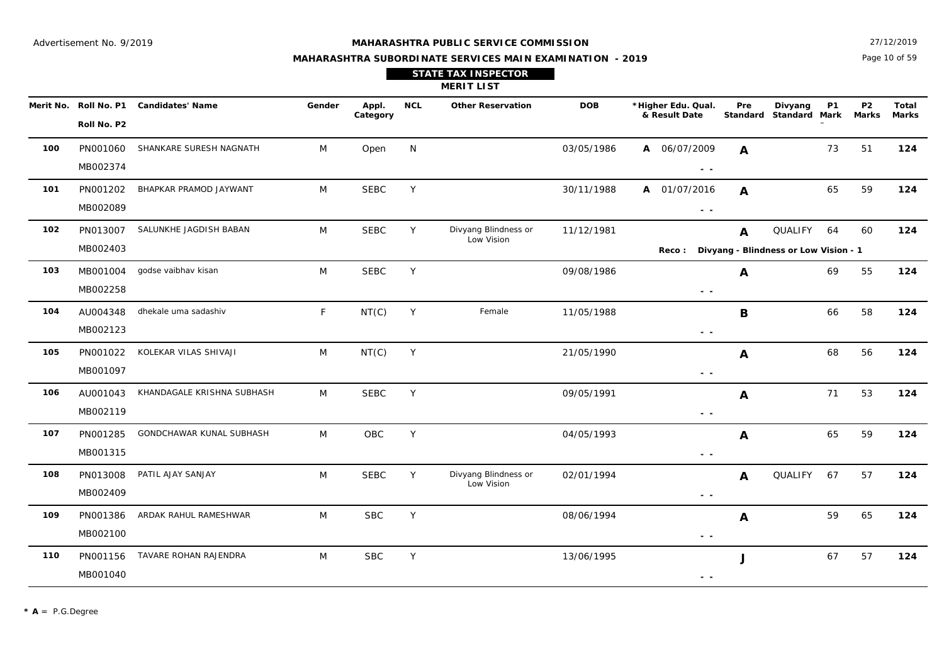Page 10 of 59 27/12/2019

#### **MAHARASHTRA SUBORDINATE SERVICES MAIN EXAMINATION - 2019**

**STATE TAX INSPECTOR**

**MERIT LIST**

|     | Merit No. Roll No. P1<br>Roll No. P2 | <b>Candidates' Name</b>    | Gender | Appl.<br>Category | <b>NCL</b> | <b>Other Reservation</b> | <b>DOB</b> | *Higher Edu. Qual.<br>& Result Date                                             | Pre                                   | Divyang<br>Standard Standard Mark | <b>P1</b> | <b>P2</b><br><b>Marks</b> | <b>Total</b><br><b>Marks</b> |
|-----|--------------------------------------|----------------------------|--------|-------------------|------------|--------------------------|------------|---------------------------------------------------------------------------------|---------------------------------------|-----------------------------------|-----------|---------------------------|------------------------------|
|     |                                      |                            |        |                   |            |                          |            |                                                                                 |                                       |                                   |           |                           |                              |
| 100 | PN001060                             | SHANKARE SURESH NAGNATH    | M      | Open              | N          |                          | 03/05/1986 | A 06/07/2009                                                                    | $\mathbf{A}$                          |                                   | 73        | 51                        | 124                          |
|     | MB002374                             |                            |        |                   |            |                          |            | $\frac{1}{2} \left( \frac{1}{2} \right) \frac{1}{2} \left( \frac{1}{2} \right)$ |                                       |                                   |           |                           |                              |
| 101 | PN001202                             | BHAPKAR PRAMOD JAYWANT     | M      | <b>SEBC</b>       | Y          |                          | 30/11/1988 | 01/07/2016<br>A                                                                 | $\mathbf{A}$                          |                                   | 65        | 59                        | 124                          |
|     | MB002089                             |                            |        |                   |            |                          |            | $ -$                                                                            |                                       |                                   |           |                           |                              |
| 102 | PN013007                             | SALUNKHE JAGDISH BABAN     | M      | <b>SEBC</b>       | Y          | Divyang Blindness or     | 11/12/1981 |                                                                                 | A                                     | QUALIFY                           | 64        | 60                        | 124                          |
|     | MB002403                             |                            |        |                   |            | Low Vision               |            | <b>Reco :</b>                                                                   | Divyang - Blindness or Low Vision - 1 |                                   |           |                           |                              |
| 103 | MB001004                             | godse vaibhav kisan        | M      | <b>SEBC</b>       | Y          |                          | 09/08/1986 |                                                                                 | Α                                     |                                   | 69        | 55                        | 124                          |
|     | MB002258                             |                            |        |                   |            |                          |            | $ -$                                                                            |                                       |                                   |           |                           |                              |
| 104 | AU004348                             | dhekale uma sadashiv       | F.     | NT(C)             | Y          | Female                   | 11/05/1988 |                                                                                 | B                                     |                                   | 66        | 58                        | 124                          |
|     | MB002123                             |                            |        |                   |            |                          |            | $ -$                                                                            |                                       |                                   |           |                           |                              |
| 105 | PN001022                             | KOLEKAR VILAS SHIVAJI      | M      | NT(C)             | Y          |                          | 21/05/1990 |                                                                                 | A                                     |                                   | 68        | 56                        | 124                          |
|     | MB001097                             |                            |        |                   |            |                          |            | $\frac{1}{2} \left( \frac{1}{2} \right) \frac{1}{2} \left( \frac{1}{2} \right)$ |                                       |                                   |           |                           |                              |
| 106 | AU001043                             | KHANDAGALE KRISHNA SUBHASH | M      | <b>SEBC</b>       | Y          |                          | 09/05/1991 |                                                                                 | A                                     |                                   | 71        | 53                        | 124                          |
|     | MB002119                             |                            |        |                   |            |                          |            | $\sim$ $\sim$                                                                   |                                       |                                   |           |                           |                              |
| 107 | PN001285                             | GONDCHAWAR KUNAL SUBHASH   | M      | OBC               | Y          |                          | 04/05/1993 |                                                                                 | A                                     |                                   | 65        | 59                        | 124                          |
|     | MB001315                             |                            |        |                   |            |                          |            | $\sim$ $\sim$                                                                   |                                       |                                   |           |                           |                              |
| 108 | PN013008                             | PATIL AJAY SANJAY          | M      | <b>SEBC</b>       | Y          | Divyang Blindness or     | 02/01/1994 |                                                                                 | $\boldsymbol{A}$                      | <b>QUALIFY</b>                    | 67        | 57                        | 124                          |
|     | MB002409                             |                            |        |                   |            | Low Vision               |            | $\sim$ $\sim$                                                                   |                                       |                                   |           |                           |                              |
| 109 | PN001386                             | ARDAK RAHUL RAMESHWAR      | M      | <b>SBC</b>        | Y          |                          | 08/06/1994 |                                                                                 | A                                     |                                   | 59        | 65                        | 124                          |
|     | MB002100                             |                            |        |                   |            |                          |            | $\sim$ $\sim$                                                                   |                                       |                                   |           |                           |                              |
| 110 | PN001156                             | TAVARE ROHAN RAJENDRA      | M      | <b>SBC</b>        | Y          |                          | 13/06/1995 |                                                                                 | J                                     |                                   | 67        | 57                        | 124                          |
|     | MB001040                             |                            |        |                   |            |                          |            | $ -$                                                                            |                                       |                                   |           |                           |                              |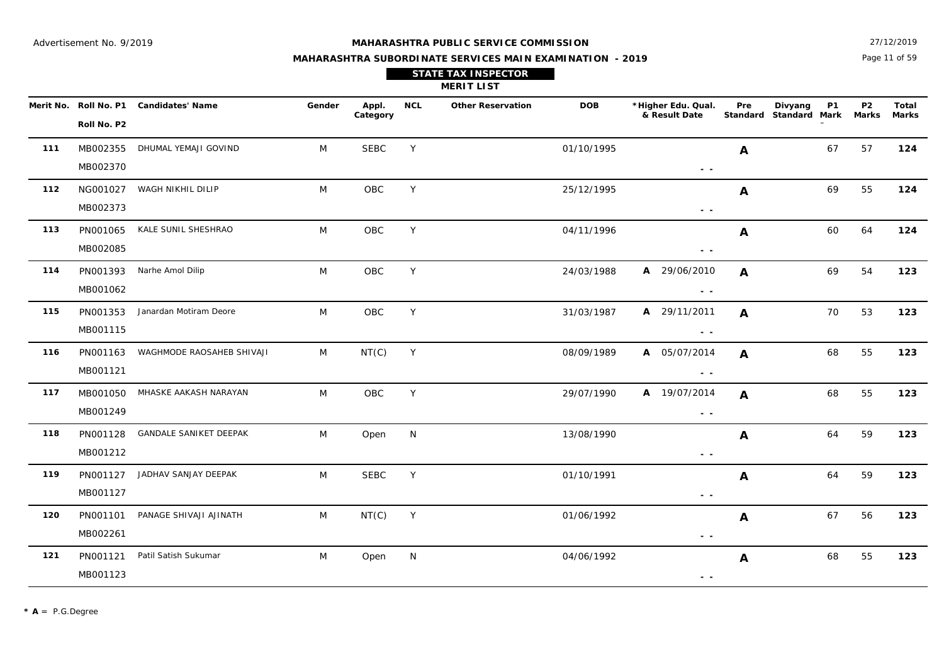Page 11 of 59 27/12/2019

| <b>STATE TAX INSPECTOR</b> |
|----------------------------|
| <b>MERIT LIST</b>          |

|     | Merit No. Roll No. P1 | <b>Candidates' Name</b>        | Gender | Appl.<br>Category | <b>NCL</b> | <b>Other Reservation</b> | <b>DOB</b> | *Higher Edu. Qual.<br>& Result Date                                             | Pre              | <b>P1</b><br>Divyang<br>Standard Standard Mark | P <sub>2</sub><br>Marks | Total<br><b>Marks</b> |
|-----|-----------------------|--------------------------------|--------|-------------------|------------|--------------------------|------------|---------------------------------------------------------------------------------|------------------|------------------------------------------------|-------------------------|-----------------------|
|     | Roll No. P2           |                                |        |                   |            |                          |            |                                                                                 |                  |                                                |                         |                       |
| 111 | MB002355              | DHUMAL YEMAJI GOVIND           | M      | <b>SEBC</b>       | Y          |                          | 01/10/1995 |                                                                                 | $\boldsymbol{A}$ | 67                                             | 57                      | 124                   |
|     | MB002370              |                                |        |                   |            |                          |            | $\sim$ $\sim$                                                                   |                  |                                                |                         |                       |
| 112 | NG001027              | WAGH NIKHIL DILIP              | M      | OBC               | Y          |                          | 25/12/1995 |                                                                                 | $\boldsymbol{A}$ | 69                                             | 55                      | 124                   |
|     | MB002373              |                                |        |                   |            |                          |            | $\sim$ $\sim$                                                                   |                  |                                                |                         |                       |
| 113 | PN001065              | KALE SUNIL SHESHRAO            | M      | OBC               | Y          |                          | 04/11/1996 |                                                                                 | A                | 60                                             | 64                      | 124                   |
|     | MB002085              |                                |        |                   |            |                          |            | $\sim$ $-$                                                                      |                  |                                                |                         |                       |
| 114 | PN001393              | Narhe Amol Dilip               | M      | OBC               | Y.         |                          | 24/03/1988 | A 29/06/2010                                                                    | A                | 69                                             | 54                      | 123                   |
|     | MB001062              |                                |        |                   |            |                          |            | $\sim$ $\sim$                                                                   |                  |                                                |                         |                       |
| 115 | PN001353              | Janardan Motiram Deore         | M      | OBC               | Y          |                          | 31/03/1987 | A 29/11/2011                                                                    | $\mathbf{A}$     | 70                                             | 53                      | 123                   |
|     | MB001115              |                                |        |                   |            |                          |            | $\sim$ $\sim$                                                                   |                  |                                                |                         |                       |
| 116 | PN001163              | WAGHMODE RAOSAHEB SHIVAJI      | M      | NT(C)             | Y          |                          | 08/09/1989 | A 05/07/2014                                                                    | $\mathbf{A}$     | 68                                             | 55                      | 123                   |
|     | MB001121              |                                |        |                   |            |                          |            | $\sim$ $\sim$                                                                   |                  |                                                |                         |                       |
| 117 |                       | MB001050 MHASKE AAKASH NARAYAN | M      | OBC               | Y          |                          | 29/07/1990 | A 19/07/2014                                                                    | $\mathbf{A}$     | 68                                             | 55                      | 123                   |
|     | MB001249              |                                |        |                   |            |                          |            | $\frac{1}{2} \left( \frac{1}{2} \right) \frac{1}{2} \left( \frac{1}{2} \right)$ |                  |                                                |                         |                       |
| 118 | PN001128              | GANDALE SANIKET DEEPAK         | M      | Open              | N          |                          | 13/08/1990 |                                                                                 | $\mathbf{A}$     | 64                                             | 59                      | 123                   |
|     | MB001212              |                                |        |                   |            |                          |            | $\sim$ $\sim$                                                                   |                  |                                                |                         |                       |
| 119 | PN001127              | JADHAV SANJAY DEEPAK           | M      | <b>SEBC</b>       | Y          |                          | 01/10/1991 |                                                                                 | A                | 64                                             | 59                      | 123                   |
|     | MB001127              |                                |        |                   |            |                          |            | $\sim$ $-$                                                                      |                  |                                                |                         |                       |
| 120 | PN001101              | PANAGE SHIVAJI AJINATH         | M      | NT(C)             | Y          |                          | 01/06/1992 |                                                                                 | $\boldsymbol{A}$ | 67                                             | 56                      | 123                   |
|     | MB002261              |                                |        |                   |            |                          |            | $\sim$ $-$                                                                      |                  |                                                |                         |                       |
| 121 | PN001121              | Patil Satish Sukumar           | M      | Open              | N          |                          | 04/06/1992 |                                                                                 | A                | 68                                             | 55                      | 123                   |
|     | MB001123              |                                |        |                   |            |                          |            | $\sim$ $\sim$                                                                   |                  |                                                |                         |                       |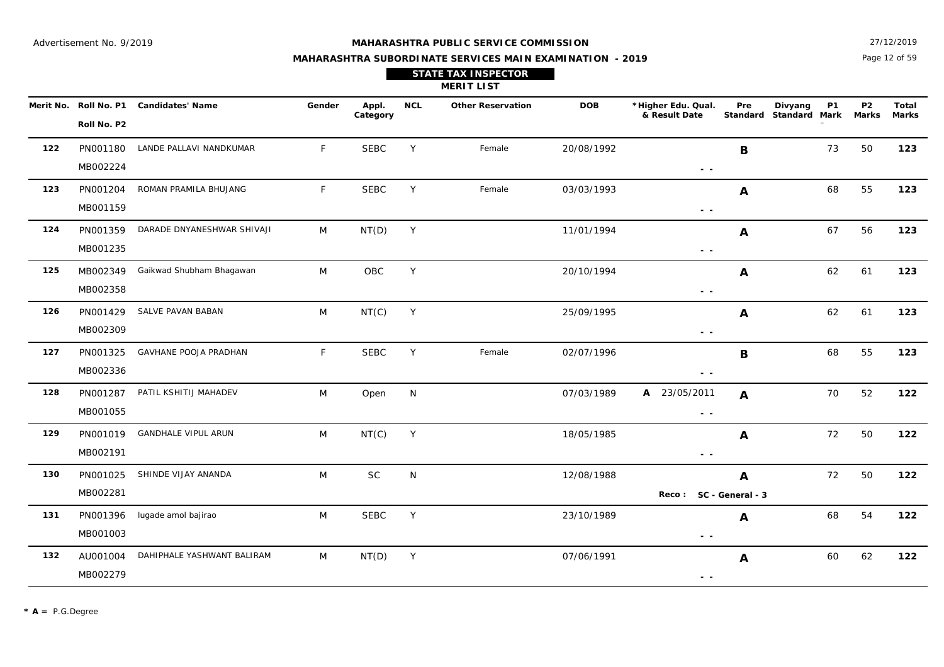27/12/2019

## **MAHARASHTRA SUBORDINATE SERVICES MAIN EXAMINATION - 2019 STATE TAX INSPECTOR**

Page 12 of 59

|     |                      |                                        |        |                   |            | <b>MERIT LIST</b>        |            |                                                                                   |                  |                                                |                                |                       |
|-----|----------------------|----------------------------------------|--------|-------------------|------------|--------------------------|------------|-----------------------------------------------------------------------------------|------------------|------------------------------------------------|--------------------------------|-----------------------|
|     | Roll No. P2          | Merit No. Roll No. P1 Candidates' Name | Gender | Appl.<br>Category | <b>NCL</b> | <b>Other Reservation</b> | <b>DOB</b> | *Higher Edu. Qual.<br>& Result Date                                               | Pre              | Divyang<br><b>P1</b><br>Standard Standard Mark | P <sub>2</sub><br><b>Marks</b> | Total<br><b>Marks</b> |
| 122 | PN001180<br>MB002224 | LANDE PALLAVI NANDKUMAR                | F      | <b>SEBC</b>       | Y          | Female                   | 20/08/1992 | $\frac{1}{2} \left( \frac{1}{2} \right) = \frac{1}{2} \left( \frac{1}{2} \right)$ | B                | 73                                             | 50                             | 123                   |
| 123 | PN001204<br>MB001159 | ROMAN PRAMILA BHUJANG                  | F      | <b>SEBC</b>       | Y          | Female                   | 03/03/1993 | $ -$                                                                              | $\boldsymbol{A}$ | 68                                             | 55                             | 123                   |
| 124 | PN001359<br>MB001235 | DARADE DNYANESHWAR SHIVAJI             | M      | NT(D)             | Y          |                          | 11/01/1994 | $ -$                                                                              | A                | 67                                             | 56                             | 123                   |
| 125 | MB002349<br>MB002358 | Gaikwad Shubham Bhagawan               | M      | OBC               | Y          |                          | 20/10/1994 | $\sim$ $\sim$                                                                     | A                | 62                                             | 61                             | 123                   |
| 126 | PN001429<br>MB002309 | SALVE PAVAN BABAN                      | M      | NT(C)             | Y          |                          | 25/09/1995 | $ -$                                                                              | A                | 62                                             | 61                             | 123                   |
| 127 | PN001325<br>MB002336 | GAVHANE POOJA PRADHAN                  | F      | <b>SEBC</b>       | Y          | Female                   | 02/07/1996 | $\sim$ $\sim$                                                                     | B                | 68                                             | 55                             | 123                   |
| 128 | PN001287<br>MB001055 | PATIL KSHITIJ MAHADEV                  | M      | Open              | N          |                          | 07/03/1989 | A 23/05/2011<br>$\sim$ $\sim$                                                     | $\mathbf{A}$     | 70                                             | 52                             | 122                   |
| 129 | PN001019<br>MB002191 | <b>GANDHALE VIPUL ARUN</b>             | M      | NT(C)             | Y          |                          | 18/05/1985 | $\sim$ $-$                                                                        | A                | 72                                             | 50                             | 122                   |
| 130 | PN001025<br>MB002281 | SHINDE VIJAY ANANDA                    | M      | <b>SC</b>         | N          |                          | 12/08/1988 | Reco: SC - General - 3                                                            | A                | 72                                             | 50                             | 122                   |
| 131 | PN001396<br>MB001003 | lugade amol bajirao                    | M      | <b>SEBC</b>       | Y          |                          | 23/10/1989 | $\sim$ $\sim$                                                                     | A                | 68                                             | 54                             | 122                   |
| 132 | AU001004<br>MB002279 | DAHIPHALE YASHWANT BALIRAM             | M      | NT(D)             | Y          |                          | 07/06/1991 | $\sim$ $\sim$                                                                     | A                | 60                                             | 62                             | 122                   |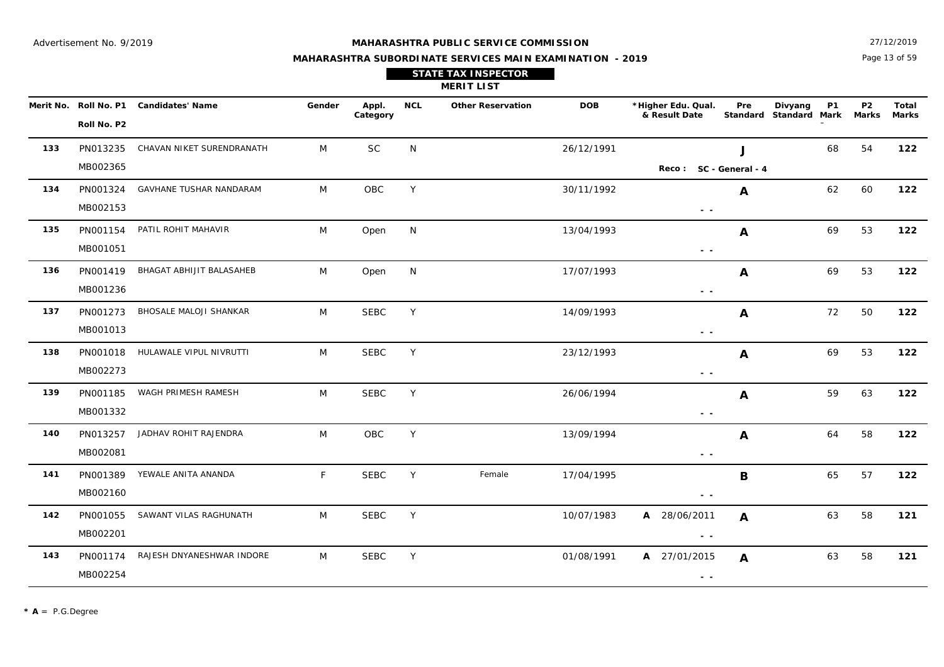Page 13 of 59 27/12/2019

|                         |                  |        |                   |     | <b>STATE TAX INSPECTOR</b><br><b>MERIT LIST</b> |            |                                     |                 |                          |           |                    |              |
|-------------------------|------------------|--------|-------------------|-----|-------------------------------------------------|------------|-------------------------------------|-----------------|--------------------------|-----------|--------------------|--------------|
| Merit No.   Roll No. P1 | Candidates' Name | Gender | Appl.<br>Category | NCL | <b>Other Reservation</b>                        | <b>DOB</b> | *Higher Edu. Qual.<br>& Result Date | Pre<br>Standard | Divyang<br>Standard Mark | <b>P1</b> | <b>P2</b><br>Marks | Tota<br>Mark |
| Roll No. P2             |                  |        |                   |     |                                                 |            |                                     |                 |                          |           |                    |              |

|     | Roll No. P2 |                                  |   |             |   |        |            |                                                                                   |              |    |    |     |
|-----|-------------|----------------------------------|---|-------------|---|--------|------------|-----------------------------------------------------------------------------------|--------------|----|----|-----|
| 133 | PN013235    | CHAVAN NIKET SURENDRANATH        | M | SC          | N |        | 26/12/1991 |                                                                                   | J            | 68 | 54 | 122 |
|     | MB002365    |                                  |   |             |   |        |            | Reco: SC - General - 4                                                            |              |    |    |     |
| 134 | PN001324    | GAVHANE TUSHAR NANDARAM          | M | OBC         | Y |        | 30/11/1992 |                                                                                   | $\mathbf{A}$ | 62 | 60 | 122 |
|     | MB002153    |                                  |   |             |   |        |            | $\sim$ $\sim$                                                                     |              |    |    |     |
| 135 | PN001154    | PATIL ROHIT MAHAVIR              | M | Open        | N |        | 13/04/1993 |                                                                                   | A            | 69 | 53 | 122 |
|     | MB001051    |                                  |   |             |   |        |            | $\frac{1}{2} \left( \frac{1}{2} \right) = \frac{1}{2} \left( \frac{1}{2} \right)$ |              |    |    |     |
| 136 | PN001419    | BHAGAT ABHIJIT BALASAHEB         | M | Open        | N |        | 17/07/1993 |                                                                                   | $\mathbf{A}$ | 69 | 53 | 122 |
|     | MB001236    |                                  |   |             |   |        |            | $\sim$ $\sim$                                                                     |              |    |    |     |
| 137 | PN001273    | BHOSALE MALOJI SHANKAR           | M | <b>SEBC</b> | Y |        | 14/09/1993 |                                                                                   | A            | 72 | 50 | 122 |
|     | MB001013    |                                  |   |             |   |        |            | $\frac{1}{2} \left( \frac{1}{2} \right) = \frac{1}{2} \left( \frac{1}{2} \right)$ |              |    |    |     |
| 138 |             | PN001018 HULAWALE VIPUL NIVRUTTI | M | <b>SEBC</b> | Y |        | 23/12/1993 |                                                                                   | A            | 69 | 53 | 122 |
|     | MB002273    |                                  |   |             |   |        |            | $\sim$ $\sim$                                                                     |              |    |    |     |
| 139 | PN001185    | WAGH PRIMESH RAMESH              | M | <b>SEBC</b> | Y |        | 26/06/1994 |                                                                                   | $\mathbf{A}$ | 59 | 63 | 122 |
|     | MB001332    |                                  |   |             |   |        |            | $\sim$ $-$                                                                        |              |    |    |     |
| 140 | PN013257    | JADHAV ROHIT RAJENDRA            | M | <b>OBC</b>  | Y |        | 13/09/1994 |                                                                                   | A            | 64 | 58 | 122 |
|     | MB002081    |                                  |   |             |   |        |            | $ -$                                                                              |              |    |    |     |
| 141 | PN001389    | YEWALE ANITA ANANDA              | F | <b>SEBC</b> | Y | Female | 17/04/1995 |                                                                                   | B            | 65 | 57 | 122 |
|     | MB002160    |                                  |   |             |   |        |            | $\sim$ $\sim$                                                                     |              |    |    |     |
| 142 | PN001055    | SAWANT VILAS RAGHUNATH           | M | SEBC        | Y |        | 10/07/1983 | A 28/06/2011                                                                      | $\mathbf{A}$ | 63 | 58 | 121 |
|     | MB002201    |                                  |   |             |   |        |            | $\sim$ $-$                                                                        |              |    |    |     |
| 143 | PN001174    | RAJESH DNYANESHWAR INDORE        | M | <b>SEBC</b> | Y |        | 01/08/1991 | A 27/01/2015                                                                      | A            | 63 | 58 | 121 |
|     | MB002254    |                                  |   |             |   |        |            | $\frac{1}{2} \left( \frac{1}{2} \right) = \frac{1}{2} \left( \frac{1}{2} \right)$ |              |    |    |     |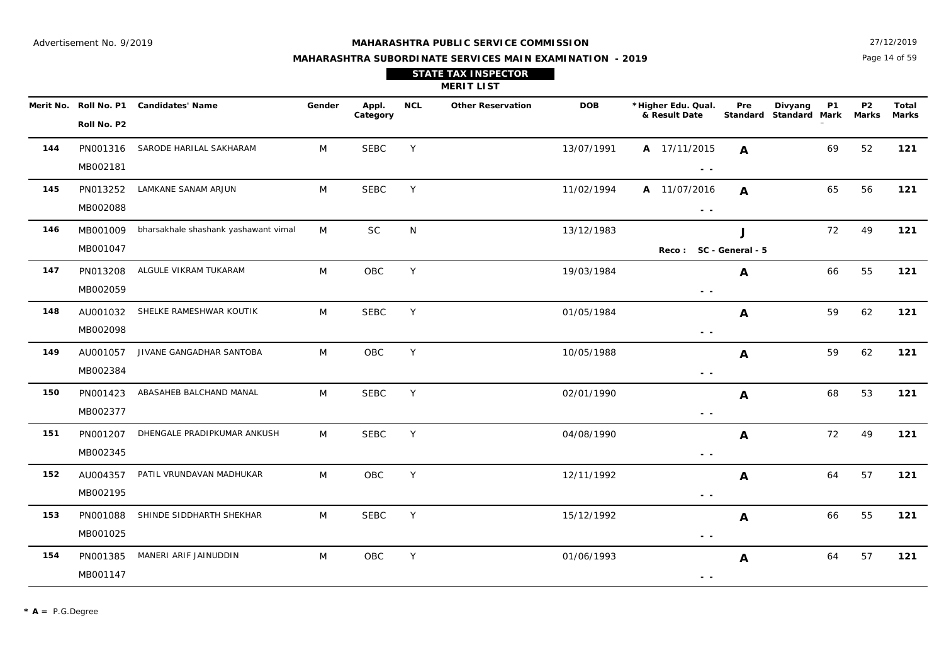27/12/2019

## **MAHARASHTRA SUBORDINATE SERVICES MAIN EXAMINATION - 2019 STATE TAX INSPECTOR**

Page 14 of 59

|     |                      |                                        |        |                   |            | <b>MERIT LIST</b>        |            |                                     |                  |                                                |                                |                       |
|-----|----------------------|----------------------------------------|--------|-------------------|------------|--------------------------|------------|-------------------------------------|------------------|------------------------------------------------|--------------------------------|-----------------------|
|     | Roll No. P2          | Merit No. Roll No. P1 Candidates' Name | Gender | Appl.<br>Category | <b>NCL</b> | <b>Other Reservation</b> | <b>DOB</b> | *Higher Edu. Qual.<br>& Result Date | Pre              | Divyang<br><b>P1</b><br>Standard Standard Mark | P <sub>2</sub><br><b>Marks</b> | Total<br><b>Marks</b> |
| 144 | PN001316<br>MB002181 | SARODE HARILAL SAKHARAM                | M      | <b>SEBC</b>       | Y          |                          | 13/07/1991 | A 17/11/2015<br>$ -$                | $\boldsymbol{A}$ | 69                                             | 52                             | 121                   |
| 145 | PN013252<br>MB002088 | LAMKANE SANAM ARJUN                    | M      | <b>SEBC</b>       | Y          |                          | 11/02/1994 | A 11/07/2016<br>$ -$                | $\mathbf{A}$     | 65                                             | 56                             | 121                   |
| 146 | MB001009<br>MB001047 | bharsakhale shashank yashawant vimal   | M      | <b>SC</b>         | ${\sf N}$  |                          | 13/12/1983 | Reco: SC - General - 5              | J                | 72                                             | 49                             | $121$                 |
| 147 | PN013208<br>MB002059 | ALGULE VIKRAM TUKARAM                  | M      | OBC               | Y          |                          | 19/03/1984 | $\sim$ $\sim$                       | $\mathbf{A}$     | 66                                             | 55                             | 121                   |
| 148 | AU001032<br>MB002098 | SHELKE RAMESHWAR KOUTIK                | M      | <b>SEBC</b>       | Y          |                          | 01/05/1984 | $ -$                                | A                | 59                                             | 62                             | 121                   |
| 149 | AU001057<br>MB002384 | JIVANE GANGADHAR SANTOBA               | M      | OBC               | Y          |                          | 10/05/1988 | $\sim$ $\sim$                       | A                | 59                                             | 62                             | $121$                 |
| 150 | PN001423<br>MB002377 | ABASAHEB BALCHAND MANAL                | M      | <b>SEBC</b>       | Y          |                          | 02/01/1990 | $\sim$ $\sim$                       | A                | 68                                             | 53                             | 121                   |
| 151 | PN001207<br>MB002345 | DHENGALE PRADIPKUMAR ANKUSH            | M      | <b>SEBC</b>       | Y          |                          | 04/08/1990 | $\sim$ $\sim$                       | A                | 72                                             | 49                             | 121                   |
| 152 | AU004357<br>MB002195 | PATIL VRUNDAVAN MADHUKAR               | M      | OBC               | Y          |                          | 12/11/1992 | $\sim$ $\sim$                       | A                | 64                                             | 57                             | $121$                 |
| 153 | PN001088<br>MB001025 | SHINDE SIDDHARTH SHEKHAR               | M      | <b>SEBC</b>       | Y          |                          | 15/12/1992 | $\sim$ $\sim$                       | A                | 66                                             | 55                             | 121                   |
| 154 | PN001385<br>MB001147 | MANERI ARIF JAINUDDIN                  | M      | OBC               | Y          |                          | 01/06/1993 | $ -$                                | A                | 64                                             | 57                             | 121                   |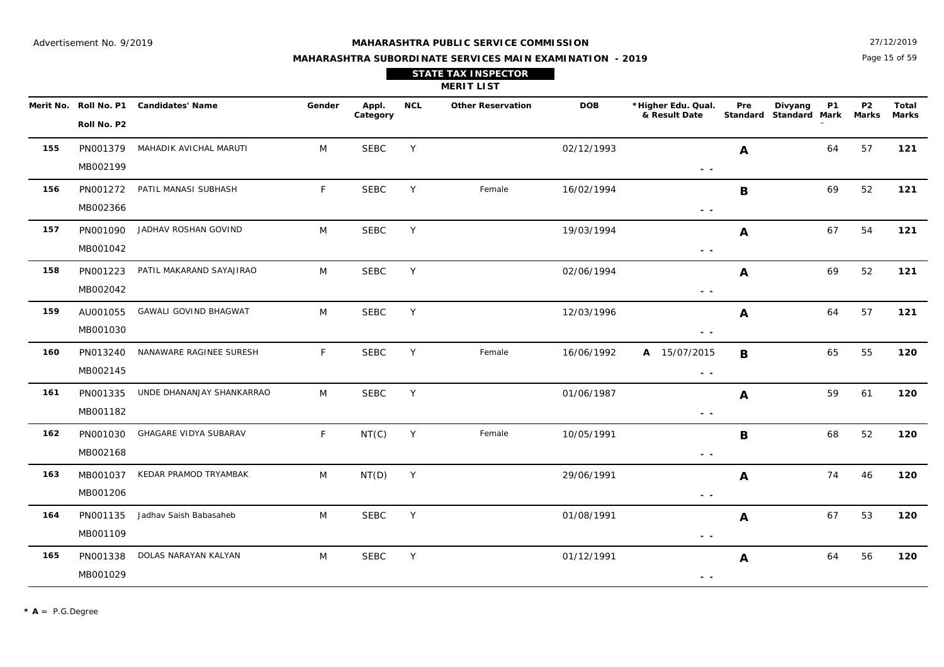27/12/2019

## **MAHARASHTRA SUBORDINATE SERVICES MAIN EXAMINATION - 2019 STATE TAX INSPECTOR**

Page 15 of 59

|     | <b>MERIT LIST</b>    |                                        |        |                   |            |                          |            |                                                                                 |                  |                                                |                           |                       |  |  |
|-----|----------------------|----------------------------------------|--------|-------------------|------------|--------------------------|------------|---------------------------------------------------------------------------------|------------------|------------------------------------------------|---------------------------|-----------------------|--|--|
|     | Roll No. P2          | Merit No. Roll No. P1 Candidates' Name | Gender | Appl.<br>Category | <b>NCL</b> | <b>Other Reservation</b> | <b>DOB</b> | *Higher Edu. Qual.<br>& Result Date                                             | Pre              | <b>P1</b><br>Divyang<br>Standard Standard Mark | <b>P2</b><br><b>Marks</b> | Total<br><b>Marks</b> |  |  |
| 155 | PN001379<br>MB002199 | MAHADIK AVICHAL MARUTI                 | M      | <b>SEBC</b>       | Y          |                          | 02/12/1993 | $\sim$ $\sim$                                                                   | A                | 64                                             | 57                        | 121                   |  |  |
| 156 | PN001272<br>MB002366 | PATIL MANASI SUBHASH                   | F      | <b>SEBC</b>       | Y          | Female                   | 16/02/1994 | $\sim$ $\sim$                                                                   | B                | 69                                             | 52                        | 121                   |  |  |
| 157 | PN001090<br>MB001042 | JADHAV ROSHAN GOVIND                   | M      | <b>SEBC</b>       | Y          |                          | 19/03/1994 | $\frac{1}{2} \left( \frac{1}{2} \right) \frac{1}{2} \left( \frac{1}{2} \right)$ | $\boldsymbol{A}$ | 67                                             | 54                        | 121                   |  |  |
| 158 | PN001223<br>MB002042 | PATIL MAKARAND SAYAJIRAO               | M      | <b>SEBC</b>       | Y          |                          | 02/06/1994 | $\sim$ $\sim$                                                                   | A                | 69                                             | 52                        | 121                   |  |  |
| 159 | AU001055<br>MB001030 | <b>GAWALI GOVIND BHAGWAT</b>           | M      | <b>SEBC</b>       | Y          |                          | 12/03/1996 | $\sim$ $\sim$                                                                   | A                | 64                                             | 57                        | 121                   |  |  |
| 160 | PN013240<br>MB002145 | NANAWARE RAGINEE SURESH                | F      | <b>SEBC</b>       | Y          | Female                   | 16/06/1992 | A 15/07/2015<br>$\sim$ $\sim$                                                   | B                | 65                                             | 55                        | 120                   |  |  |
| 161 | PN001335<br>MB001182 | UNDE DHANANJAY SHANKARRAO              | M      | <b>SEBC</b>       | Y          |                          | 01/06/1987 | $\sim$ $\sim$                                                                   | A                | 59                                             | 61                        | 120                   |  |  |
| 162 | PN001030<br>MB002168 | GHAGARE VIDYA SUBARAV                  | F      | NT(C)             | Y          | Female                   | 10/05/1991 | $\sim$ $\sim$                                                                   | B                | 68                                             | 52                        | 120                   |  |  |
| 163 | MB001037<br>MB001206 | KEDAR PRAMOD TRYAMBAK                  | M      | NT(D)             | Y          |                          | 29/06/1991 | $\sim$ $ \sim$                                                                  | A                | 74                                             | 46                        | 120                   |  |  |
| 164 | PN001135<br>MB001109 | Jadhav Saish Babasaheb                 | M      | <b>SEBC</b>       | Y          |                          | 01/08/1991 | $\frac{1}{2} \left( \frac{1}{2} \right) \frac{1}{2} \left( \frac{1}{2} \right)$ | A                | 67                                             | 53                        | 120                   |  |  |
| 165 | PN001338<br>MB001029 | DOLAS NARAYAN KALYAN                   | M      | <b>SEBC</b>       | Y          |                          | 01/12/1991 | $\sim$ $\sim$                                                                   | A                | 64                                             | 56                        | 120                   |  |  |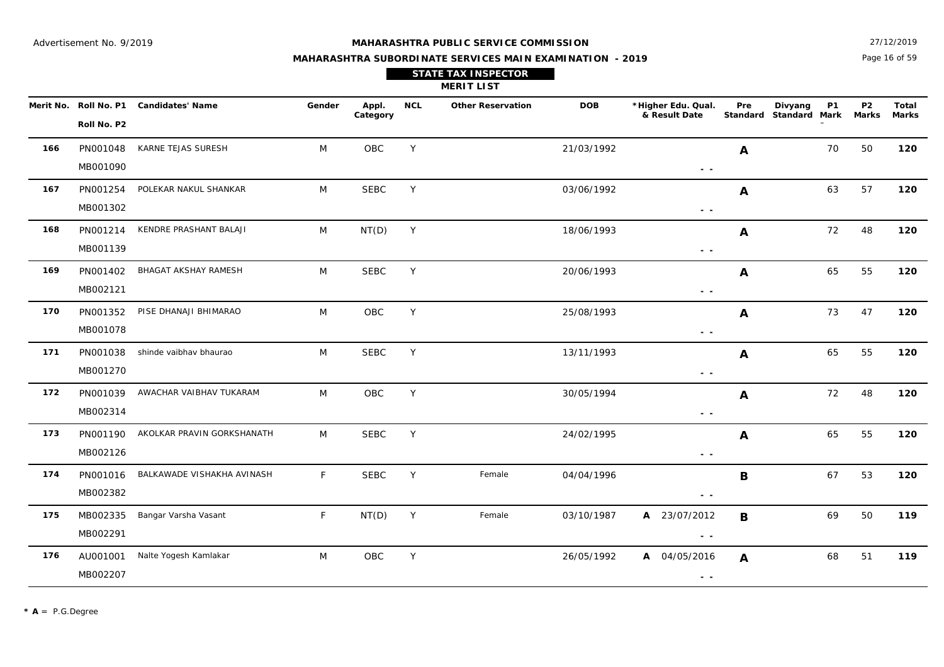27/12/2019

## **MAHARASHTRA SUBORDINATE SERVICES MAIN EXAMINATION - 2019 STATE TAX INSPECTOR**

Page 16 of 59

|     |                      |                                        |              |                   |            | <b>MERIT LIST</b>        |            |                                                                                   |                  |                                                |                         |                       |
|-----|----------------------|----------------------------------------|--------------|-------------------|------------|--------------------------|------------|-----------------------------------------------------------------------------------|------------------|------------------------------------------------|-------------------------|-----------------------|
|     | Roll No. P2          | Merit No. Roll No. P1 Candidates' Name | Gender       | Appl.<br>Category | <b>NCL</b> | <b>Other Reservation</b> | <b>DOB</b> | *Higher Edu. Qual.<br>& Result Date                                               | Pre              | Divyang<br><b>P1</b><br>Standard Standard Mark | P <sub>2</sub><br>Marks | <b>Total</b><br>Marks |
| 166 | PN001048<br>MB001090 | KARNE TEJAS SURESH                     | M            | OBC               | Y          |                          | 21/03/1992 | $ -$                                                                              | A                | 70                                             | 50                      | 120                   |
| 167 | PN001254<br>MB001302 | POLEKAR NAKUL SHANKAR                  | M            | <b>SEBC</b>       | Y          |                          | 03/06/1992 | $\sim$ $\sim$                                                                     | $\boldsymbol{A}$ | 63                                             | 57                      | 120                   |
| 168 | PN001214<br>MB001139 | KENDRE PRASHANT BALAJI                 | M            | NT(D)             | Y          |                          | 18/06/1993 | $ -$                                                                              | $\boldsymbol{A}$ | 72                                             | 48                      | 120                   |
| 169 | PN001402<br>MB002121 | BHAGAT AKSHAY RAMESH                   | M            | <b>SEBC</b>       | Y          |                          | 20/06/1993 | $\frac{1}{2} \left( \frac{1}{2} \right) = \frac{1}{2} \left( \frac{1}{2} \right)$ | $\boldsymbol{A}$ | 65                                             | 55                      | 120                   |
| 170 | PN001352<br>MB001078 | PISE DHANAJI BHIMARAO                  | M            | OBC               | Y          |                          | 25/08/1993 | $\sim$ $-$                                                                        | A                | 73                                             | 47                      | 120                   |
| 171 | PN001038<br>MB001270 | shinde vaibhav bhaurao                 | M            | <b>SEBC</b>       | Y          |                          | 13/11/1993 | $\frac{1}{2} \left( \frac{1}{2} \right)$                                          | $\boldsymbol{A}$ | 65                                             | 55                      | 120                   |
| 172 | PN001039<br>MB002314 | AWACHAR VAIBHAV TUKARAM                | M            | OBC               | Y          |                          | 30/05/1994 | $\frac{1}{2} \left( \frac{1}{2} \right)$                                          | $\boldsymbol{A}$ | 72                                             | 48                      | 120                   |
| 173 | PN001190<br>MB002126 | AKOLKAR PRAVIN GORKSHANATH             | M            | <b>SEBC</b>       | Y          |                          | 24/02/1995 | $\frac{1}{2} \left( \frac{1}{2} \right)$                                          | A                | 65                                             | 55                      | 120                   |
| 174 | PN001016<br>MB002382 | BALKAWADE VISHAKHA AVINASH             | $\mathsf{F}$ | <b>SEBC</b>       | Y          | Female                   | 04/04/1996 | $ -$                                                                              | B                | 67                                             | 53                      | 120                   |
| 175 | MB002335<br>MB002291 | Bangar Varsha Vasant                   | F.           | NT(D)             | Y          | Female                   | 03/10/1987 | A 23/07/2012<br>$\sim$ $\sim$                                                     | B                | 69                                             | 50                      | 119                   |
| 176 | AU001001<br>MB002207 | Nalte Yogesh Kamlakar                  | M            | OBC               | Y          |                          | 26/05/1992 | A 04/05/2016<br>$\sim$ $\sim$                                                     | $\boldsymbol{A}$ | 68                                             | 51                      | 119                   |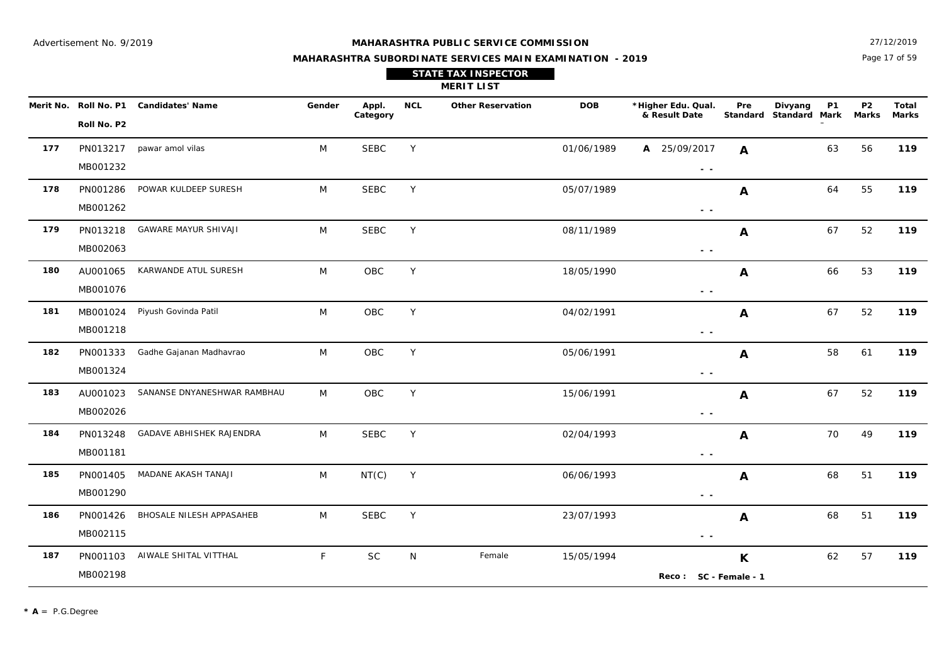Page 17 of 59 27/12/2019

|     |       |     | <b>STATE TAX INSPECTOR</b><br><b>MERIT LIST</b> |            |        |
|-----|-------|-----|-------------------------------------------------|------------|--------|
| ler | Appl. | NCL | <b>Other Reservation</b>                        | <b>DOB</b> | *Highe |

|     | Roll No. P2 | Merit No. Roll No. P1 Candidates' Name | Gender       | Appl.<br>Category | <b>NCL</b> | <b>Other Reservation</b> | <b>DOB</b> | *Higher Edu. Qual.<br>& Result Date | Pre                       | Divyang<br>Standard Standard Mark | <b>P1</b> | P <sub>2</sub><br>Marks | <b>Total</b><br><b>Marks</b> |
|-----|-------------|----------------------------------------|--------------|-------------------|------------|--------------------------|------------|-------------------------------------|---------------------------|-----------------------------------|-----------|-------------------------|------------------------------|
| 177 |             | PN013217 pawar amol vilas              | M            | <b>SEBC</b>       | Y          |                          | 01/06/1989 | A 25/09/2017                        | A                         |                                   | 63        | 56                      | 119                          |
|     | MB001232    |                                        |              |                   |            |                          |            | $\sim$ $ \sim$                      |                           |                                   |           |                         |                              |
| 178 | PN001286    | POWAR KULDEEP SURESH                   | M            | <b>SEBC</b>       | Y          |                          | 05/07/1989 |                                     | $\mathbf{A}$              |                                   | 64        | 55                      | 119                          |
|     | MB001262    |                                        |              |                   |            |                          |            | $\sim$ $\sim$                       |                           |                                   |           |                         |                              |
| 179 | PN013218    | <b>GAWARE MAYUR SHIVAJI</b>            | M            | <b>SEBC</b>       | Y          |                          | 08/11/1989 |                                     | A                         |                                   | 67        | 52                      | 119                          |
|     | MB002063    |                                        |              |                   |            |                          |            | $\sim$ $\sim$                       |                           |                                   |           |                         |                              |
| 180 | AU001065    | KARWANDE ATUL SURESH                   | M            | OBC               | Y          |                          | 18/05/1990 |                                     | $\mathbf{A}$              |                                   | 66        | 53                      | 119                          |
|     | MB001076    |                                        |              |                   |            |                          |            | $\sim$ $\sim$                       |                           |                                   |           |                         |                              |
| 181 | MB001024    | Piyush Govinda Patil                   | M            | OBC               | Y          |                          | 04/02/1991 |                                     | A                         |                                   | 67        | 52                      | 119                          |
|     | MB001218    |                                        |              |                   |            |                          |            | $ -$                                |                           |                                   |           |                         |                              |
| 182 | PN001333    | Gadhe Gajanan Madhavrao                | M            | OBC               | Y          |                          | 05/06/1991 |                                     | $\mathbf{A}$              |                                   | 58        | 61                      | 119                          |
|     | MB001324    |                                        |              |                   |            |                          |            | - -                                 |                           |                                   |           |                         |                              |
| 183 | AU001023    | SANANSE DNYANESHWAR RAMBHAU            | M            | OBC               | Y          |                          | 15/06/1991 |                                     | A                         |                                   | 67        | 52                      | 119                          |
|     | MB002026    |                                        |              |                   |            |                          |            | - -                                 |                           |                                   |           |                         |                              |
| 184 | PN013248    | GADAVE ABHISHEK RAJENDRA               | M            | <b>SEBC</b>       | Y          |                          | 02/04/1993 |                                     | A                         |                                   | 70        | 49                      | 119                          |
|     | MB001181    |                                        |              |                   |            |                          |            | $ -$                                |                           |                                   |           |                         |                              |
| 185 | PN001405    | MADANE AKASH TANAJI                    | M            | NT(C)             | Y          |                          | 06/06/1993 |                                     | $\mathbf{A}$              |                                   | 68        | 51                      | 119                          |
|     | MB001290    |                                        |              |                   |            |                          |            | $ -$                                |                           |                                   |           |                         |                              |
| 186 | PN001426    | BHOSALE NILESH APPASAHEB               | M            | <b>SEBC</b>       | Y          |                          | 23/07/1993 |                                     | $\mathbf{A}$              |                                   | 68        | 51                      | 119                          |
|     | MB002115    |                                        |              |                   |            |                          |            | $\sim$ $\sim$                       |                           |                                   |           |                         |                              |
| 187 |             | PN001103 AIWALE SHITAL VITTHAL         | $\mathsf{F}$ | <b>SC</b>         | N          | Female                   | 15/05/1994 |                                     | $\boldsymbol{\mathsf{K}}$ |                                   | 62        | 57                      | 119                          |
|     | MB002198    |                                        |              |                   |            |                          |            | Reco: SC - Female - 1               |                           |                                   |           |                         |                              |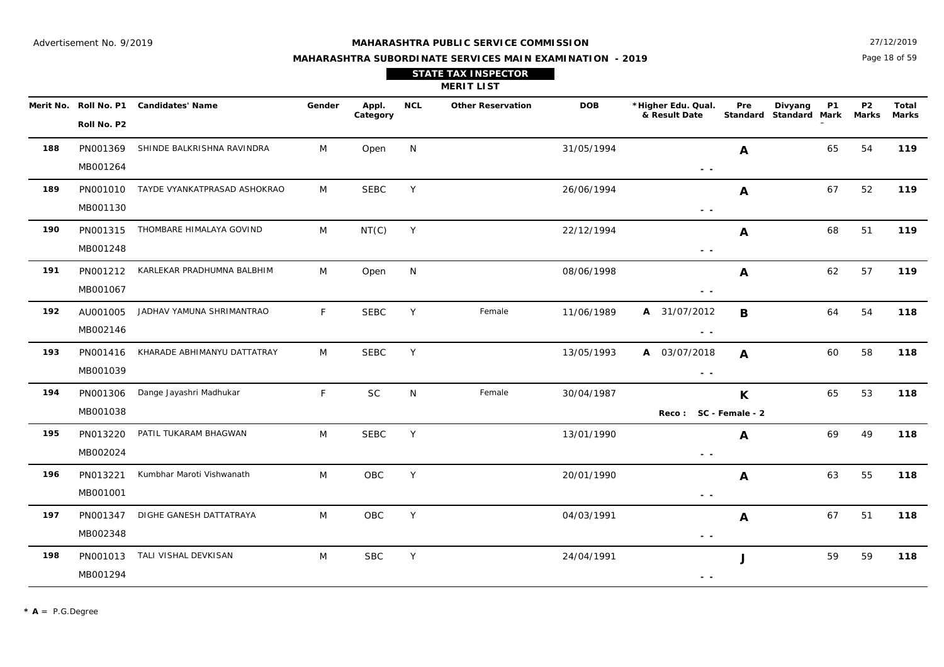Page 18 of 59 27/12/2019

#### **MAHARASHTRA SUBORDINATE SERVICES MAIN EXAMINATION - 2019**

**STATE TAX INSPECTOR**

**MERIT LIST**

|     | Roll No. P2          | Merit No. Roll No. P1 Candidates' Name | Gender       | Appl.<br>Category | <b>NCL</b> | <b>Other Reservation</b> | <b>DOB</b> | *Higher Edu. Qual.<br>& Result Date                                                             | Pre          | Divyang<br><b>P1</b><br>Standard Standard Mark | <b>P2</b><br>Marks | Total<br>Marks |
|-----|----------------------|----------------------------------------|--------------|-------------------|------------|--------------------------|------------|-------------------------------------------------------------------------------------------------|--------------|------------------------------------------------|--------------------|----------------|
| 188 | PN001369<br>MB001264 | SHINDE BALKRISHNA RAVINDRA             | M            | Open              | N          |                          | 31/05/1994 | $\sim$ $\sim$                                                                                   | A            | 65                                             | 54                 | 119            |
| 189 | MB001130             | PN001010 TAYDE VYANKATPRASAD ASHOKRAO  | M            | <b>SEBC</b>       | Y          |                          | 26/06/1994 | $\sim$ $\sim$                                                                                   | A            | 67                                             | 52                 | 119            |
| 190 | MB001248             | PN001315 THOMBARE HIMALAYA GOVIND      | M            | NT(C)             | Y          |                          | 22/12/1994 | $\sim$ $\sim$                                                                                   | $\mathbf{A}$ | 68                                             | 51                 | 119            |
| 191 | PN001212<br>MB001067 | KARLEKAR PRADHUMNA BALBHIM             | M            | Open              | N          |                          | 08/06/1998 | $ -$                                                                                            | $\mathbf{A}$ | 62                                             | 57                 | 119            |
| 192 | AU001005<br>MB002146 | JADHAV YAMUNA SHRIMANTRAO              | $\mathsf{F}$ | <b>SEBC</b>       | Y          | Female                   | 11/06/1989 | A 31/07/2012<br>$\frac{1}{2} \left( \frac{1}{2} \right) \frac{1}{2} \left( \frac{1}{2} \right)$ | B            | 64                                             | 54                 | 118            |
| 193 | PN001416<br>MB001039 | KHARADE ABHIMANYU DATTATRAY            | M            | <b>SEBC</b>       | Y          |                          | 13/05/1993 | A 03/07/2018<br>$\sim$ $\sim$                                                                   | A            | 60                                             | 58                 | 118            |
| 194 | PN001306<br>MB001038 | Dange Jayashri Madhukar                | F            | <b>SC</b>         | N          | Female                   | 30/04/1987 | Reco: SC - Female - 2                                                                           | $\mathsf{K}$ | 65                                             | 53                 | 118            |
| 195 | PN013220<br>MB002024 | PATIL TUKARAM BHAGWAN                  | M            | <b>SEBC</b>       | Y          |                          | 13/01/1990 | $\sim$ $\sim$                                                                                   | $\mathbf{A}$ | 69                                             | 49                 | 118            |
| 196 | PN013221<br>MB001001 | Kumbhar Maroti Vishwanath              | M            | OBC               | Y          |                          | 20/01/1990 | $\sim$ $\sim$                                                                                   | $\mathbf{A}$ | 63                                             | 55                 | 118            |
| 197 | PN001347<br>MB002348 | DIGHE GANESH DATTATRAYA                | M            | OBC               | Y          |                          | 04/03/1991 | $\sim$ $\sim$                                                                                   | A            | 67                                             | 51                 | 118            |
| 198 | MB001294             | PN001013 TALI VISHAL DEVKISAN          | M            | <b>SBC</b>        | Y          |                          | 24/04/1991 | $\sim$ $\sim$                                                                                   | J            | 59                                             | 59                 | 118            |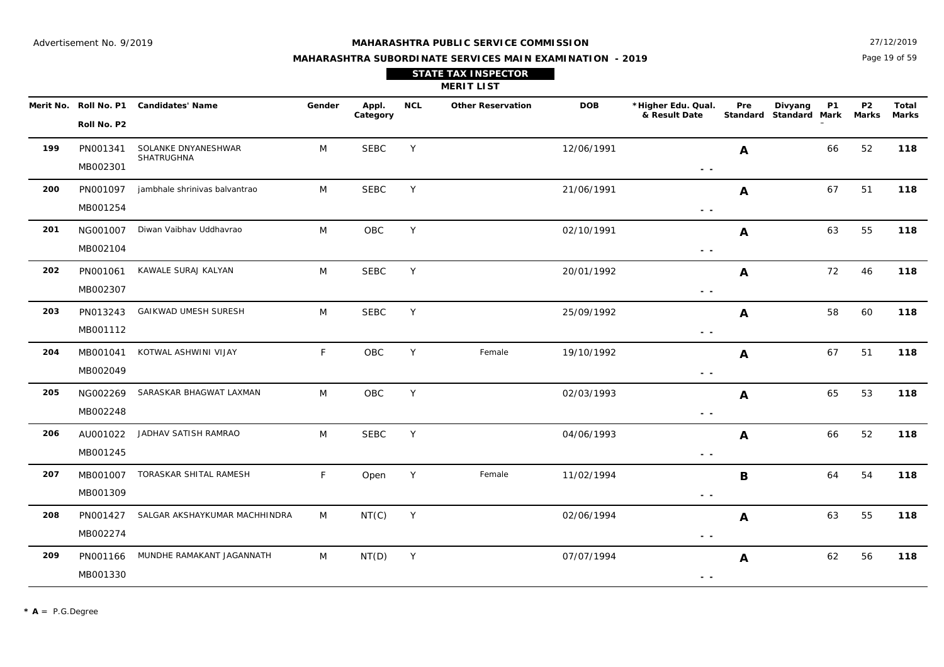Page 19 of 59 27/12/2019

## **MAHARASHTRA SUBORDINATE SERVICES MAIN EXAMINATION - 2019 STATE TAX INSPECTOR**

| $ \cdot$ $\cdot$ |  |  |
|------------------|--|--|
|                  |  |  |
|                  |  |  |
|                  |  |  |
|                  |  |  |
|                  |  |  |

|     |                      |                                        |        |                   |            | <b>MERIT LIST</b>        |            |                                                                                   |                  |                                                |                         |                       |
|-----|----------------------|----------------------------------------|--------|-------------------|------------|--------------------------|------------|-----------------------------------------------------------------------------------|------------------|------------------------------------------------|-------------------------|-----------------------|
|     | Roll No. P2          | Merit No. Roll No. P1 Candidates' Name | Gender | Appl.<br>Category | <b>NCL</b> | <b>Other Reservation</b> | <b>DOB</b> | *Higher Edu. Qual.<br>& Result Date                                               | Pre              | Divyang<br><b>P1</b><br>Standard Standard Mark | P <sub>2</sub><br>Marks | Total<br><b>Marks</b> |
| 199 | PN001341<br>MB002301 | SOLANKE DNYANESHWAR<br>SHATRUGHNA      | M      | <b>SEBC</b>       | Y          |                          | 12/06/1991 | $\frac{1}{2} \left( \frac{1}{2} \right) = \frac{1}{2} \left( \frac{1}{2} \right)$ | $\boldsymbol{A}$ | 66                                             | 52                      | 118                   |
| 200 | PN001097<br>MB001254 | jambhale shrinivas balvantrao          | M      | <b>SEBC</b>       | Y          |                          | 21/06/1991 | $\sim$ $-$                                                                        | $\boldsymbol{A}$ | 67                                             | 51                      | 118                   |
| 201 | NG001007<br>MB002104 | Diwan Vaibhav Uddhavrao                | M      | OBC               | Y          |                          | 02/10/1991 | - -                                                                               | $\mathbf{A}$     | 63                                             | 55                      | 118                   |
| 202 | PN001061<br>MB002307 | KAWALE SURAJ KALYAN                    | M      | <b>SEBC</b>       | Y          |                          | 20/01/1992 | $\frac{1}{2} \left( \frac{1}{2} \right) = \frac{1}{2} \left( \frac{1}{2} \right)$ | A                | 72                                             | 46                      | 118                   |
| 203 | PN013243<br>MB001112 | GAIKWAD UMESH SURESH                   | M      | <b>SEBC</b>       | Y          |                          | 25/09/1992 | $ -$                                                                              | A                | 58                                             | 60                      | 118                   |
| 204 | MB001041<br>MB002049 | KOTWAL ASHWINI VIJAY                   | F      | <b>OBC</b>        | Y          | Female                   | 19/10/1992 | $\sim$ $\sim$                                                                     | A                | 67                                             | 51                      | 118                   |
| 205 | NG002269<br>MB002248 | SARASKAR BHAGWAT LAXMAN                | M      | OBC               | Y          |                          | 02/03/1993 | $ -$                                                                              | A                | 65                                             | 53                      | 118                   |
| 206 | AU001022<br>MB001245 | JADHAV SATISH RAMRAO                   | M      | <b>SEBC</b>       | Y          |                          | 04/06/1993 | $\sim$ $-$                                                                        | $\boldsymbol{A}$ | 66                                             | 52                      | 118                   |
| 207 | MB001007<br>MB001309 | TORASKAR SHITAL RAMESH                 | F      | Open              | Y          | Female                   | 11/02/1994 | $\sim$ $\sim$                                                                     | B                | 64                                             | 54                      | 118                   |
| 208 | PN001427<br>MB002274 | SALGAR AKSHAYKUMAR MACHHINDRA          | M      | NT(C)             | Y          |                          | 02/06/1994 | $ -$                                                                              | $\boldsymbol{A}$ | 63                                             | 55                      | 118                   |
| 209 | PN001166<br>MB001330 | MUNDHE RAMAKANT JAGANNATH              | M      | NT(D)             | Y          |                          | 07/07/1994 | - -                                                                               | A                | 62                                             | 56                      | 118                   |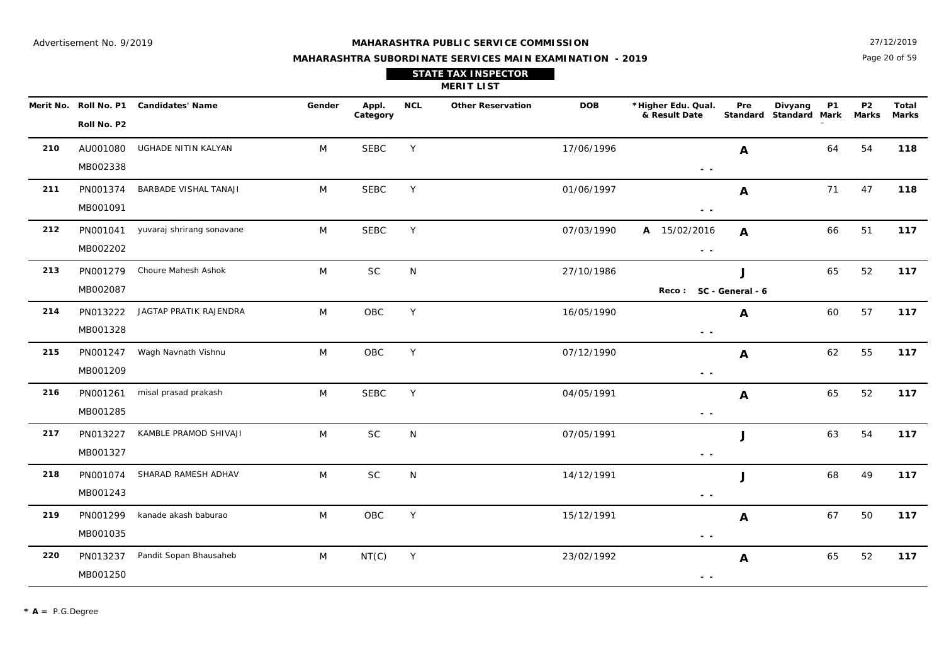Page 20 of 59 27/12/2019

|                          |                         |        |                   |     | <b>STATE TAX INSPECTOR</b><br><b>MERIT LIST</b> |            |                                     |                        |                     |                   |                         |              |
|--------------------------|-------------------------|--------|-------------------|-----|-------------------------------------------------|------------|-------------------------------------|------------------------|---------------------|-------------------|-------------------------|--------------|
| Merit No.<br>Roll No. P1 | <b>Candidates' Name</b> | Gender | Appl.<br>Category | NCL | <b>Other Reservation</b>                        | <b>DOB</b> | *Higher Edu. Qual.<br>& Result Date | Pre<br><b>Standard</b> | Divyang<br>Standard | <b>P1</b><br>Mark | P <sub>2</sub><br>Marks | Tota<br>Mark |

|     | Roll No. P2          | Merit No. Roll No. P1 Candidates' Name | Gender | Appl.<br>Category | <b>NCL</b> | <b>Other Reservation</b> | <b>DOB</b> | *Higher Edu. Qual.<br>& Result Date                                               | Pre          | Divyang<br>Standard Standard Mark | <b>P1</b> | P2<br>Marks | Total<br>Marks |
|-----|----------------------|----------------------------------------|--------|-------------------|------------|--------------------------|------------|-----------------------------------------------------------------------------------|--------------|-----------------------------------|-----------|-------------|----------------|
| 210 | AU001080<br>MB002338 | UGHADE NITIN KALYAN                    | M      | <b>SEBC</b>       | Y          |                          | 17/06/1996 | $\frac{1}{2} \left( \frac{1}{2} \right) = \frac{1}{2}$                            | A            |                                   | 64        | 54          | 118            |
| 211 | PN001374<br>MB001091 | BARBADE VISHAL TANAJI                  | M      | <b>SEBC</b>       | Y          |                          | 01/06/1997 | $\frac{1}{2} \left( \frac{1}{2} \right) = \frac{1}{2}$                            | A            |                                   | 71        | 47          | 118            |
| 212 | MB002202             | PN001041 yuvaraj shrirang sonavane     | M      | <b>SEBC</b>       | Y          |                          | 07/03/1990 | A 15/02/2016<br>$\sim$ $\sim$                                                     | $\mathbf{A}$ |                                   | 66        | 51          | 117            |
| 213 | PN001279<br>MB002087 | Choure Mahesh Ashok                    | M      | <b>SC</b>         | N          |                          | 27/10/1986 | Reco: SC - General - 6                                                            | J            |                                   | 65        | 52          | 117            |
| 214 | PN013222<br>MB001328 | JAGTAP PRATIK RAJENDRA                 | M      | OBC               | Y          |                          | 16/05/1990 | $ -$                                                                              | A            |                                   | 60        | 57          | 117            |
| 215 | MB001209             | PN001247 Wagh Navnath Vishnu           | M      | OBC               | Y          |                          | 07/12/1990 | $\frac{1}{2} \left( \frac{1}{2} \right) = \frac{1}{2} \left( \frac{1}{2} \right)$ | $\mathbf{A}$ |                                   | 62        | 55          | 117            |
| 216 | PN001261<br>MB001285 | misal prasad prakash                   | M      | <b>SEBC</b>       | Y          |                          | 04/05/1991 | $\sim$ $\sim$                                                                     | A            |                                   | 65        | 52          | 117            |
| 217 | PN013227<br>MB001327 | KAMBLE PRAMOD SHIVAJI                  | M      | SC                | N          |                          | 07/05/1991 | $\frac{1}{2} \left( \frac{1}{2} \right) = \frac{1}{2} \left( \frac{1}{2} \right)$ | J            |                                   | 63        | 54          | 117            |
| 218 | PN001074<br>MB001243 | SHARAD RAMESH ADHAV                    | M      | $\sf SC$          | N          |                          | 14/12/1991 | $\frac{1}{2} \left( \frac{1}{2} \right) = \frac{1}{2} \left( \frac{1}{2} \right)$ | J            |                                   | 68        | 49          | 117            |
| 219 | PN001299<br>MB001035 | kanade akash baburao                   | M      | OBC               | Y          |                          | 15/12/1991 | $\frac{1}{2} \left( \frac{1}{2} \right) = \frac{1}{2} \left( \frac{1}{2} \right)$ | A            |                                   | 67        | 50          | 117            |
| 220 | MB001250             | PN013237 Pandit Sopan Bhausaheb        | M      | NT(C)             | Y          |                          | 23/02/1992 | $\frac{1}{2} \left( \frac{1}{2} \right) = \frac{1}{2}$                            | A            |                                   | 65        | 52          | 117            |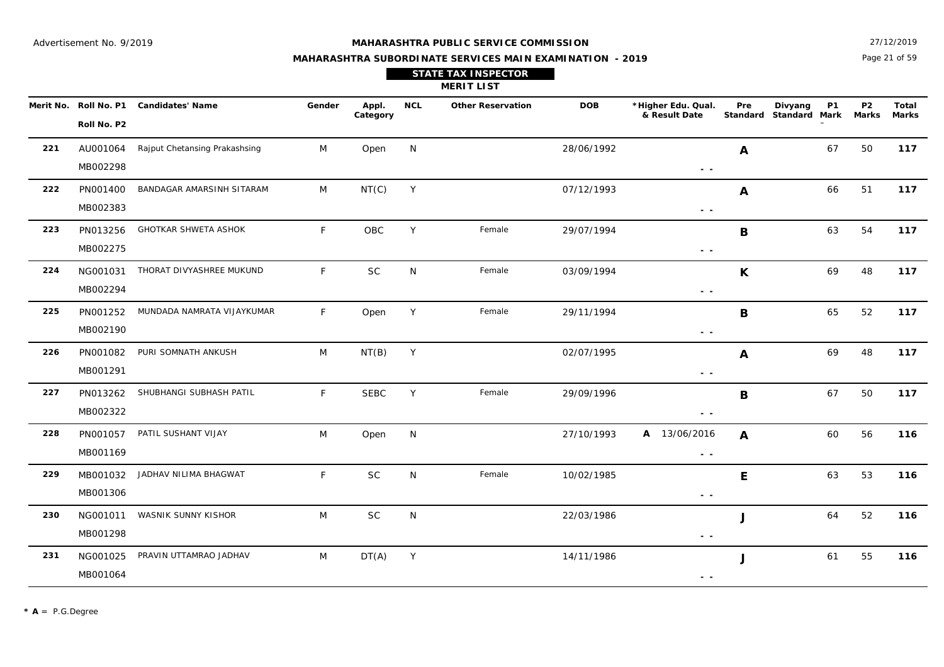27/12/2019

## **MAHARASHTRA SUBORDINATE SERVICES MAIN EXAMINATION - 2019 STATE TAX INSPECTOR**

Page 21 of 59

|     |                      |                                        |        |                   |              | <b>MERIT LIST</b>        |            |                                                                                   |                  |                                   |           |                           |                       |
|-----|----------------------|----------------------------------------|--------|-------------------|--------------|--------------------------|------------|-----------------------------------------------------------------------------------|------------------|-----------------------------------|-----------|---------------------------|-----------------------|
|     | Roll No. P2          | Merit No. Roll No. P1 Candidates' Name | Gender | Appl.<br>Category | <b>NCL</b>   | <b>Other Reservation</b> | <b>DOB</b> | *Higher Edu. Qual.<br>& Result Date                                               | Pre              | Divyang<br>Standard Standard Mark | <b>P1</b> | <b>P2</b><br><b>Marks</b> | Total<br><b>Marks</b> |
| 221 | AU001064<br>MB002298 | Rajput Chetansing Prakashsing          | M      | Open              | N            |                          | 28/06/1992 | $\frac{1}{2} \left( \frac{1}{2} \right) \frac{1}{2} \left( \frac{1}{2} \right)$   | A                |                                   | 67        | 50                        | 117                   |
| 222 | PN001400<br>MB002383 | BANDAGAR AMARSINH SITARAM              | M      | NT(C)             | Y            |                          | 07/12/1993 | $\sim$ $\sim$                                                                     | A                |                                   | 66        | 51                        | 117                   |
| 223 | PN013256<br>MB002275 | <b>GHOTKAR SHWETA ASHOK</b>            | F      | OBC               | Y            | Female                   | 29/07/1994 | $\sim$ $-$                                                                        | B                |                                   | 63        | 54                        | 117                   |
| 224 | NG001031<br>MB002294 | THORAT DIVYASHREE MUKUND               | F      | <b>SC</b>         | N            | Female                   | 03/09/1994 | $\sim$ $\sim$                                                                     | $\mathsf{K}$     |                                   | 69        | 48                        | 117                   |
| 225 | PN001252<br>MB002190 | MUNDADA NAMRATA VIJAYKUMAR             | F.     | Open              | Y            | Female                   | 29/11/1994 | $\sim$ $-$                                                                        | $\mathbf B$      |                                   | 65        | 52                        | 117                   |
| 226 | PN001082<br>MB001291 | PURI SOMNATH ANKUSH                    | M      | NT(B)             | Y            |                          | 02/07/1995 | $\sim$ $\sim$                                                                     | $\boldsymbol{A}$ |                                   | 69        | 48                        | 117                   |
| 227 | PN013262<br>MB002322 | SHUBHANGI SUBHASH PATIL                | F      | <b>SEBC</b>       | Y            | Female                   | 29/09/1996 | $\sim$ $\sim$                                                                     | $\mathbf B$      |                                   | 67        | 50                        | 117                   |
| 228 | PN001057<br>MB001169 | PATIL SUSHANT VIJAY                    | M      | Open              | N            |                          | 27/10/1993 | A 13/06/2016<br>$\sim$ $\sim$                                                     | $\boldsymbol{A}$ |                                   | 60        | 56                        | 116                   |
| 229 | MB001032<br>MB001306 | JADHAV NILIMA BHAGWAT                  | F      | <b>SC</b>         | N            | Female                   | 10/02/1985 | $\frac{1}{2} \left( \frac{1}{2} \right) = \frac{1}{2} \left( \frac{1}{2} \right)$ | E                |                                   | 63        | 53                        | 116                   |
| 230 | NG001011<br>MB001298 | WASNIK SUNNY KISHOR                    | M      | <b>SC</b>         | $\mathsf{N}$ |                          | 22/03/1986 | $\sim$ $\sim$                                                                     | J                |                                   | 64        | 52                        | 116                   |
| 231 | NG001025<br>MB001064 | PRAVIN UTTAMRAO JADHAV                 | M      | DT(A)             | Y            |                          | 14/11/1986 | $\sim$ $\sim$                                                                     | J                |                                   | 61        | 55                        | 116                   |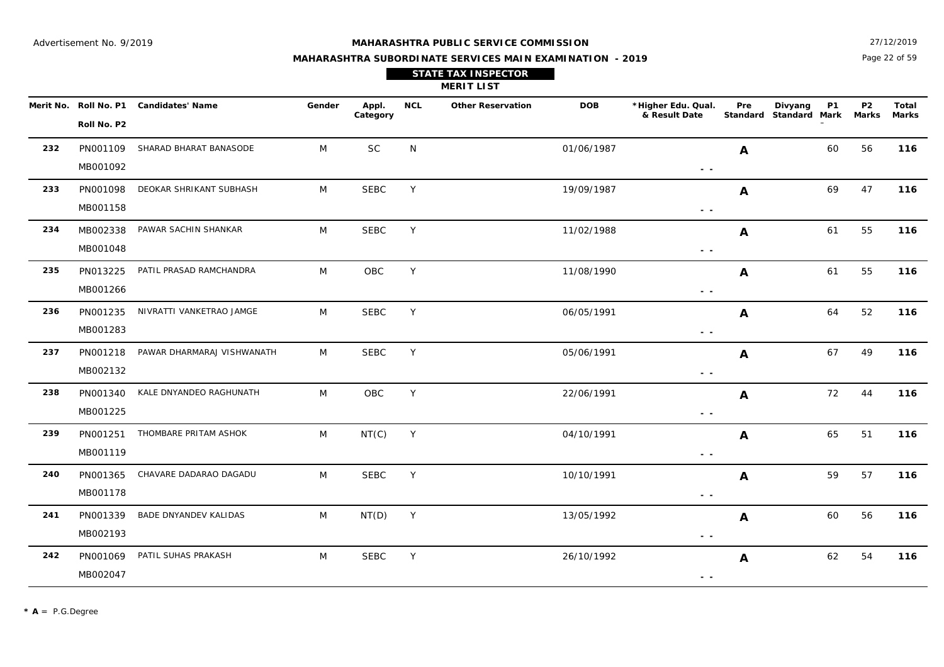**NCL Other Reservation**

**Merit No. \*Higher Edu. Qual. Roll No. P1 Candidates' Name Gender Appl. DOB**

**Category**

SEBC

Page 22 of 59 27/12/2019

**Marks**

**P1 Mark**

**Divyang Standard**

**P2 Marks**

#### **MAHARASHTRA SUBORDINATE SERVICES MAIN EXAMINATION - 2019**

**MERIT LIST STATE TAX INSPECTOR**

**& Result Date** 

M SEBC Y 26/10/1992 **A** 62 54 **116** 

Y 26/10/1992 **A** 62 54

 **- -** 

**A**

**Total Pre Standard**

|     | Roll No. P2 |                            |   |             |   |            |                                                                                                                                                                                                                                                                                                                                                                                                                                                |    |    |     |
|-----|-------------|----------------------------|---|-------------|---|------------|------------------------------------------------------------------------------------------------------------------------------------------------------------------------------------------------------------------------------------------------------------------------------------------------------------------------------------------------------------------------------------------------------------------------------------------------|----|----|-----|
| 232 | PN001109    | SHARAD BHARAT BANASODE     | M | <b>SC</b>   | N | 01/06/1987 | A                                                                                                                                                                                                                                                                                                                                                                                                                                              | 60 | 56 | 116 |
|     | MB001092    |                            |   |             |   |            |                                                                                                                                                                                                                                                                                                                                                                                                                                                |    |    |     |
| 233 | PN001098    | DEOKAR SHRIKANT SUBHASH    | M | <b>SEBC</b> | Y | 19/09/1987 | A                                                                                                                                                                                                                                                                                                                                                                                                                                              | 69 | 47 | 116 |
|     | MB001158    |                            |   |             |   |            | $ -$                                                                                                                                                                                                                                                                                                                                                                                                                                           |    |    |     |
| 234 | MB002338    | PAWAR SACHIN SHANKAR       | M | <b>SEBC</b> | Y | 11/02/1988 | A                                                                                                                                                                                                                                                                                                                                                                                                                                              | 61 | 55 | 116 |
|     | MB001048    |                            |   |             |   |            | $\frac{1}{2} \left( \frac{1}{2} \right) = \frac{1}{2} \left( \frac{1}{2} \right)$                                                                                                                                                                                                                                                                                                                                                              |    |    |     |
| 235 | PN013225    | PATIL PRASAD RAMCHANDRA    | M | OBC         | Y | 11/08/1990 | A                                                                                                                                                                                                                                                                                                                                                                                                                                              | 61 | 55 | 116 |
|     | MB001266    |                            |   |             |   |            | - -                                                                                                                                                                                                                                                                                                                                                                                                                                            |    |    |     |
| 236 | PN001235    | NIVRATTI VANKETRAO JAMGE   | M | <b>SEBC</b> | Y | 06/05/1991 | A                                                                                                                                                                                                                                                                                                                                                                                                                                              | 64 | 52 | 116 |
|     | MB001283    |                            |   |             |   |            | $ -$                                                                                                                                                                                                                                                                                                                                                                                                                                           |    |    |     |
| 237 | PN001218    | PAWAR DHARMARAJ VISHWANATH | M | <b>SEBC</b> | Y | 05/06/1991 | A                                                                                                                                                                                                                                                                                                                                                                                                                                              | 67 | 49 | 116 |
|     | MB002132    |                            |   |             |   |            | $ -$                                                                                                                                                                                                                                                                                                                                                                                                                                           |    |    |     |
| 238 | PN001340    | KALE DNYANDEO RAGHUNATH    | M | OBC         | Υ | 22/06/1991 | $\boldsymbol{A}$                                                                                                                                                                                                                                                                                                                                                                                                                               | 72 | 44 | 116 |
|     | MB001225    |                            |   |             |   |            | - -                                                                                                                                                                                                                                                                                                                                                                                                                                            |    |    |     |
| 239 | PN001251    | THOMBARE PRITAM ASHOK      | M | NT(C)       | Y | 04/10/1991 | $\mathbf{A}$                                                                                                                                                                                                                                                                                                                                                                                                                                   | 65 | 51 | 116 |
|     | MB001119    |                            |   |             |   |            | $\frac{1}{2} \left( \frac{1}{2} \right) \frac{1}{2} \left( \frac{1}{2} \right) \frac{1}{2} \left( \frac{1}{2} \right) \frac{1}{2} \left( \frac{1}{2} \right) \frac{1}{2} \left( \frac{1}{2} \right) \frac{1}{2} \left( \frac{1}{2} \right) \frac{1}{2} \left( \frac{1}{2} \right) \frac{1}{2} \left( \frac{1}{2} \right) \frac{1}{2} \left( \frac{1}{2} \right) \frac{1}{2} \left( \frac{1}{2} \right) \frac{1}{2} \left( \frac{1}{2} \right)$ |    |    |     |
| 240 | PN001365    | CHAVARE DADARAO DAGADU     | M | <b>SEBC</b> | Y | 10/10/1991 | A                                                                                                                                                                                                                                                                                                                                                                                                                                              | 59 | 57 | 116 |
|     | MB001178    |                            |   |             |   |            |                                                                                                                                                                                                                                                                                                                                                                                                                                                |    |    |     |
| 241 | PN001339    | BADE DNYANDEV KALIDAS      | M | NT(D)       | Y | 13/05/1992 | A                                                                                                                                                                                                                                                                                                                                                                                                                                              | 60 | 56 | 116 |
|     | MB002193    |                            |   |             |   |            | $\sim$                                                                                                                                                                                                                                                                                                                                                                                                                                         |    |    |     |

MB002047

PN001069

PATIL SUHAS PRAKASH M

**242**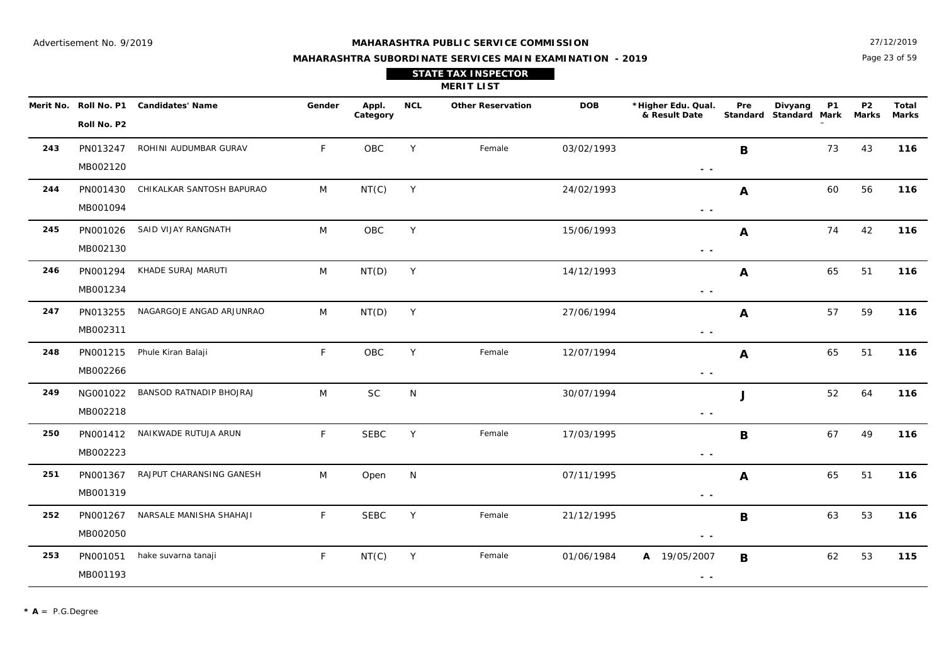Page 23 of 59 27/12/2019

| <b>STATE TAX INSPECTOR</b> |  |
|----------------------------|--|
|                            |  |

|     | Merit No. Roll No. P1 | <b>Candidates' Name</b>   | Gender       | Appl.<br>Category | <b>NCL</b> | <b>Other Reservation</b> | <b>DOB</b> | *Higher Edu. Qual.<br>& Result Date                                             | Pre         | <b>P1</b><br>Divyang<br>Standard Standard Mark | <b>P2</b><br>Marks | Total<br><b>Marks</b> |
|-----|-----------------------|---------------------------|--------------|-------------------|------------|--------------------------|------------|---------------------------------------------------------------------------------|-------------|------------------------------------------------|--------------------|-----------------------|
|     | Roll No. P2           |                           |              |                   |            |                          |            |                                                                                 |             |                                                |                    |                       |
| 243 | PN013247              | ROHINI AUDUMBAR GURAV     | $\mathsf{F}$ | <b>OBC</b>        | Y          | Female                   | 03/02/1993 |                                                                                 | B           | 73                                             | 43                 | 116                   |
|     | MB002120              |                           |              |                   |            |                          |            | $\sim$ $\sim$                                                                   |             |                                                |                    |                       |
| 244 | PN001430              | CHIKALKAR SANTOSH BAPURAO | M            | NT(C)             | Y          |                          | 24/02/1993 |                                                                                 | A           | 60                                             | 56                 | 116                   |
|     | MB001094              |                           |              |                   |            |                          |            | $\sim$ $\sim$                                                                   |             |                                                |                    |                       |
| 245 | PN001026              | SAID VIJAY RANGNATH       | M            | OBC               | Y          |                          | 15/06/1993 |                                                                                 | A           | 74                                             | 42                 | 116                   |
|     | MB002130              |                           |              |                   |            |                          |            | $\sim$ $\sim$                                                                   |             |                                                |                    |                       |
| 246 | PN001294              | KHADE SURAJ MARUTI        | M            | NT(D)             | Y          |                          | 14/12/1993 |                                                                                 | A           | 65                                             | 51                 | 116                   |
|     | MB001234              |                           |              |                   |            |                          |            | $\frac{1}{2} \left( \frac{1}{2} \right) \frac{1}{2} \left( \frac{1}{2} \right)$ |             |                                                |                    |                       |
| 247 | PN013255              | NAGARGOJE ANGAD ARJUNRAO  | M            | NT(D)             | Y          |                          | 27/06/1994 |                                                                                 | A           | 57                                             | 59                 | 116                   |
|     | MB002311              |                           |              |                   |            |                          |            | $\sim$ $\sim$                                                                   |             |                                                |                    |                       |
| 248 | PN001215              | Phule Kiran Balaji        | F.           | OBC               | Y          | Female                   | 12/07/1994 |                                                                                 | A           | 65                                             | 51                 | 116                   |
|     | MB002266              |                           |              |                   |            |                          |            | $\sim$ $\sim$                                                                   |             |                                                |                    |                       |
| 249 | NG001022              | BANSOD RATNADIP BHOJRAJ   | M            | $\sf SC$          | N          |                          | 30/07/1994 |                                                                                 | J           | 52                                             | 64                 | 116                   |
|     | MB002218              |                           |              |                   |            |                          |            | $\sim$ $-$                                                                      |             |                                                |                    |                       |
| 250 | PN001412              | NAIKWADE RUTUJA ARUN      | $\mathsf{F}$ | <b>SEBC</b>       | Y          | Female                   | 17/03/1995 |                                                                                 | $\mathbf B$ | 67                                             | 49                 | 116                   |
|     | MB002223              |                           |              |                   |            |                          |            | $\sim$ $\sim$                                                                   |             |                                                |                    |                       |
| 251 | PN001367              | RAJPUT CHARANSING GANESH  | M            | Open              | N          |                          | 07/11/1995 |                                                                                 | A           | 65                                             | 51                 | 116                   |
|     | MB001319              |                           |              |                   |            |                          |            | $\sim$ $\sim$                                                                   |             |                                                |                    |                       |
| 252 | PN001267              | NARSALE MANISHA SHAHAJI   | $\mathsf{F}$ | <b>SEBC</b>       | Y          | Female                   | 21/12/1995 |                                                                                 | B           | 63                                             | 53                 | 116                   |
|     | MB002050              |                           |              |                   |            |                          |            | $\sim$ $\sim$                                                                   |             |                                                |                    |                       |
| 253 | PN001051              | hake suvarna tanaji       | $\mathsf F$  | NT(C)             | Y          | Female                   | 01/06/1984 | A 19/05/2007                                                                    | B           | 62                                             | 53                 | 115                   |
|     | MB001193              |                           |              |                   |            |                          |            | $\sim$ $\sim$                                                                   |             |                                                |                    |                       |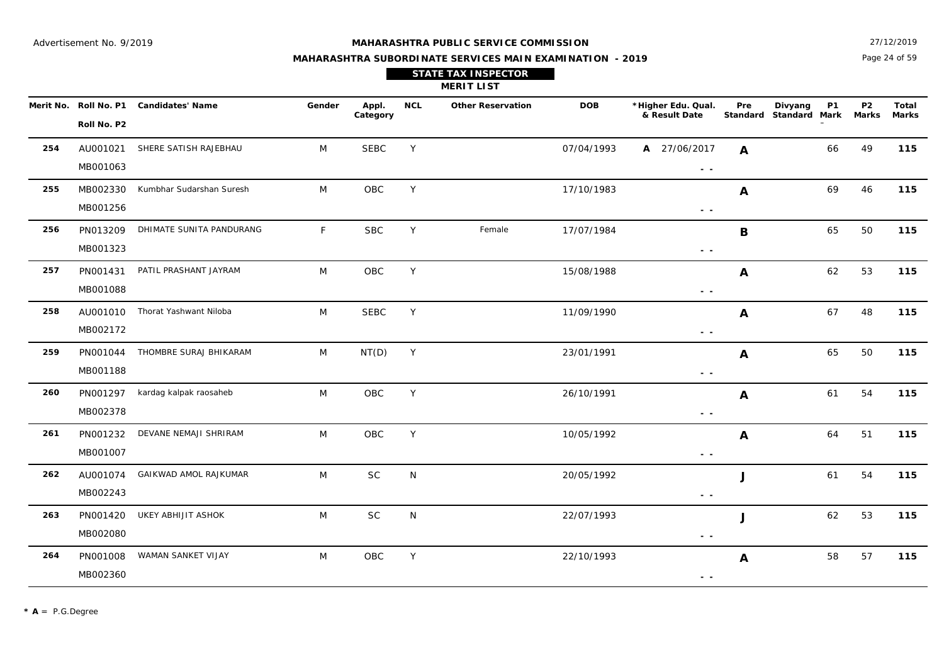27/12/2019

## **MAHARASHTRA SUBORDINATE SERVICES MAIN EXAMINATION - 2019 STATE TAX INSPECTOR**

Page 24 of 59

|     | <b>MERIT LIST</b>    |                                        |              |                   |            |                          |            |                                                                                                   |     |                                                |                           |                |  |  |
|-----|----------------------|----------------------------------------|--------------|-------------------|------------|--------------------------|------------|---------------------------------------------------------------------------------------------------|-----|------------------------------------------------|---------------------------|----------------|--|--|
|     | Roll No. P2          | Merit No. Roll No. P1 Candidates' Name | Gender       | Appl.<br>Category | <b>NCL</b> | <b>Other Reservation</b> | <b>DOB</b> | *Higher Edu. Qual.<br>& Result Date                                                               | Pre | Divyang<br><b>P1</b><br>Standard Standard Mark | <b>P2</b><br><b>Marks</b> | Total<br>Marks |  |  |
| 254 | AU001021<br>MB001063 | SHERE SATISH RAJEBHAU                  | M            | <b>SEBC</b>       | Y          |                          | 07/04/1993 | A 27/06/2017<br>$\frac{1}{2} \left( \frac{1}{2} \right) = \frac{1}{2} \left( \frac{1}{2} \right)$ | A   | 66                                             | 49                        | 115            |  |  |
| 255 | MB002330<br>MB001256 | Kumbhar Sudarshan Suresh               | M            | OBC               | Y          |                          | 17/10/1983 | $\frac{1}{2} \left( \frac{1}{2} \right) = \frac{1}{2} \left( \frac{1}{2} \right)$                 | A   | 69                                             | 46                        | 115            |  |  |
| 256 | PN013209<br>MB001323 | DHIMATE SUNITA PANDURANG               | $\mathsf{F}$ | <b>SBC</b>        | Y          | Female                   | 17/07/1984 | $\sim$ $\sim$                                                                                     | B   | 65                                             | 50                        | 115            |  |  |
| 257 | PN001431<br>MB001088 | PATIL PRASHANT JAYRAM                  | M            | OBC               | Y          |                          | 15/08/1988 | $\frac{1}{2} \left( \frac{1}{2} \right) = \frac{1}{2} \left( \frac{1}{2} \right)$                 | A   | 62                                             | 53                        | 115            |  |  |
| 258 | AU001010<br>MB002172 | Thorat Yashwant Niloba                 | M            | <b>SEBC</b>       | Y          |                          | 11/09/1990 | $\frac{1}{2} \left( \frac{1}{2} \right) = \frac{1}{2} \left( \frac{1}{2} \right)$                 | A   | 67                                             | 48                        | 115            |  |  |
| 259 | PN001044<br>MB001188 | THOMBRE SURAJ BHIKARAM                 | M            | NT(D)             | Y          |                          | 23/01/1991 | $\sim$ $-$                                                                                        | A   | 65                                             | 50                        | 115            |  |  |
| 260 | PN001297<br>MB002378 | kardag kalpak raosaheb                 | M            | OBC               | Y          |                          | 26/10/1991 | $\sim$ $\sim$                                                                                     | A   | 61                                             | 54                        | 115            |  |  |
| 261 | PN001232<br>MB001007 | DEVANE NEMAJI SHRIRAM                  | M            | OBC               | Y          |                          | 10/05/1992 | $\frac{1}{2} \left( \frac{1}{2} \right) = \frac{1}{2} \left( \frac{1}{2} \right)$                 | A   | 64                                             | 51                        | 115            |  |  |
| 262 | AU001074<br>MB002243 | GAIKWAD AMOL RAJKUMAR                  | M            | $\sf SC$          | N          |                          | 20/05/1992 | $\sim$ $\sim$                                                                                     | J   | 61                                             | 54                        | 115            |  |  |
| 263 | PN001420<br>MB002080 | UKEY ABHIJIT ASHOK                     | M            | <b>SC</b>         | N          |                          | 22/07/1993 | $\sim$ $\sim$                                                                                     | J   | 62                                             | 53                        | 115            |  |  |
| 264 | PN001008<br>MB002360 | WAMAN SANKET VIJAY                     | M            | OBC               | Y          |                          | 22/10/1993 | $ -$                                                                                              | A   | 58                                             | 57                        | 115            |  |  |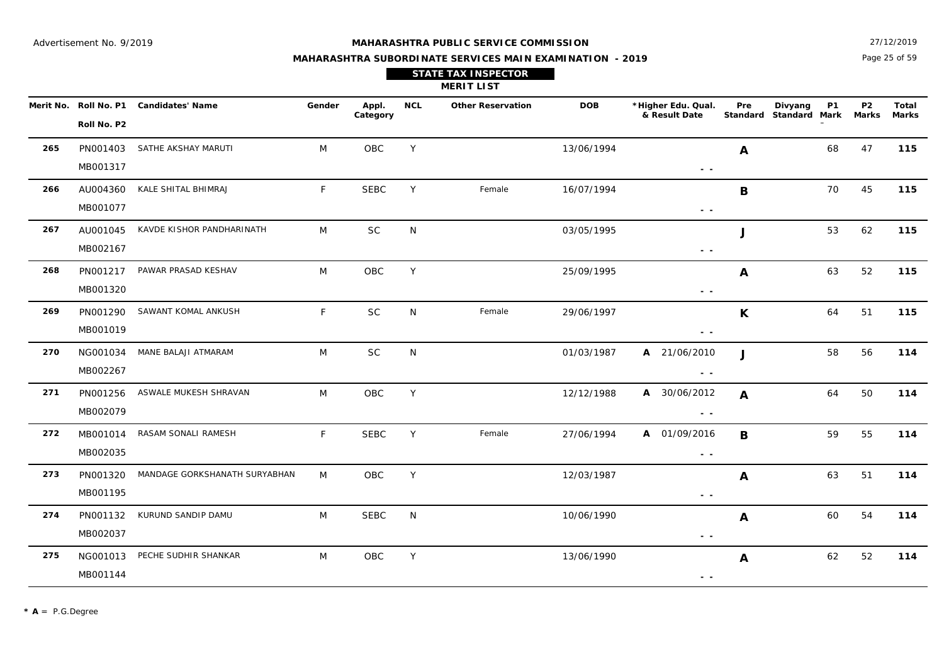Page 25 of 59 27/12/2019

| <b>STATE TAX INSPECTOR</b> |  |
|----------------------------|--|
| <b>MERIT LIST</b>          |  |

|     | Merit No. Roll No. P1 | <b>Candidates' Name</b>       | Gender | Appl.<br>Category | <b>NCL</b>   | <b>Other Reservation</b> | <b>DOB</b> | *Higher Edu. Qual.<br>& Result Date | Pre          | Divyang<br>Standard Standard Mark | <b>P1</b> | P <sub>2</sub><br><b>Marks</b> | Total<br><b>Marks</b> |
|-----|-----------------------|-------------------------------|--------|-------------------|--------------|--------------------------|------------|-------------------------------------|--------------|-----------------------------------|-----------|--------------------------------|-----------------------|
|     | Roll No. P2           |                               |        |                   |              |                          |            |                                     |              |                                   |           |                                |                       |
| 265 | PN001403              | SATHE AKSHAY MARUTI           | M      | OBC               | Y            |                          | 13/06/1994 |                                     | A            |                                   | 68        | 47                             | 115                   |
|     | MB001317              |                               |        |                   |              |                          |            | $ -$                                |              |                                   |           |                                |                       |
| 266 | AU004360              | KALE SHITAL BHIMRAJ           | F      | <b>SEBC</b>       | Y            | Female                   | 16/07/1994 |                                     | B            |                                   | 70        | 45                             | 115                   |
|     | MB001077              |                               |        |                   |              |                          |            | $\sim$ $\sim$                       |              |                                   |           |                                |                       |
| 267 | AU001045              | KAVDE KISHOR PANDHARINATH     | M      | SC                | $\mathsf{N}$ |                          | 03/05/1995 |                                     | J            |                                   | 53        | 62                             | 115                   |
|     | MB002167              |                               |        |                   |              |                          |            | $ -$                                |              |                                   |           |                                |                       |
| 268 | PN001217              | PAWAR PRASAD KESHAV           | M      | OBC               | Y            |                          | 25/09/1995 |                                     | A            |                                   | 63        | 52                             | 115                   |
|     | MB001320              |                               |        |                   |              |                          |            | $ -$                                |              |                                   |           |                                |                       |
| 269 | PN001290              | SAWANT KOMAL ANKUSH           | F.     | $\sf SC$          | N            | Female                   | 29/06/1997 |                                     | $\mathsf{K}$ |                                   | 64        | 51                             | 115                   |
|     | MB001019              |                               |        |                   |              |                          |            | $ -$                                |              |                                   |           |                                |                       |
| 270 | NG001034              | MANE BALAJI ATMARAM           | M      | $\sf SC$          | ${\sf N}$    |                          | 01/03/1987 | A 21/06/2010                        | $\mathbf{J}$ |                                   | 58        | 56                             | 114                   |
|     | MB002267              |                               |        |                   |              |                          |            | $ -$                                |              |                                   |           |                                |                       |
| 271 | PN001256              | ASWALE MUKESH SHRAVAN         | M      | OBC               | Y            |                          | 12/12/1988 | A 30/06/2012                        | $\mathbf{A}$ |                                   | 64        | 50                             | 114                   |
|     | MB002079              |                               |        |                   |              |                          |            | $ -$                                |              |                                   |           |                                |                       |
| 272 | MB001014              | RASAM SONALI RAMESH           | F      | <b>SEBC</b>       | Y            | Female                   | 27/06/1994 | A 01/09/2016                        | B            |                                   | 59        | 55                             | 114                   |
|     | MB002035              |                               |        |                   |              |                          |            | $\sim$ $\sim$                       |              |                                   |           |                                |                       |
| 273 | PN001320              | MANDAGE GORKSHANATH SURYABHAN | M      | OBC               | Y            |                          | 12/03/1987 |                                     | A            |                                   | 63        | 51                             | 114                   |
|     | MB001195              |                               |        |                   |              |                          |            | $\sim$ $\sim$                       |              |                                   |           |                                |                       |
| 274 | PN001132              | KURUND SANDIP DAMU            | M      | <b>SEBC</b>       | N            |                          | 10/06/1990 |                                     | A            |                                   | 60        | 54                             | 114                   |
|     | MB002037              |                               |        |                   |              |                          |            | $\sim$ $\sim$                       |              |                                   |           |                                |                       |
| 275 | NG001013              | PECHE SUDHIR SHANKAR          | M      | OBC               | Y            |                          | 13/06/1990 |                                     | A            |                                   | 62        | 52                             | 114                   |
|     | MB001144              |                               |        |                   |              |                          |            | $ -$                                |              |                                   |           |                                |                       |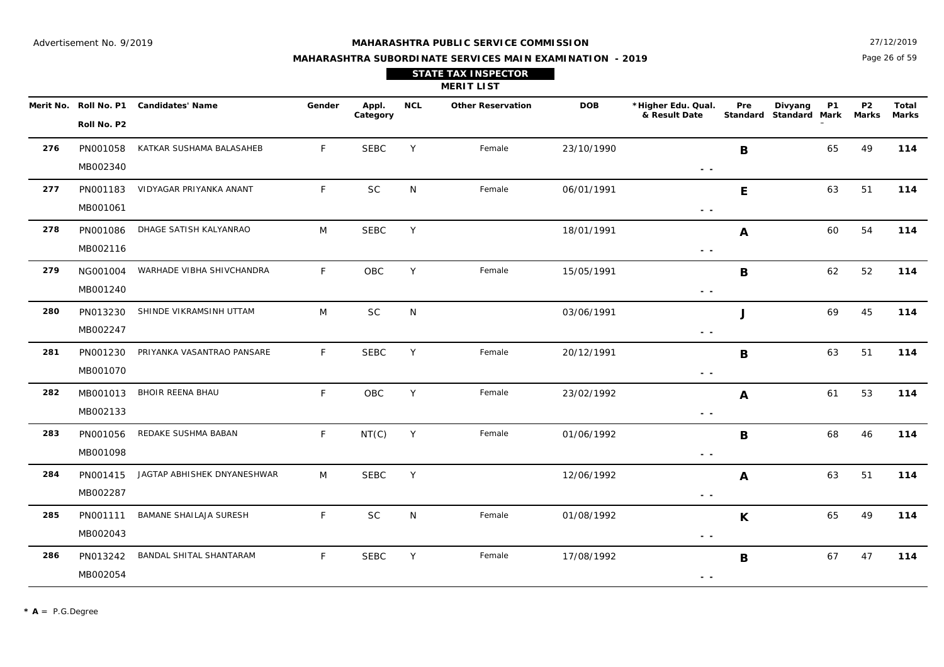27/12/2019

## **MAHARASHTRA SUBORDINATE SERVICES MAIN EXAMINATION - 2019 STATE TAX INSPECTOR**

Page 26 of 59

|     | <b>MERIT LIST</b>    |                                        |              |                   |            |                          |            |                                                                                   |     |                                                |                                |                       |  |  |
|-----|----------------------|----------------------------------------|--------------|-------------------|------------|--------------------------|------------|-----------------------------------------------------------------------------------|-----|------------------------------------------------|--------------------------------|-----------------------|--|--|
|     | Roll No. P2          | Merit No. Roll No. P1 Candidates' Name | Gender       | Appl.<br>Category | <b>NCL</b> | <b>Other Reservation</b> | <b>DOB</b> | *Higher Edu. Qual.<br>& Result Date                                               | Pre | Divyang<br><b>P1</b><br>Standard Standard Mark | P <sub>2</sub><br><b>Marks</b> | Total<br><b>Marks</b> |  |  |
| 276 | PN001058<br>MB002340 | KATKAR SUSHAMA BALASAHEB               | $\mathsf{F}$ | <b>SEBC</b>       | Y          | Female                   | 23/10/1990 | $ -$                                                                              | B   | 65                                             | 49                             | 114                   |  |  |
| 277 | PN001183<br>MB001061 | VIDYAGAR PRIYANKA ANANT                | $\mathsf{F}$ | <b>SC</b>         | N          | Female                   | 06/01/1991 | $ -$                                                                              | E   | 63                                             | 51                             | 114                   |  |  |
| 278 | PN001086<br>MB002116 | DHAGE SATISH KALYANRAO                 | M            | <b>SEBC</b>       | Y          |                          | 18/01/1991 | $\frac{1}{2} \left( \frac{1}{2} \right) = \frac{1}{2}$                            | A   | 60                                             | 54                             | 114                   |  |  |
| 279 | NG001004<br>MB001240 | WARHADE VIBHA SHIVCHANDRA              | $\mathsf{F}$ | OBC               | Y          | Female                   | 15/05/1991 | $\frac{1}{2} \left( \frac{1}{2} \right) = \frac{1}{2} \left( \frac{1}{2} \right)$ | B   | 62                                             | 52                             | 114                   |  |  |
| 280 | PN013230<br>MB002247 | SHINDE VIKRAMSINH UTTAM                | M            | SC                | N          |                          | 03/06/1991 | $\sim$ $\sim$                                                                     | J   | 69                                             | 45                             | 114                   |  |  |
| 281 | PN001230<br>MB001070 | PRIYANKA VASANTRAO PANSARE             | $\mathsf{F}$ | <b>SEBC</b>       | Y          | Female                   | 20/12/1991 | $ -$                                                                              | В   | 63                                             | 51                             | 114                   |  |  |
| 282 | MB001013<br>MB002133 | BHOIR REENA BHAU                       | E            | OBC               | Y          | Female                   | 23/02/1992 | $\frac{1}{2} \left( \frac{1}{2} \right) = \frac{1}{2} \left( \frac{1}{2} \right)$ | A   | 61                                             | 53                             | 114                   |  |  |
| 283 | PN001056<br>MB001098 | REDAKE SUSHMA BABAN                    | $\mathsf{F}$ | NT(C)             | Y          | Female                   | 01/06/1992 | $ -$                                                                              | В   | 68                                             | 46                             | 114                   |  |  |
| 284 | PN001415<br>MB002287 | JAGTAP ABHISHEK DNYANESHWAR            | M            | <b>SEBC</b>       | Y          |                          | 12/06/1992 | $\sim$ $\sim$                                                                     | A   | 63                                             | 51                             | 114                   |  |  |
| 285 | PN001111<br>MB002043 | BAMANE SHAILAJA SURESH                 | $\mathsf{F}$ | <b>SC</b>         | N          | Female                   | 01/08/1992 | $\sim$ $\sim$                                                                     | K   | 65                                             | 49                             | 114                   |  |  |
| 286 | PN013242<br>MB002054 | BANDAL SHITAL SHANTARAM                | $\mathsf{F}$ | <b>SEBC</b>       | Y          | Female                   | 17/08/1992 | $ -$                                                                              | B   | 67                                             | 47                             | 114                   |  |  |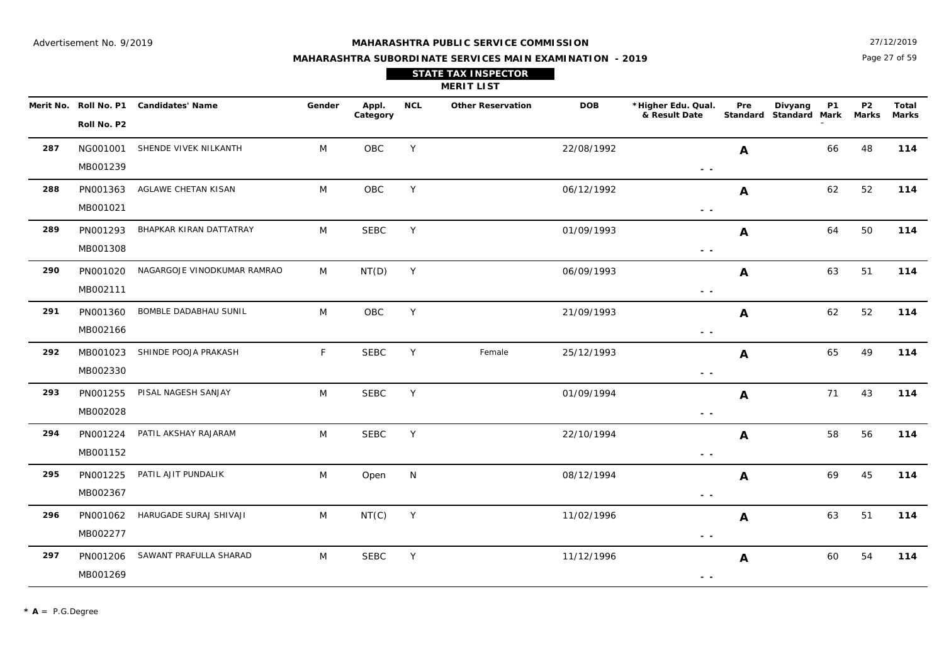#### **MAHARASHTRA PUBLIC SERVICE COMMISSION**

Page 27 of 59 27/12/2019

**Marks**

## **MAHARASHTRA SUBORDINATE SERVICES MAIN EXAMINATION - 2019 STATE TAX INSPECTOR**

|     |                       |                         |        |            |            | <b>MERIT LIST</b>        |            |                                     |     |                                   |           |             |                |
|-----|-----------------------|-------------------------|--------|------------|------------|--------------------------|------------|-------------------------------------|-----|-----------------------------------|-----------|-------------|----------------|
|     | Merit No. Roll No. P1 | <b>Candidates' Name</b> | Gender | Appl.      | <b>NCL</b> | <b>Other Reservation</b> | <b>DOB</b> | *Higher Edu. Qual.<br>& Result Date | Pre | Divyang<br>Standard Standard Mark | <b>P1</b> | P2<br>Marks | Total<br>Mark: |
|     | Roll No. P2           |                         |        | Category   |            |                          |            |                                     |     |                                   |           |             |                |
| 287 | NG001001              | SHENDE VIVEK NILKANTH   | M      | <b>OBC</b> | Y          |                          | 22/08/1992 |                                     | A   |                                   | 66        | 48          | 114            |
|     | MB001239              |                         |        |            |            |                          |            | $\sim$ $\sim$                       |     |                                   |           |             |                |
| 288 | PN001363              | AGLAWE CHETAN KISAN     | M      | OBC        | Y          |                          | 06/12/1992 |                                     | A   |                                   | 62        | 52          | 114            |
|     | MB001021              |                         |        |            |            |                          |            | . .                                 |     |                                   |           |             |                |

|     | MB001239 |                             |   |             |   |        |            | $\sim$ $\sim$                                                                                                                                                                                                                                                                                                                                                                                                                                  |    |    |     |
|-----|----------|-----------------------------|---|-------------|---|--------|------------|------------------------------------------------------------------------------------------------------------------------------------------------------------------------------------------------------------------------------------------------------------------------------------------------------------------------------------------------------------------------------------------------------------------------------------------------|----|----|-----|
| 288 | PN001363 | AGLAWE CHETAN KISAN         | M | OBC         | Y |        | 06/12/1992 | Α                                                                                                                                                                                                                                                                                                                                                                                                                                              | 62 | 52 | 114 |
|     | MB001021 |                             |   |             |   |        |            | $\frac{1}{2} \left( \frac{1}{2} \right) = \frac{1}{2} \left( \frac{1}{2} \right)$                                                                                                                                                                                                                                                                                                                                                              |    |    |     |
| 289 | PN001293 | BHAPKAR KIRAN DATTATRAY     | M | <b>SEBC</b> | Y |        | 01/09/1993 | A                                                                                                                                                                                                                                                                                                                                                                                                                                              | 64 | 50 | 114 |
|     | MB001308 |                             |   |             |   |        |            | $\frac{1}{2} \left( \frac{1}{2} \right) = \frac{1}{2} \left( \frac{1}{2} \right)$                                                                                                                                                                                                                                                                                                                                                              |    |    |     |
| 290 | PN001020 | NAGARGOJE VINODKUMAR RAMRAO | M | NT(D)       | Y |        | 06/09/1993 | A                                                                                                                                                                                                                                                                                                                                                                                                                                              | 63 | 51 | 114 |
|     | MB002111 |                             |   |             |   |        |            | $ -$                                                                                                                                                                                                                                                                                                                                                                                                                                           |    |    |     |
| 291 | PN001360 | BOMBLE DADABHAU SUNIL       | M | OBC         | Y |        | 21/09/1993 | A                                                                                                                                                                                                                                                                                                                                                                                                                                              | 62 | 52 | 114 |
|     | MB002166 |                             |   |             |   |        |            | $\frac{1}{2} \left( \frac{1}{2} \right) = \frac{1}{2}$                                                                                                                                                                                                                                                                                                                                                                                         |    |    |     |
| 292 | MB001023 | SHINDE POOJA PRAKASH        | F | <b>SEBC</b> | Y | Female | 25/12/1993 | A                                                                                                                                                                                                                                                                                                                                                                                                                                              | 65 | 49 | 114 |
|     | MB002330 |                             |   |             |   |        |            | $\sim$ $\sim$                                                                                                                                                                                                                                                                                                                                                                                                                                  |    |    |     |
| 293 | PN001255 | PISAL NAGESH SANJAY         | M | <b>SEBC</b> | Y |        | 01/09/1994 | A                                                                                                                                                                                                                                                                                                                                                                                                                                              | 71 | 43 | 114 |
|     | MB002028 |                             |   |             |   |        |            | $ -$                                                                                                                                                                                                                                                                                                                                                                                                                                           |    |    |     |
| 294 | PN001224 | PATIL AKSHAY RAJARAM        | M | <b>SEBC</b> | Y |        | 22/10/1994 | A                                                                                                                                                                                                                                                                                                                                                                                                                                              | 58 | 56 | 114 |
|     | MB001152 |                             |   |             |   |        |            | $\frac{1}{2} \left( \frac{1}{2} \right) = \frac{1}{2} \left( \frac{1}{2} \right)$                                                                                                                                                                                                                                                                                                                                                              |    |    |     |
| 295 | PN001225 | PATIL AJIT PUNDALIK         | M | Open        | N |        | 08/12/1994 | A                                                                                                                                                                                                                                                                                                                                                                                                                                              | 69 | 45 | 114 |
|     | MB002367 |                             |   |             |   |        |            | $\frac{1}{2} \left( \frac{1}{2} \right) = \frac{1}{2} \left( \frac{1}{2} \right)$                                                                                                                                                                                                                                                                                                                                                              |    |    |     |
| 296 | PN001062 | HARUGADE SURAJ SHIVAJI      | M | NT(C)       | Y |        | 11/02/1996 | A                                                                                                                                                                                                                                                                                                                                                                                                                                              | 63 | 51 | 114 |
|     | MB002277 |                             |   |             |   |        |            | $\frac{1}{2} \left( \frac{1}{2} \right) \frac{1}{2} \left( \frac{1}{2} \right) \frac{1}{2} \left( \frac{1}{2} \right) \frac{1}{2} \left( \frac{1}{2} \right) \frac{1}{2} \left( \frac{1}{2} \right) \frac{1}{2} \left( \frac{1}{2} \right) \frac{1}{2} \left( \frac{1}{2} \right) \frac{1}{2} \left( \frac{1}{2} \right) \frac{1}{2} \left( \frac{1}{2} \right) \frac{1}{2} \left( \frac{1}{2} \right) \frac{1}{2} \left( \frac{1}{2} \right)$ |    |    |     |
| 297 | PN001206 | SAWANT PRAFULLA SHARAD      | M | <b>SEBC</b> | Y |        | 11/12/1996 | A                                                                                                                                                                                                                                                                                                                                                                                                                                              | 60 | 54 | 114 |
|     | MB001269 |                             |   |             |   |        |            | $ -$                                                                                                                                                                                                                                                                                                                                                                                                                                           |    |    |     |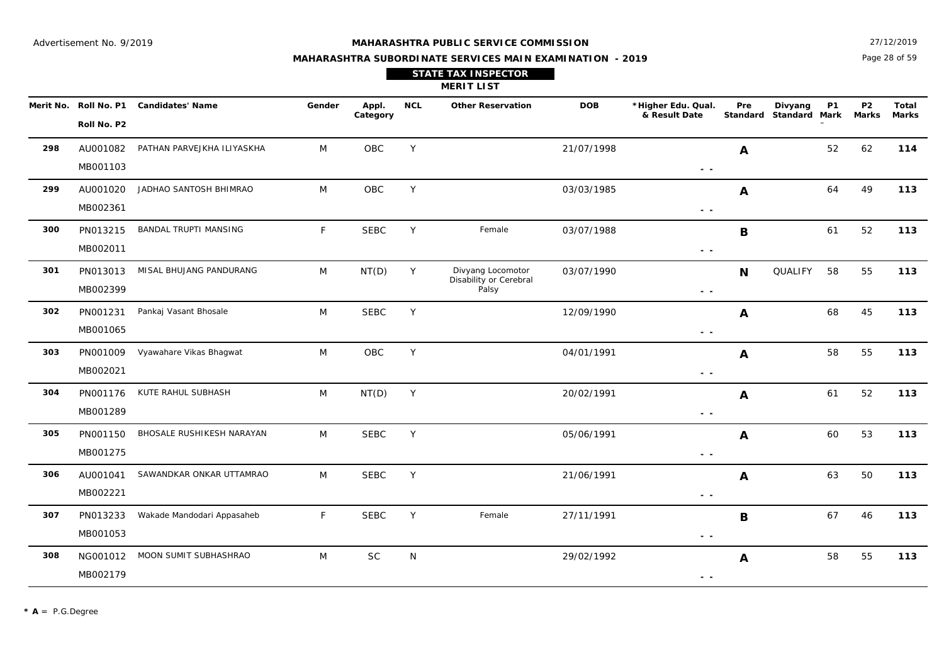#### **MAHARASHTRA PUBLIC SERVICE COMMISSION**

Page 28 of 59 27/12/2019

### **MAHARASHTRA SUBORDINATE SERVICES MAIN EXAMINATION - 2019 STATE TAX INSPECTOR**

| <b>MERIT LIST</b> |                                      |                         |        |                   |     |                          |              |                                     |                               |         |           |                         |                       |
|-------------------|--------------------------------------|-------------------------|--------|-------------------|-----|--------------------------|--------------|-------------------------------------|-------------------------------|---------|-----------|-------------------------|-----------------------|
|                   | Merit No. Roll No. P1<br>Roll No. P2 | <b>Candidates' Name</b> | Gender | Appl.<br>Category | NCL | <b>Other Reservation</b> | <b>DOB</b>   | *Higher Edu. Qual.<br>& Result Date | Pre<br>Standard Standard Mark | Divyang | <b>P1</b> | P <sub>2</sub><br>Marks | <b>Total</b><br>Marks |
| ----              |                                      |                         | .      | ----              |     |                          | . . <i>.</i> |                                     |                               |         | $ -$      | .                       | .                     |

| 298 | AU001082<br>MB001103 | PATHAN PARVEJKHA ILIYASKHA   | M | OBC         | Y |                                                      | 21/07/1998 | A<br>$\sim$ $\sim$                | 52            | 62 | 114 |
|-----|----------------------|------------------------------|---|-------------|---|------------------------------------------------------|------------|-----------------------------------|---------------|----|-----|
| 299 | AU001020<br>MB002361 | JADHAO SANTOSH BHIMRAO       | M | OBC         | Υ |                                                      | 03/03/1985 | $\mathbf{A}$<br>$ -$              | 64            | 49 | 113 |
| 300 | PN013215<br>MB002011 | <b>BANDAL TRUPTI MANSING</b> | F | <b>SEBC</b> | Y | Female                                               | 03/07/1988 | B<br>$\sim$ $\sim$                | 61            | 52 | 113 |
| 301 | PN013013<br>MB002399 | MISAL BHUJANG PANDURANG      | M | NT(D)       | Y | Divyang Locomotor<br>Disability or Cerebral<br>Palsy | 03/07/1990 | N<br>$\sim$ $\sim$                | QUALIFY<br>58 | 55 | 113 |
| 302 | PN001231<br>MB001065 | Pankaj Vasant Bhosale        | M | <b>SEBC</b> | Y |                                                      | 12/09/1990 | A<br>$ -$                         | 68            | 45 | 113 |
| 303 | PN001009<br>MB002021 | Vyawahare Vikas Bhagwat      | M | OBC         | Y |                                                      | 04/01/1991 | $\mathbf{A}$<br>$ -$              | 58            | 55 | 113 |
| 304 | PN001176<br>MB001289 | KUTE RAHUL SUBHASH           | M | NT(D)       | Y |                                                      | 20/02/1991 | $\boldsymbol{A}$<br>$\sim$ $\sim$ | 61            | 52 | 113 |
| 305 | PN001150<br>MB001275 | BHOSALE RUSHIKESH NARAYAN    | M | <b>SEBC</b> | Υ |                                                      | 05/06/1991 | A<br>$ -$                         | 60            | 53 | 113 |
| 306 | AU001041<br>MB002221 | SAWANDKAR ONKAR UTTAMRAO     | M | <b>SEBC</b> | Υ |                                                      | 21/06/1991 | A<br>$\sim$ $\sim$                | 63            | 50 | 113 |
| 307 | PN013233<br>MB001053 | Wakade Mandodari Appasaheb   | F | <b>SEBC</b> | Y | Female                                               | 27/11/1991 | B<br>$\sim$ $\sim$                | 67            | 46 | 113 |
| 308 | NG001012<br>MB002179 | MOON SUMIT SUBHASHRAO        | M | <b>SC</b>   | N |                                                      | 29/02/1992 | A<br>$\sim$ $\sim$                | 58            | 55 | 113 |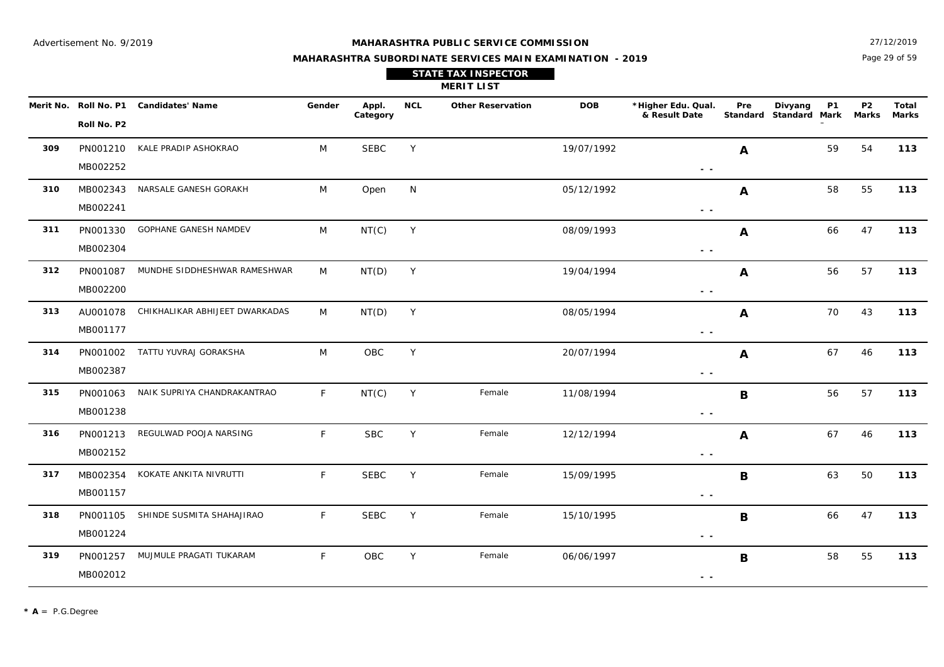Page 29 of 59 27/12/2019

| <b>STATE TAX INSPECTOR</b> |  |
|----------------------------|--|
| <b>MERIT LIST</b>          |  |

|     | Merit No. Roll No. P1 | <b>Candidates' Name</b>        | Gender      | Appl.<br>Category | <b>NCL</b> | <b>Other Reservation</b> | <b>DOB</b> | *Higher Edu. Qual.<br>& Result Date | Pre              | Divyang<br>Standard Standard Mark | P <sub>1</sub> | P <sub>2</sub><br><b>Marks</b> | Total<br><b>Marks</b> |
|-----|-----------------------|--------------------------------|-------------|-------------------|------------|--------------------------|------------|-------------------------------------|------------------|-----------------------------------|----------------|--------------------------------|-----------------------|
|     | Roll No. P2           |                                |             |                   |            |                          |            |                                     |                  |                                   |                |                                |                       |
| 309 | PN001210              | KALE PRADIP ASHOKRAO           | M           | <b>SEBC</b>       | Y          |                          | 19/07/1992 |                                     | A                |                                   | 59             | 54                             | 113                   |
|     | MB002252              |                                |             |                   |            |                          |            | $\sim$ $-$                          |                  |                                   |                |                                |                       |
| 310 | MB002343              | NARSALE GANESH GORAKH          | M           | Open              | N          |                          | 05/12/1992 |                                     | A                |                                   | 58             | 55                             | 113                   |
|     | MB002241              |                                |             |                   |            |                          |            | $\sim$ $-$                          |                  |                                   |                |                                |                       |
| 311 | PN001330              | <b>GOPHANE GANESH NAMDEV</b>   | M           | NT(C)             | Y          |                          | 08/09/1993 |                                     | A                |                                   | 66             | 47                             | 113                   |
|     | MB002304              |                                |             |                   |            |                          |            | $\sim$ $\sim$                       |                  |                                   |                |                                |                       |
| 312 | PN001087              | MUNDHE SIDDHESHWAR RAMESHWAR   | M           | NT(D)             | Y          |                          | 19/04/1994 |                                     | A                |                                   | 56             | 57                             | 113                   |
|     | MB002200              |                                |             |                   |            |                          |            | - -                                 |                  |                                   |                |                                |                       |
| 313 | AU001078              | CHIKHALIKAR ABHIJEET DWARKADAS | M           | NT(D)             | Y          |                          | 08/05/1994 |                                     | A                |                                   | 70             | 43                             | 113                   |
|     | MB001177              |                                |             |                   |            |                          |            | $\sim$ $\sim$                       |                  |                                   |                |                                |                       |
| 314 |                       | PN001002 TATTU YUVRAJ GORAKSHA | M           | OBC               | Y          |                          | 20/07/1994 |                                     | A                |                                   | 67             | 46                             | 113                   |
|     | MB002387              |                                |             |                   |            |                          |            | $\sim$ $\sim$                       |                  |                                   |                |                                |                       |
| 315 | PN001063              | NAIK SUPRIYA CHANDRAKANTRAO    | F           | NT(C)             | Y          | Female                   | 11/08/1994 |                                     | $\mathbf B$      |                                   | 56             | 57                             | 113                   |
|     | MB001238              |                                |             |                   |            |                          |            | $\sim$ $-$                          |                  |                                   |                |                                |                       |
| 316 | PN001213              | REGULWAD POOJA NARSING         | F           | <b>SBC</b>        | Y          | Female                   | 12/12/1994 |                                     | $\boldsymbol{A}$ |                                   | 67             | 46                             | 113                   |
|     | MB002152              |                                |             |                   |            |                          |            | $ -$                                |                  |                                   |                |                                |                       |
| 317 | MB002354              | KOKATE ANKITA NIVRUTTI         | $\mathsf F$ | <b>SEBC</b>       | Y          | Female                   | 15/09/1995 |                                     | B                |                                   | 63             | 50                             | 113                   |
|     | MB001157              |                                |             |                   |            |                          |            | $\sim$ $-$                          |                  |                                   |                |                                |                       |
| 318 | PN001105              | SHINDE SUSMITA SHAHAJIRAO      | F           | <b>SEBC</b>       | Y          | Female                   | 15/10/1995 |                                     | B                |                                   | 66             | 47                             | 113                   |
|     | MB001224              |                                |             |                   |            |                          |            | $\sim$ $\sim$                       |                  |                                   |                |                                |                       |
| 319 | PN001257              | MUJMULE PRAGATI TUKARAM        | F.          | OBC               | Y          | Female                   | 06/06/1997 |                                     | B                |                                   | 58             | 55                             | 113                   |
|     | MB002012              |                                |             |                   |            |                          |            | $ -$                                |                  |                                   |                |                                |                       |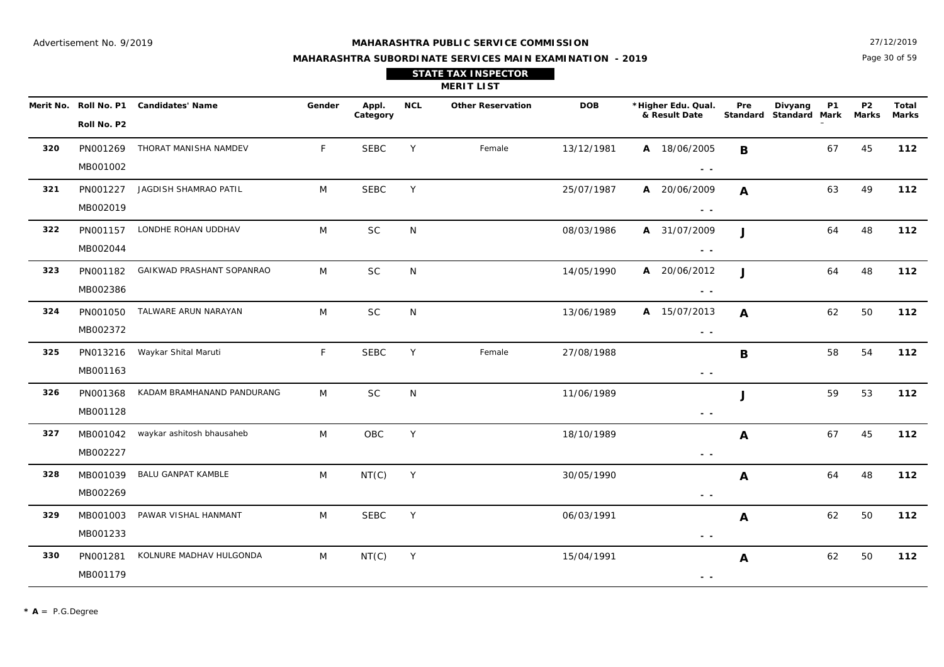Page 30 of 59 27/12/2019

## **MAHARASHTRA SUBORDINATE SERVICES MAIN EXAMINATION - 2019 STATE TAX INSPECTOR**

**MERIT LIST**

|     | Roll No. P2          | Merit No. Roll No. P1 Candidates' Name | Gender | Appl.<br>Category | <b>NCL</b> | <b>Other Reservation</b> | <b>DOB</b> | *Higher Edu. Qual.<br>& Result Date | Pre          | Divyang<br><b>P1</b><br>Standard Standard Mark Marks | P <sub>2</sub> | Total<br>Marks |
|-----|----------------------|----------------------------------------|--------|-------------------|------------|--------------------------|------------|-------------------------------------|--------------|------------------------------------------------------|----------------|----------------|
| 320 | PN001269<br>MB001002 | THORAT MANISHA NAMDEV                  | F.     | <b>SEBC</b>       | Y          | Female                   | 13/12/1981 | A 18/06/2005<br>$\sim$ $ \sim$      | B            | 67                                                   | 45             | 112            |
| 321 | PN001227<br>MB002019 | JAGDISH SHAMRAO PATIL                  | M      | <b>SEBC</b>       | Y          |                          | 25/07/1987 | A 20/06/2009<br>$\sim$ $\sim$       | A            | 63                                                   | 49             | 112            |
| 322 | MB002044             | PN001157 LONDHE ROHAN UDDHAV           | M      | SC                | N          |                          | 08/03/1986 | A 31/07/2009<br>$\sim$ $\sim$       | $\mathbf{J}$ | 64                                                   | 48             | 112            |
| 323 | PN001182<br>MB002386 | GAIKWAD PRASHANT SOPANRAO              | M      | <b>SC</b>         | N          |                          | 14/05/1990 | A 20/06/2012<br>$\sim$ $\sim$       | J            | 64                                                   | 48             | 112            |
| 324 | MB002372             | PN001050 TALWARE ARUN NARAYAN          | M      | SC                | N          |                          | 13/06/1989 | A 15/07/2013<br>$\sim$ $\sim$       | A            | 62                                                   | 50             | 112            |
| 325 | MB001163             | PN013216 Waykar Shital Maruti          | F.     | <b>SEBC</b>       | Y          | Female                   | 27/08/1988 | $\sim$ $\sim$                       | B            | 58                                                   | 54             | 112            |
| 326 | PN001368<br>MB001128 | KADAM BRAMHANAND PANDURANG             | M      | <b>SC</b>         | N          |                          | 11/06/1989 | $\sim$ $\sim$                       | J            | 59                                                   | 53             | 112            |
| 327 | MB002227             | MB001042 waykar ashitosh bhausaheb     | M      | OBC               | Y          |                          | 18/10/1989 | $\sim$ $\sim$                       | A            | 67                                                   | 45             | 112            |
| 328 | MB001039<br>MB002269 | <b>BALU GANPAT KAMBLE</b>              | M      | NT(C)             | Y          |                          | 30/05/1990 | $\sim$ $\sim$                       | $\mathbf{A}$ | 64                                                   | 48             | 112            |
| 329 | MB001003<br>MB001233 | PAWAR VISHAL HANMANT                   | M      | <b>SEBC</b>       | Y          |                          | 06/03/1991 | $\sim$ $-$                          | A            | 62                                                   | 50             | 112            |
| 330 | PN001281<br>MB001179 | KOLNURE MADHAV HULGONDA                | M      | NT(C)             | Y          |                          | 15/04/1991 | $\sim$ $\sim$                       | A            | 62                                                   | 50             | 112            |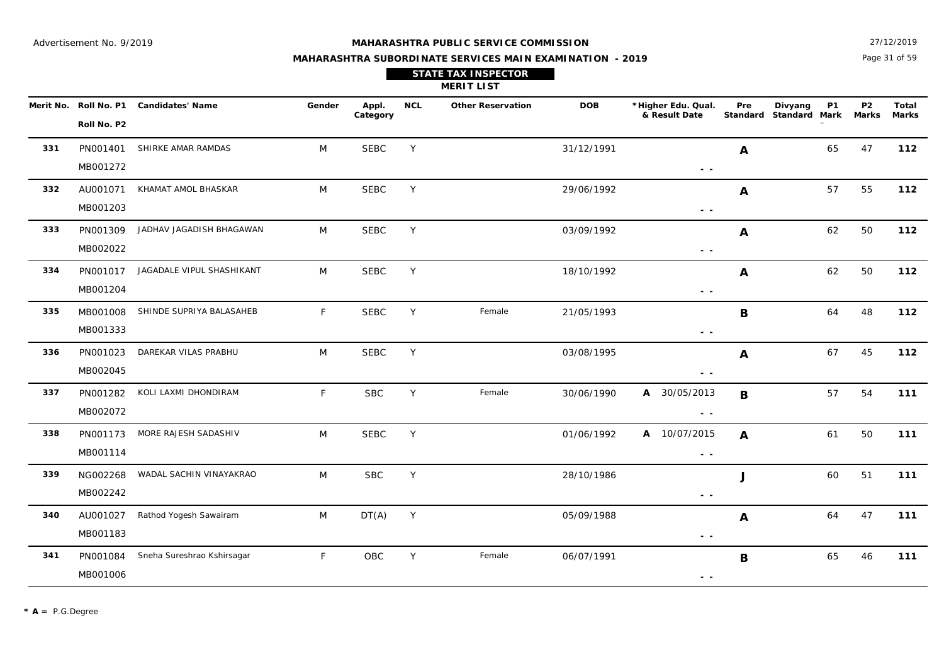Page 31 of 59 27/12/2019

 $\overline{\phantom{0}}$ 

#### **MAHARASHTRA SUBORDINATE SERVICES MAIN EXAMINATION - 2019**

| <b>STATE TAX INSPECTOR</b> |  |
|----------------------------|--|
| <b>MERIT LIST</b>          |  |

|     | Merit No. Roll No. P1 | <b>Candidates' Name</b>    | Gender       | Appl.<br>Category | <b>NCL</b> | <b>Other Reservation</b> | <b>DOB</b> | *Higher Edu. Qual.<br>& Result Date                                             | Pre          | Divyang<br>Standard Standard Mark Marks | <b>P1</b> | <b>P2</b> | <b>Total</b><br><b>Marks</b> |
|-----|-----------------------|----------------------------|--------------|-------------------|------------|--------------------------|------------|---------------------------------------------------------------------------------|--------------|-----------------------------------------|-----------|-----------|------------------------------|
|     | Roll No. P2           |                            |              |                   |            |                          |            |                                                                                 |              |                                         |           |           |                              |
| 331 | PN001401              | SHIRKE AMAR RAMDAS         | M            | <b>SEBC</b>       | Y          |                          | 31/12/1991 |                                                                                 | A            |                                         | 65        | 47        | 112                          |
|     | MB001272              |                            |              |                   |            |                          |            | $\sim$ $\sim$                                                                   |              |                                         |           |           |                              |
| 332 | AU001071              | KHAMAT AMOL BHASKAR        | M            | <b>SEBC</b>       | Y          |                          | 29/06/1992 |                                                                                 | A            |                                         | 57        | 55        | 112                          |
|     | MB001203              |                            |              |                   |            |                          |            | $ -$                                                                            |              |                                         |           |           |                              |
| 333 | PN001309              | JADHAV JAGADISH BHAGAWAN   | M            | <b>SEBC</b>       | Y          |                          | 03/09/1992 |                                                                                 | A            |                                         | 62        | 50        | 112                          |
|     | MB002022              |                            |              |                   |            |                          |            | $ -$                                                                            |              |                                         |           |           |                              |
| 334 | PN001017              | JAGADALE VIPUL SHASHIKANT  | M            | <b>SEBC</b>       | Y          |                          | 18/10/1992 |                                                                                 | A            |                                         | 62        | 50        | 112                          |
|     | MB001204              |                            |              |                   |            |                          |            | $\sim$ $\sim$                                                                   |              |                                         |           |           |                              |
| 335 | MB001008              | SHINDE SUPRIYA BALASAHEB   | F            | <b>SEBC</b>       | Y          | Female                   | 21/05/1993 |                                                                                 | $\mathbf B$  |                                         | 64        | 48        | $112$                        |
|     | MB001333              |                            |              |                   |            |                          |            | $\sim$ $\sim$                                                                   |              |                                         |           |           |                              |
| 336 | PN001023              | DAREKAR VILAS PRABHU       | M            | <b>SEBC</b>       | Y          |                          | 03/08/1995 |                                                                                 | A            |                                         | 67        | 45        | 112                          |
|     | MB002045              |                            |              |                   |            |                          |            | $\sim$ $\sim$                                                                   |              |                                         |           |           |                              |
| 337 | PN001282              | KOLI LAXMI DHONDIRAM       | F            | <b>SBC</b>        | Y          | Female                   | 30/06/1990 | A 30/05/2013                                                                    | B            |                                         | 57        | 54        | 111                          |
|     | MB002072              |                            |              |                   |            |                          |            | $\sim$ $\sim$                                                                   |              |                                         |           |           |                              |
| 338 | PN001173              | MORE RAJESH SADASHIV       | M            | <b>SEBC</b>       | Y          |                          | 01/06/1992 | A 10/07/2015                                                                    | $\mathbf{A}$ |                                         | 61        | 50        | 111                          |
|     | MB001114              |                            |              |                   |            |                          |            | $\sim$ $\sim$                                                                   |              |                                         |           |           |                              |
| 339 | NG002268              | WADAL SACHIN VINAYAKRAO    | M            | <b>SBC</b>        | Y          |                          | 28/10/1986 |                                                                                 | J            |                                         | 60        | 51        | 111                          |
|     | MB002242              |                            |              |                   |            |                          |            | $\sim$ $\sim$                                                                   |              |                                         |           |           |                              |
| 340 | AU001027              | Rathod Yogesh Sawairam     | M            | DT(A)             | Y          |                          | 05/09/1988 |                                                                                 | A            |                                         | 64        | 47        | 111                          |
|     | MB001183              |                            |              |                   |            |                          |            | $\sim$ $\sim$                                                                   |              |                                         |           |           |                              |
| 341 | PN001084              | Sneha Sureshrao Kshirsagar | $\mathsf{F}$ | ${\sf OBC}$       | Y          | Female                   | 06/07/1991 |                                                                                 | $\mathbf B$  |                                         | 65        | 46        | 111                          |
|     | MB001006              |                            |              |                   |            |                          |            | $\frac{1}{2} \left( \frac{1}{2} \right) \frac{1}{2} \left( \frac{1}{2} \right)$ |              |                                         |           |           |                              |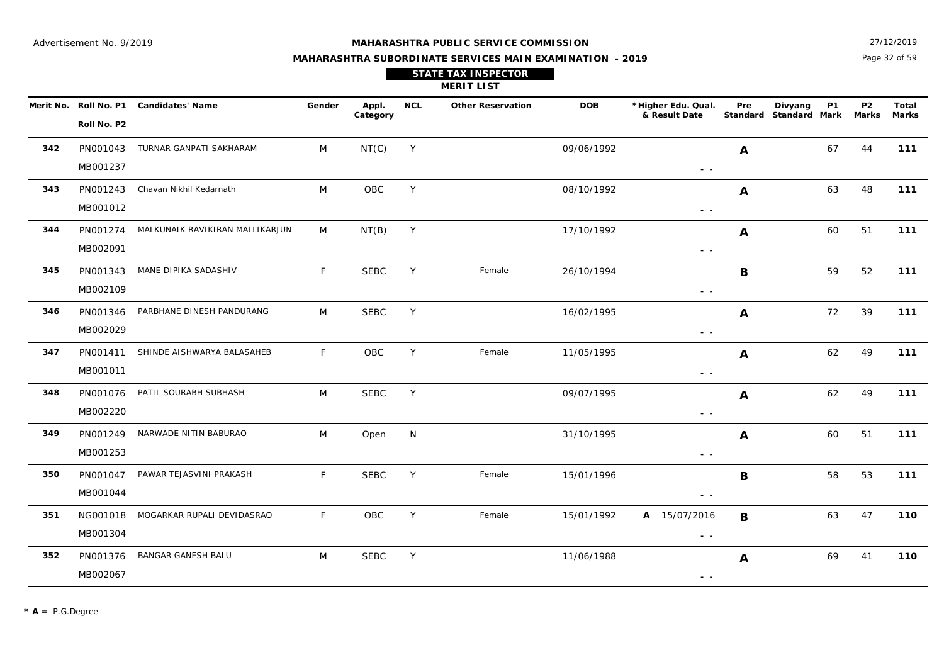PN001274

**344**

#### **MAHARASHTRA PUBLIC SERVICE COMMISSION**

Page 32 of 59 27/12/2019

**Marks**

### **MAHARASHTRA SUBORDINATE SERVICES MAIN EXAMINATION - 2019STATE TAX INSPECTOR**

|     |                       |                         |        |            |            | <b>MERIT LIST</b>        |            |                                     |     |                                   |           |             |              |
|-----|-----------------------|-------------------------|--------|------------|------------|--------------------------|------------|-------------------------------------|-----|-----------------------------------|-----------|-------------|--------------|
|     | Merit No. Roll No. P1 | Candidates' Name        | Gender | Appl.      | <b>NCL</b> | <b>Other Reservation</b> | <b>DOB</b> | *Higher Edu. Qual.<br>& Result Date | Pre | Divyang<br>Standard Standard Mark | <b>P1</b> | P2<br>Marks | Tota<br>Mark |
|     | Roll No. P2           |                         |        | Category   |            |                          |            |                                     |     |                                   |           |             |              |
| 342 | PN001043              | TURNAR GANPATI SAKHARAM | M      | NT(C)      | Y          |                          | 09/06/1992 |                                     | A   |                                   | 67        | 44          | 111          |
|     | MB001237              |                         |        |            |            |                          |            | $ -$                                |     |                                   |           |             |              |
| 343 | PN001243              | Chavan Nikhil Kedarnath | M      | <b>OBC</b> | Y          |                          | 08/10/1992 |                                     | A   |                                   | 63        | 48          | 111          |
|     | MB001012              |                         |        |            |            |                          |            | $ -$                                |     |                                   |           |             |              |
|     |                       |                         |        |            |            |                          |            |                                     |     |                                   |           |             |              |

Y 17/10/1992 **111**

M SEBC Y 11/06/1988 **A** 69 41 **110** 

C Y 11/06/1988 **A** 69 41

**A**

 **- -** 

**A**

 **- -** 

NT(B) Y 17/10/1992 **A** 60 51

 **- -** MB002091 **345** PN001343MANE DIPIKA SADASHIV **F** SEBC Y Female 26/10/1994 **R** 59 52 111  **- -** SEBC26/10/1994 MB002109**B346** PN001346PARBHANE DINESH PANDURANG M M SEBC Y 16/02/1995 **A** 72 39 **11**1  **- -** SEBCC Y 16/02/1995 72 39 MB002029 **A347** PN001411SHINDE AISHWARYA BALASAHEB F OBC Y Female 11/05/1995 **114 12** 62 49 **111 - -** OBC11/05/1995 MB001011**A348** PN001076PATIL SOURABH SUBHASH M M SEBC Y 09/07/1995 **A** 62 49 **11**1  **- -** SEBC $09/07/1995$  **A** 62 49 MB002220**A349** PN001249NARWADE NITIN BABURAO M N 31/10/1995 **111 - -** Open 60 51 MB001253**A350** PN001047PAWAR TEJASVINI PRAKASH F SEBC Y Female 15/01/1996 **R** R 58 53 111  **- -** SEBC15/01/1996 MB001044 **B351** NG001018 MOGARKAR RUPALI DEVIDASRAO F Y Female 15/01/1992 **A 110**OBC $A$  15/07/2016 **B**

SEBC

BANGAR GANESH BALU M

MALKUNAIK RAVIKIRAN MALLIKARJUN M

**352**

MB001304

PN001376

MB002067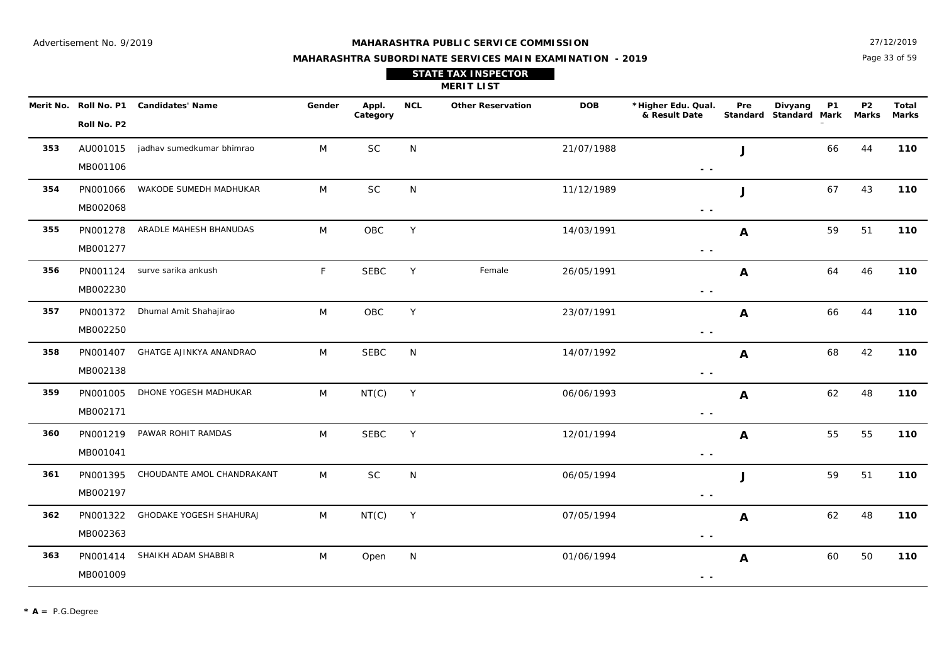Page 33 of 59 27/12/2019

| <b>STATE TAX INSPECTOR</b> |  |
|----------------------------|--|
| <b>MERIT LIST</b>          |  |

|     |             | Merit No. Roll No. P1 Candidates' Name | Gender       | Appl.<br>Category | <b>NCL</b>   | <b>Other Reservation</b> | <b>DOB</b> | *Higher Edu. Qual.<br>& Result Date                                               | Pre          | Divyang<br>Standard Standard Mark | <b>P1</b> | <b>P2</b><br>Marks | Total<br><b>Marks</b> |
|-----|-------------|----------------------------------------|--------------|-------------------|--------------|--------------------------|------------|-----------------------------------------------------------------------------------|--------------|-----------------------------------|-----------|--------------------|-----------------------|
|     | Roll No. P2 |                                        |              |                   |              |                          |            |                                                                                   |              |                                   |           |                    |                       |
| 353 | AU001015    | jadhav sumedkumar bhimrao              | M            | <b>SC</b>         | N            |                          | 21/07/1988 |                                                                                   | $\mathbf{J}$ |                                   | 66        | 44                 | 110                   |
|     | MB001106    |                                        |              |                   |              |                          |            | $\frac{1}{2} \left( \frac{1}{2} \right) \frac{1}{2} \left( \frac{1}{2} \right)$   |              |                                   |           |                    |                       |
| 354 | PN001066    | WAKODE SUMEDH MADHUKAR                 | M            | SC                | N            |                          | 11/12/1989 |                                                                                   | J            |                                   | 67        | 43                 | 110                   |
|     | MB002068    |                                        |              |                   |              |                          |            | $\sim$ $\sim$                                                                     |              |                                   |           |                    |                       |
| 355 | PN001278    | ARADLE MAHESH BHANUDAS                 | M            | OBC               | Y            |                          | 14/03/1991 |                                                                                   | A            |                                   | 59        | 51                 | 110                   |
|     | MB001277    |                                        |              |                   |              |                          |            | $\frac{1}{2} \left( \frac{1}{2} \right)$                                          |              |                                   |           |                    |                       |
| 356 |             | PN001124 surve sarika ankush           | $\mathsf{F}$ | <b>SEBC</b>       | Y            | Female                   | 26/05/1991 |                                                                                   | Α            |                                   | 64        | 46                 | 110                   |
|     | MB002230    |                                        |              |                   |              |                          |            | $\sim$ $-$                                                                        |              |                                   |           |                    |                       |
| 357 | PN001372    | Dhumal Amit Shahajirao                 | M            | OBC               | Y            |                          | 23/07/1991 |                                                                                   | Α            |                                   | 66        | 44                 | 110                   |
|     | MB002250    |                                        |              |                   |              |                          |            | $ -$                                                                              |              |                                   |           |                    |                       |
| 358 |             | PN001407 GHATGE AJINKYA ANANDRAO       | M            | <b>SEBC</b>       | N            |                          | 14/07/1992 |                                                                                   | A            |                                   | 68        | 42                 | 110                   |
|     | MB002138    |                                        |              |                   |              |                          |            | $\sim$ $-$                                                                        |              |                                   |           |                    |                       |
| 359 | PN001005    | DHONE YOGESH MADHUKAR                  | M            | NT(C)             | Y            |                          | 06/06/1993 |                                                                                   | A            |                                   | 62        | 48                 | 110                   |
|     | MB002171    |                                        |              |                   |              |                          |            | $\frac{1}{2} \left( \frac{1}{2} \right) \frac{1}{2} \left( \frac{1}{2} \right)$   |              |                                   |           |                    |                       |
| 360 | PN001219    | PAWAR ROHIT RAMDAS                     | M            | <b>SEBC</b>       | Y            |                          | 12/01/1994 |                                                                                   | $\mathbf{A}$ |                                   | 55        | 55                 | 110                   |
|     | MB001041    |                                        |              |                   |              |                          |            | $ -$                                                                              |              |                                   |           |                    |                       |
| 361 | PN001395    | CHOUDANTE AMOL CHANDRAKANT             | M            | $\sf SC$          | $\mathsf{N}$ |                          | 06/05/1994 |                                                                                   | J            |                                   | 59        | 51                 | 110                   |
|     | MB002197    |                                        |              |                   |              |                          |            | $\frac{1}{2} \left( \frac{1}{2} \right) \frac{1}{2} \left( \frac{1}{2} \right)$   |              |                                   |           |                    |                       |
| 362 | PN001322    | GHODAKE YOGESH SHAHURAJ                | M            | NT(C)             | Y            |                          | 07/05/1994 |                                                                                   | A            |                                   | 62        | 48                 | 110                   |
|     | MB002363    |                                        |              |                   |              |                          |            | $\frac{1}{2} \left( \frac{1}{2} \right) = \frac{1}{2} \left( \frac{1}{2} \right)$ |              |                                   |           |                    |                       |
| 363 | PN001414    | SHAIKH ADAM SHABBIR                    | M            | Open              | N            |                          | 01/06/1994 |                                                                                   | A            |                                   | 60        | 50                 | 110                   |
|     | MB001009    |                                        |              |                   |              |                          |            | $ -$                                                                              |              |                                   |           |                    |                       |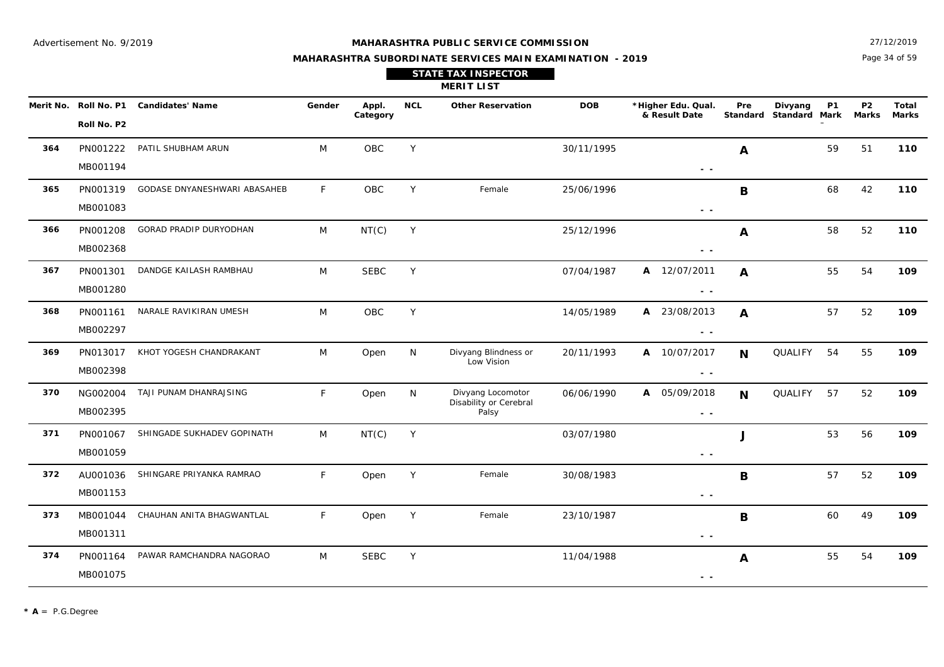#### **MAHARASHTRA PUBLIC SERVICE COMMISSION**

Page 34 of 59 27/12/2019

| <b>STATE TAX INSPECTOR</b><br><b>MERIT LIST</b> |                       |                         |        |                   |     |                          |            |                                     |                                     |         |           |           |                |
|-------------------------------------------------|-----------------------|-------------------------|--------|-------------------|-----|--------------------------|------------|-------------------------------------|-------------------------------------|---------|-----------|-----------|----------------|
|                                                 | Merit No. Roll No. P1 | <b>Candidates' Name</b> | Gender | Appl.<br>Category | NCL | <b>Other Reservation</b> | <b>DOB</b> | *Higher Edu. Qual.<br>& Result Date | Pre<br>Standard Standard Mark Marks | Divyang | <b>P1</b> | <b>P2</b> | Total<br>Marks |
|                                                 | Roll No. P2           |                         |        |                   |     |                          |            |                                     |                                     |         |           |           |                |

| 364 | PN001222<br>MB001194 | PATIL SHUBHAM ARUN            | M            | <b>OBC</b>  | Y |                                 | 30/11/1995 |                                                                                   | A           |                | 59 | 51 | 110 |
|-----|----------------------|-------------------------------|--------------|-------------|---|---------------------------------|------------|-----------------------------------------------------------------------------------|-------------|----------------|----|----|-----|
|     |                      |                               |              |             |   |                                 |            | $\frac{1}{2} \left( \frac{1}{2} \right) = \frac{1}{2} \left( \frac{1}{2} \right)$ |             |                |    |    |     |
| 365 | PN001319             | GODASE DNYANESHWARI ABASAHEB  | $\mathsf{F}$ | <b>OBC</b>  | Y | Female                          | 25/06/1996 |                                                                                   | $\mathbf B$ |                | 68 | 42 | 110 |
|     |                      |                               |              |             |   |                                 |            |                                                                                   |             |                |    |    |     |
|     | MB001083             |                               |              |             |   |                                 |            | $\sim$ $-$                                                                        |             |                |    |    |     |
| 366 | PN001208             | <b>GORAD PRADIP DURYODHAN</b> | M            | NT(C)       | Y |                                 | 25/12/1996 |                                                                                   | A           |                | 58 | 52 | 110 |
|     |                      |                               |              |             |   |                                 |            |                                                                                   |             |                |    |    |     |
|     | MB002368             |                               |              |             |   |                                 |            | $ -$                                                                              |             |                |    |    |     |
| 367 | PN001301             | DANDGE KAILASH RAMBHAU        | M            | <b>SEBC</b> | Y |                                 | 07/04/1987 | A 12/07/2011                                                                      | A           |                | 55 | 54 | 109 |
|     | MB001280             |                               |              |             |   |                                 |            |                                                                                   |             |                |    |    |     |
|     |                      |                               |              |             |   |                                 |            | $\sim$ $-$                                                                        |             |                |    |    |     |
| 368 | PN001161             | NARALE RAVIKIRAN UMESH        | M            | OBC         | Y |                                 | 14/05/1989 | A 23/08/2013                                                                      | A           |                | 57 | 52 | 109 |
|     | MB002297             |                               |              |             |   |                                 |            |                                                                                   |             |                |    |    |     |
|     |                      |                               |              |             |   |                                 |            | $\sim$ $\sim$                                                                     |             |                |    |    |     |
| 369 | PN013017             | KHOT YOGESH CHANDRAKANT       | M            | Open        | N | Divyang Blindness or            | 20/11/1993 | A 10/07/2017                                                                      | $\mathbf N$ | QUALIFY        | 54 | 55 | 109 |
|     | MB002398             |                               |              |             |   | Low Vision                      |            |                                                                                   |             |                |    |    |     |
|     |                      |                               |              |             |   |                                 |            | $\sim$ $\sim$                                                                     |             |                |    |    |     |
| 370 | NG002004             | TAJI PUNAM DHANRAJSING        | E            | Open        | N | Divyang Locomotor               | 06/06/1990 | A 05/09/2018                                                                      | N           | <b>QUALIFY</b> | 57 | 52 | 109 |
|     | MB002395             |                               |              |             |   | Disability or Cerebral<br>Palsy |            |                                                                                   |             |                |    |    |     |
|     |                      |                               |              |             |   |                                 |            | $\sim$ $\sim$                                                                     |             |                |    |    |     |
| 371 | PN001067             | SHINGADE SUKHADEV GOPINATH    | M            | NT(C)       | Y |                                 | 03/07/1980 |                                                                                   | J           |                | 53 | 56 | 109 |
|     | MB001059             |                               |              |             |   |                                 |            |                                                                                   |             |                |    |    |     |
|     |                      |                               |              |             |   |                                 |            | $\sim$ $\sim$                                                                     |             |                |    |    |     |
| 372 | AU001036             | SHINGARE PRIYANKA RAMRAO      | E            | Open        | Y | Female                          | 30/08/1983 |                                                                                   | B           |                | 57 | 52 | 109 |
|     | MB001153             |                               |              |             |   |                                 |            |                                                                                   |             |                |    |    |     |
|     |                      |                               |              |             |   |                                 |            | $ -$                                                                              |             |                |    |    |     |
| 373 | MB001044             | CHAUHAN ANITA BHAGWANTLAL     | F.           | Open        | Y | Female                          | 23/10/1987 |                                                                                   | B           |                | 60 | 49 | 109 |
|     | MB001311             |                               |              |             |   |                                 |            | $\sim$ $\sim$                                                                     |             |                |    |    |     |
|     |                      |                               |              |             |   |                                 |            |                                                                                   |             |                |    |    |     |
| 374 | PN001164             | PAWAR RAMCHANDRA NAGORAO      | M            | <b>SEBC</b> | Y |                                 | 11/04/1988 |                                                                                   | A           |                | 55 | 54 | 109 |
|     | MB001075             |                               |              |             |   |                                 |            | $\sim$ $-$                                                                        |             |                |    |    |     |
|     |                      |                               |              |             |   |                                 |            |                                                                                   |             |                |    |    |     |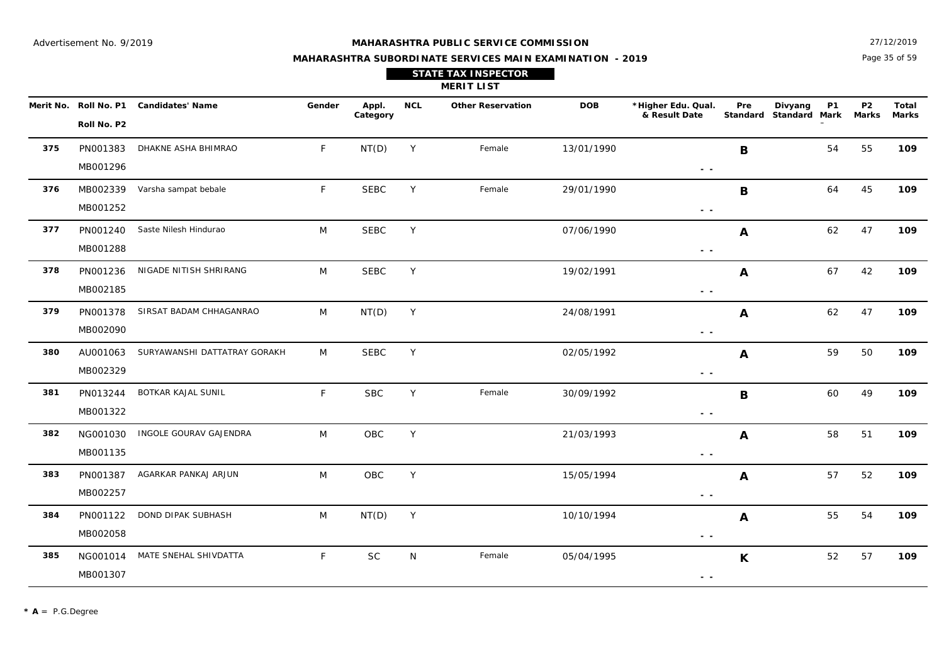#### **MAHARASHTRA PUBLIC SERVICE COMMISSION**

Page 35 of 59 27/12/2019

**Marks**

## **MAHARASHTRA SUBORDINATE SERVICES MAIN EXAMINATION - 2019 STATE TAX INSPECTOR**

|     |                       |                         |        |                   |     | <b>MERIT LIST</b>        |            |                                     |     |                                   |    |                         |                       |
|-----|-----------------------|-------------------------|--------|-------------------|-----|--------------------------|------------|-------------------------------------|-----|-----------------------------------|----|-------------------------|-----------------------|
|     | Merit No. Roll No. P1 | <b>Candidates' Name</b> | Gender | Appl.<br>Category | NCL | <b>Other Reservation</b> | <b>DOB</b> | *Higher Edu. Qual.<br>& Result Date | Pre | Divyang<br>Standard Standard Mark | P1 | P <sub>2</sub><br>Marks | Total<br><b>Marks</b> |
|     | Roll No. P2           |                         |        |                   |     |                          |            |                                     |     |                                   |    |                         |                       |
| 375 | PN001383              | DHAKNE ASHA BHIMRAO     |        | NT(D)             |     | Female                   | 13/01/1990 |                                     | В   |                                   | 54 | 55                      | 109                   |
|     |                       |                         |        |                   |     |                          |            |                                     |     |                                   |    |                         |                       |

|     | MB001296 |                                       |    |             |   |        |            | $\sim$ $\sim$                                                                     |    |    |     |
|-----|----------|---------------------------------------|----|-------------|---|--------|------------|-----------------------------------------------------------------------------------|----|----|-----|
| 376 |          | MB002339 Varsha sampat bebale         | F. | <b>SEBC</b> | Y | Female | 29/01/1990 | В                                                                                 | 64 | 45 | 109 |
|     | MB001252 |                                       |    |             |   |        |            | $\frac{1}{2} \left( \frac{1}{2} \right) = \frac{1}{2}$                            |    |    |     |
| 377 | PN001240 | Saste Nilesh Hindurao                 | M  | <b>SEBC</b> | Y |        | 07/06/1990 | $\boldsymbol{A}$                                                                  | 62 | 47 | 109 |
|     | MB001288 |                                       |    |             |   |        |            | $\sim$ $-$                                                                        |    |    |     |
| 378 | PN001236 | NIGADE NITISH SHRIRANG                | M  | <b>SEBC</b> | Y |        | 19/02/1991 | A                                                                                 | 67 | 42 | 109 |
|     | MB002185 |                                       |    |             |   |        |            | $\sim$ $\sim$                                                                     |    |    |     |
| 379 | PN001378 | SIRSAT BADAM CHHAGANRAO               | M  | NT(D)       | Y |        | 24/08/1991 | A                                                                                 | 62 | 47 | 109 |
|     | MB002090 |                                       |    |             |   |        |            | $ -$                                                                              |    |    |     |
| 380 |          | AU001063 SURYAWANSHI DATTATRAY GORAKH | M  | <b>SEBC</b> | Y |        | 02/05/1992 | $\boldsymbol{A}$                                                                  | 59 | 50 | 109 |
|     | MB002329 |                                       |    |             |   |        |            | $\frac{1}{2} \left( \frac{1}{2} \right) = \frac{1}{2} \left( \frac{1}{2} \right)$ |    |    |     |
| 381 | PN013244 | BOTKAR KAJAL SUNIL                    | F  | <b>SBC</b>  | Y | Female | 30/09/1992 | B                                                                                 | 60 | 49 | 109 |
|     | MB001322 |                                       |    |             |   |        |            | $\frac{1}{2} \left( \frac{1}{2} \right) \frac{1}{2} \left( \frac{1}{2} \right)$   |    |    |     |
| 382 |          | NG001030 INGOLE GOURAV GAJENDRA       | M  | OBC         | Y |        | 21/03/1993 | $\boldsymbol{A}$                                                                  | 58 | 51 | 109 |
|     | MB001135 |                                       |    |             |   |        |            | $ -$                                                                              |    |    |     |
| 383 | PN001387 | AGARKAR PANKAJ ARJUN                  | M  | OBC         | Y |        | 15/05/1994 | A                                                                                 | 57 | 52 | 109 |
|     | MB002257 |                                       |    |             |   |        |            | $ -$                                                                              |    |    |     |
| 384 | PN001122 | DOND DIPAK SUBHASH                    | M  | NT(D)       | Y |        | 10/10/1994 | A                                                                                 | 55 | 54 | 109 |
|     | MB002058 |                                       |    |             |   |        |            | $ -$                                                                              |    |    |     |
| 385 |          | NG001014 MATE SNEHAL SHIVDATTA        | F. | <b>SC</b>   | N | Female | 05/04/1995 | K                                                                                 | 52 | 57 | 109 |
|     | MB001307 |                                       |    |             |   |        |            | $\frac{1}{2} \left( \frac{1}{2} \right) = \frac{1}{2}$                            |    |    |     |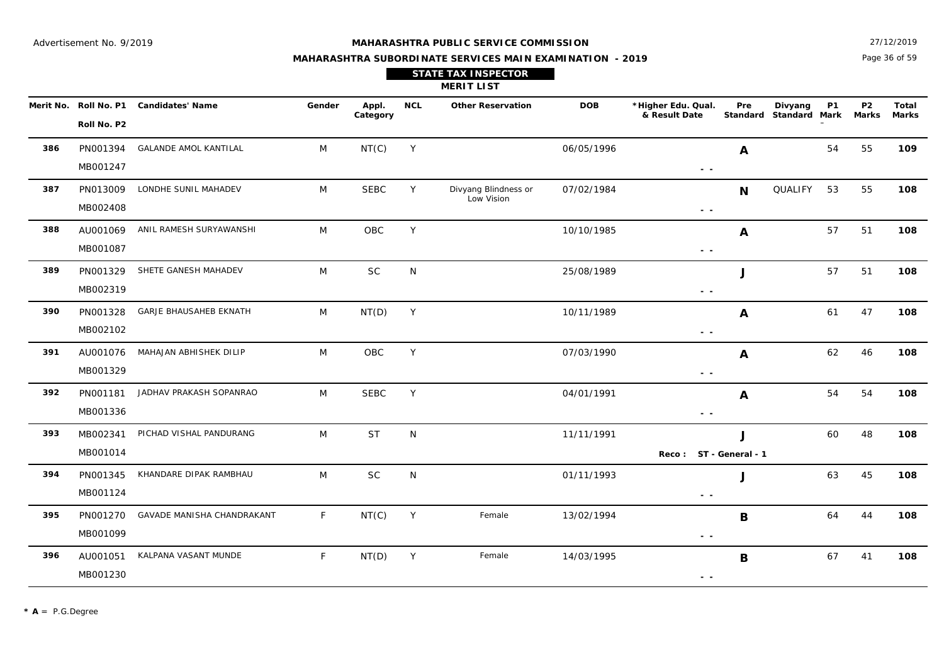#### **MAHARASHTRA PUBLIC SERVICE COMMISSION**

Page 36 of 59 27/12/2019

**Marks**

## **MAHARASHTRA SUBORDINATE SERVICES MAIN EXAMINATION - 2019 STATE TAX INSPECTOR**

|     |                                      |                              |        |                   |            | <b>MERIT LIST</b>        |            |                                     |     |                                   |    |                         |                |
|-----|--------------------------------------|------------------------------|--------|-------------------|------------|--------------------------|------------|-------------------------------------|-----|-----------------------------------|----|-------------------------|----------------|
|     | Merit No. Roll No. P1<br>Roll No. P2 | Candidates' Name             | Gender | Appl.<br>Category | <b>NCL</b> | <b>Other Reservation</b> | <b>DOB</b> | *Higher Edu. Qual.<br>& Result Date | Pre | Divyang<br>Standard Standard Mark | P1 | P <sub>2</sub><br>Marks | Total<br>Mark: |
| 386 | PN001394<br>MB001247                 | <b>GALANDE AMOL KANTILAL</b> | M      | NT(C)             | Y          |                          | 06/05/1996 | . .                                 | A   |                                   | 54 | -55                     | 109            |
|     |                                      |                              |        |                   |            |                          |            |                                     |     |                                   |    |                         |                |

|     | MB001247 |                                   |   |             |   |                                    |            | $\sim$ $\sim$                                                                     |                        |         |    |    |     |
|-----|----------|-----------------------------------|---|-------------|---|------------------------------------|------------|-----------------------------------------------------------------------------------|------------------------|---------|----|----|-----|
| 387 | PN013009 | LONDHE SUNIL MAHADEV              | M | <b>SEBC</b> | Y | Divyang Blindness or<br>Low Vision | 07/02/1984 |                                                                                   | <b>N</b>               | QUALIFY | 53 | 55 | 108 |
|     | MB002408 |                                   |   |             |   |                                    |            | $\sim$ $\sim$                                                                     |                        |         |    |    |     |
| 388 | AU001069 | ANIL RAMESH SURYAWANSHI           | M | OBC         | Y |                                    | 10/10/1985 |                                                                                   | A                      |         | 57 | 51 | 108 |
|     | MB001087 |                                   |   |             |   |                                    |            | $\sim$ $\sim$                                                                     |                        |         |    |    |     |
| 389 | PN001329 | SHETE GANESH MAHADEV              | M | <b>SC</b>   | N |                                    | 25/08/1989 |                                                                                   | J                      |         | 57 | 51 | 108 |
|     | MB002319 |                                   |   |             |   |                                    |            | $\sim$ $-$                                                                        |                        |         |    |    |     |
| 390 | PN001328 | <b>GARJE BHAUSAHEB EKNATH</b>     | M | NT(D)       | Y |                                    | 10/11/1989 |                                                                                   | A                      |         | 61 | 47 | 108 |
|     | MB002102 |                                   |   |             |   |                                    |            | $\frac{1}{2} \left( \frac{1}{2} \right) = \frac{1}{2} \left( \frac{1}{2} \right)$ |                        |         |    |    |     |
| 391 | AU001076 | MAHAJAN ABHISHEK DILIP            | M | OBC         | Y |                                    | 07/03/1990 |                                                                                   | A                      |         | 62 | 46 | 108 |
|     | MB001329 |                                   |   |             |   |                                    |            | $\sim$ $-$                                                                        |                        |         |    |    |     |
| 392 | PN001181 | JADHAV PRAKASH SOPANRAO           | M | <b>SEBC</b> | Y |                                    | 04/01/1991 |                                                                                   | A                      |         | 54 | 54 | 108 |
|     | MB001336 |                                   |   |             |   |                                    |            | $\frac{1}{2} \left( \frac{1}{2} \right) = \frac{1}{2} \left( \frac{1}{2} \right)$ |                        |         |    |    |     |
| 393 | MB002341 | PICHAD VISHAL PANDURANG           | M | <b>ST</b>   | N |                                    | 11/11/1991 |                                                                                   | J                      |         | 60 | 48 | 108 |
|     | MB001014 |                                   |   |             |   |                                    |            |                                                                                   | Reco: ST - General - 1 |         |    |    |     |
| 394 | PN001345 | KHANDARE DIPAK RAMBHAU            | M | <b>SC</b>   | N |                                    | 01/11/1993 |                                                                                   | J                      |         | 63 | 45 | 108 |
|     | MB001124 |                                   |   |             |   |                                    |            | $\sim$ $\sim$                                                                     |                        |         |    |    |     |
| 395 | PN001270 | <b>GAVADE MANISHA CHANDRAKANT</b> | F | NT(C)       | Y | Female                             | 13/02/1994 |                                                                                   | B                      |         | 64 | 44 | 108 |
|     | MB001099 |                                   |   |             |   |                                    |            | $\sim$ $\sim$                                                                     |                        |         |    |    |     |
| 396 | AU001051 | KALPANA VASANT MUNDE              | F | NT(D)       | Y | Female                             | 14/03/1995 |                                                                                   | B                      |         | 67 | 41 | 108 |
|     | MB001230 |                                   |   |             |   |                                    |            | $ -$                                                                              |                        |         |    |    |     |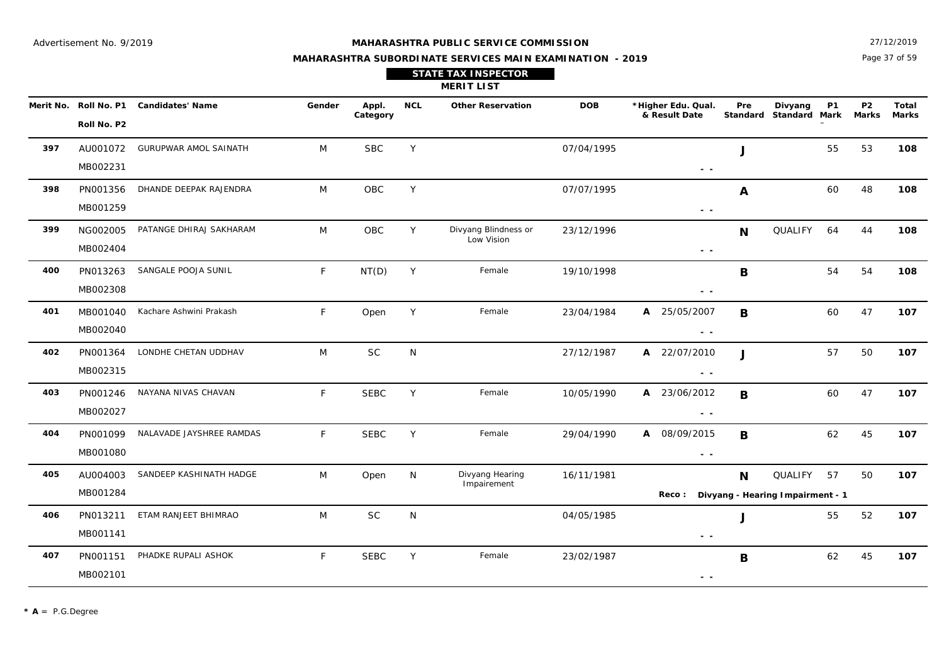#### **MAHARASHTRA PUBLIC SERVICE COMMISSION**

Page 37 of 59 27/12/2019

|                       |                  |        |                   |     | <b>STATE TAX INSPECTOR</b><br><b>MERIT LIST</b> |            |                                     |     |                                   |           |                    |                |
|-----------------------|------------------|--------|-------------------|-----|-------------------------------------------------|------------|-------------------------------------|-----|-----------------------------------|-----------|--------------------|----------------|
| Merit No. Roll No. P1 | Candidates' Name | Gender | Appl.<br>Category | NCL | <b>Other Reservation</b>                        | <b>DOB</b> | *Higher Edu. Qual.<br>& Result Date | Pre | Divyang<br>Standard Standard Mark | <b>P1</b> | <b>P2</b><br>Marks | Total<br>Marks |
| Roll No. P2           |                  |        |                   |     |                                                 |            |                                     |     |                                   |           |                    |                |

| 397 | AU001072<br>MB002231 | <b>GURUPWAR AMOL SAINATH</b> | M            | <b>SBC</b>  | Y |                                    | 07/04/1995 | $\sim$ $-$                                                                                                                                                                                                                                                                                                                                                                                                                                                        | J            |                                             | 55 | 53 | 108 |
|-----|----------------------|------------------------------|--------------|-------------|---|------------------------------------|------------|-------------------------------------------------------------------------------------------------------------------------------------------------------------------------------------------------------------------------------------------------------------------------------------------------------------------------------------------------------------------------------------------------------------------------------------------------------------------|--------------|---------------------------------------------|----|----|-----|
| 398 | PN001356<br>MB001259 | DHANDE DEEPAK RAJENDRA       | M            | OBC         | Y |                                    | 07/07/1995 | $\sim$ $\sim$                                                                                                                                                                                                                                                                                                                                                                                                                                                     | A            |                                             | 60 | 48 | 108 |
| 399 | NG002005<br>MB002404 | PATANGE DHIRAJ SAKHARAM      | M            | <b>OBC</b>  | Y | Divyang Blindness or<br>Low Vision | 23/12/1996 | $\sim$ $\sim$                                                                                                                                                                                                                                                                                                                                                                                                                                                     | N            | QUALIFY                                     | 64 | 44 | 108 |
| 400 | PN013263<br>MB002308 | SANGALE POOJA SUNIL          | F            | NT(D)       | Y | Female                             | 19/10/1998 | $\frac{1}{2} \left( \frac{1}{2} \right) \frac{1}{2} \left( \frac{1}{2} \right) \frac{1}{2} \left( \frac{1}{2} \right) \frac{1}{2} \left( \frac{1}{2} \right) \frac{1}{2} \left( \frac{1}{2} \right) \frac{1}{2} \left( \frac{1}{2} \right) \frac{1}{2} \left( \frac{1}{2} \right) \frac{1}{2} \left( \frac{1}{2} \right) \frac{1}{2} \left( \frac{1}{2} \right) \frac{1}{2} \left( \frac{1}{2} \right) \frac{1}{2} \left( \frac{1}{2} \right)$                    | B            |                                             | 54 | 54 | 108 |
| 401 | MB001040<br>MB002040 | Kachare Ashwini Prakash      | F            | Open        | Y | Female                             | 23/04/1984 | A 25/05/2007<br>$\sim$ $\sim$                                                                                                                                                                                                                                                                                                                                                                                                                                     | B            |                                             | 60 | 47 | 107 |
| 402 | PN001364<br>MB002315 | LONDHE CHETAN UDDHAV         | M            | <b>SC</b>   | N |                                    | 27/12/1987 | 22/07/2010<br>A<br>$\frac{1}{2} \left( \frac{1}{2} \right) \frac{1}{2} \left( \frac{1}{2} \right) \frac{1}{2} \left( \frac{1}{2} \right) \frac{1}{2} \left( \frac{1}{2} \right) \frac{1}{2} \left( \frac{1}{2} \right) \frac{1}{2} \left( \frac{1}{2} \right) \frac{1}{2} \left( \frac{1}{2} \right) \frac{1}{2} \left( \frac{1}{2} \right) \frac{1}{2} \left( \frac{1}{2} \right) \frac{1}{2} \left( \frac{1}{2} \right) \frac{1}{2} \left( \frac{1}{2} \right)$ | $\mathbf{I}$ |                                             | 57 | 50 | 107 |
| 403 | PN001246<br>MB002027 | NAYANA NIVAS CHAVAN          | F            | <b>SEBC</b> | Y | Female                             | 10/05/1990 | A 23/06/2012<br>$\sim$ $\sim$                                                                                                                                                                                                                                                                                                                                                                                                                                     | B            |                                             | 60 | 47 | 107 |
| 404 | PN001099<br>MB001080 | NALAVADE JAYSHREE RAMDAS     | $\mathsf{F}$ | <b>SEBC</b> | Y | Female                             | 29/04/1990 | A 08/09/2015<br>$\sim$ $\sim$                                                                                                                                                                                                                                                                                                                                                                                                                                     | B            |                                             | 62 | 45 | 107 |
| 405 | AU004003<br>MB001284 | SANDEEP KASHINATH HADGE      | M            | Open        | N | Divyang Hearing<br>Impairement     | 16/11/1981 | Reco:                                                                                                                                                                                                                                                                                                                                                                                                                                                             | N            | QUALIFY<br>Divyang - Hearing Impairment - 1 | 57 | 50 | 107 |
| 406 | PN013211<br>MB001141 | ETAM RANJEET BHIMRAO         | M            | <b>SC</b>   | N |                                    | 04/05/1985 | $\frac{1}{2} \left( \frac{1}{2} \right) \frac{1}{2} \left( \frac{1}{2} \right)$                                                                                                                                                                                                                                                                                                                                                                                   | J            |                                             | 55 | 52 | 107 |
| 407 | PN001151<br>MB002101 | PHADKE RUPALI ASHOK          | F            | <b>SEBC</b> | Y | Female                             | 23/02/1987 | $\frac{1}{2} \left( \frac{1}{2} \right) = \frac{1}{2} \left( \frac{1}{2} \right)$                                                                                                                                                                                                                                                                                                                                                                                 | B            |                                             | 62 | 45 | 107 |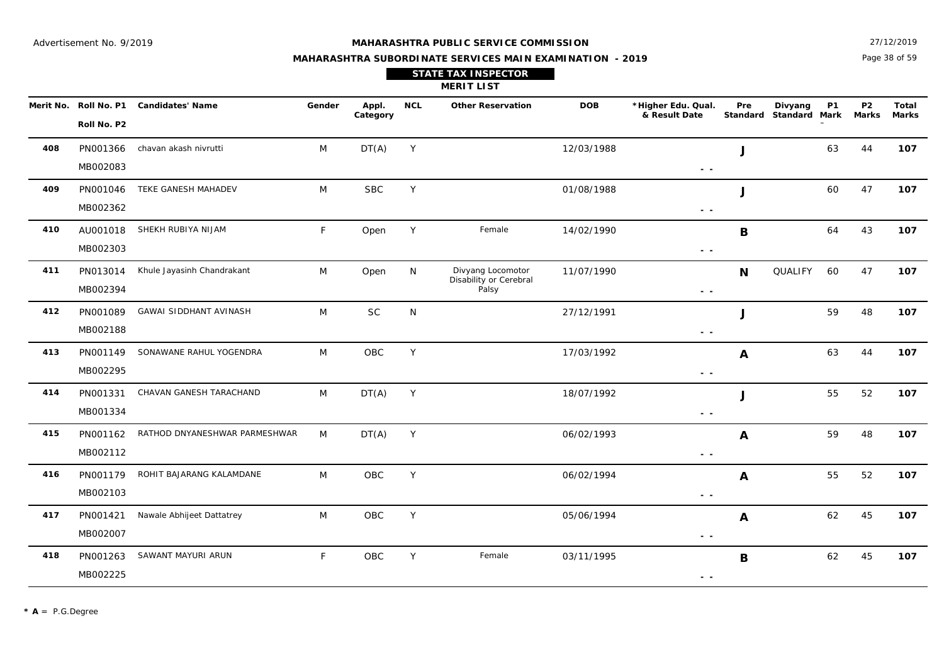Page 38 of 59 27/12/2019

#### **MAHARASHTRA SUBORDINATE SERVICES MAIN EXAMINATION - 2019**

|     | Merit No. Roll No. P1 | <b>Candidates' Name</b>       | Gender | Appl.<br>Category | <b>NCL</b> | <b>Other Reservation</b>                    | <b>DOB</b> | *Higher Edu. Qual.<br>& Result Date                                               | Pre          | Divyang<br>Standard Standard Mark | <b>P1</b> | P <sub>2</sub><br><b>Marks</b> | Total<br><b>Marks</b> |
|-----|-----------------------|-------------------------------|--------|-------------------|------------|---------------------------------------------|------------|-----------------------------------------------------------------------------------|--------------|-----------------------------------|-----------|--------------------------------|-----------------------|
|     | Roll No. P2           |                               |        |                   |            |                                             |            |                                                                                   |              |                                   |           |                                |                       |
| 408 | PN001366              | chavan akash nivrutti         | M      | DT(A)             | Y          |                                             | 12/03/1988 |                                                                                   | J            |                                   | 63        | 44                             | 107                   |
|     | MB002083              |                               |        |                   |            |                                             |            | $\frac{1}{2} \left( \frac{1}{2} \right) \frac{1}{2} \left( \frac{1}{2} \right)$   |              |                                   |           |                                |                       |
| 409 | PN001046              | TEKE GANESH MAHADEV           | M      | <b>SBC</b>        | Y          |                                             | 01/08/1988 |                                                                                   | J            |                                   | 60        | 47                             | 107                   |
|     | MB002362              |                               |        |                   |            |                                             |            | $\sim$ $-$                                                                        |              |                                   |           |                                |                       |
| 410 | AU001018              | SHEKH RUBIYA NIJAM            | F      | Open              | Y          | Female                                      | 14/02/1990 |                                                                                   | B            |                                   | 64        | 43                             | 107                   |
|     | MB002303              |                               |        |                   |            |                                             |            | $\frac{1}{2} \left( \frac{1}{2} \right) \frac{1}{2} \left( \frac{1}{2} \right)$   |              |                                   |           |                                |                       |
| 411 | PN013014              | Khule Jayasinh Chandrakant    | M      | Open              | N          | Divyang Locomotor<br>Disability or Cerebral | 11/07/1990 |                                                                                   | N            | QUALIFY                           | 60        | 47                             | 107                   |
|     | MB002394              |                               |        |                   |            | Palsy                                       |            | $\frac{1}{2} \left( \frac{1}{2} \right) = \frac{1}{2} \left( \frac{1}{2} \right)$ |              |                                   |           |                                |                       |
| 412 | PN001089              | GAWAI SIDDHANT AVINASH        | M      | <b>SC</b>         | N          |                                             | 27/12/1991 |                                                                                   | J            |                                   | 59        | 48                             | 107                   |
|     | MB002188              |                               |        |                   |            |                                             |            | $\frac{1}{2} \left( \frac{1}{2} \right) \frac{1}{2} \left( \frac{1}{2} \right)$   |              |                                   |           |                                |                       |
| 413 | PN001149              | SONAWANE RAHUL YOGENDRA       | M      | OBC               | Y          |                                             | 17/03/1992 |                                                                                   | $\mathbf{A}$ |                                   | 63        | 44                             | 107                   |
|     | MB002295              |                               |        |                   |            |                                             |            | $ -$                                                                              |              |                                   |           |                                |                       |
| 414 | PN001331              | CHAVAN GANESH TARACHAND       | M      | DT(A)             | Y          |                                             | 18/07/1992 |                                                                                   | J            |                                   | 55        | 52                             | 107                   |
|     | MB001334              |                               |        |                   |            |                                             |            | $\sim$ $\sim$                                                                     |              |                                   |           |                                |                       |
| 415 | PN001162              | RATHOD DNYANESHWAR PARMESHWAR | M      | DT(A)             | Y          |                                             | 06/02/1993 |                                                                                   | A            |                                   | 59        | 48                             | 107                   |
|     | MB002112              |                               |        |                   |            |                                             |            | $\frac{1}{2} \left( \frac{1}{2} \right) = \frac{1}{2} \left( \frac{1}{2} \right)$ |              |                                   |           |                                |                       |
| 416 | PN001179              | ROHIT BAJARANG KALAMDANE      | M      | OBC               | Y          |                                             | 06/02/1994 |                                                                                   | A            |                                   | 55        | 52                             | 107                   |
|     | MB002103              |                               |        |                   |            |                                             |            | $\sim$ $\sim$                                                                     |              |                                   |           |                                |                       |
| 417 | PN001421              | Nawale Abhijeet Dattatrey     | M      | <b>OBC</b>        | Y          |                                             | 05/06/1994 |                                                                                   | A            |                                   | 62        | 45                             | 107                   |
|     | MB002007              |                               |        |                   |            |                                             |            | $ -$                                                                              |              |                                   |           |                                |                       |

OBC

SAWANT MAYURI ARUN **F** OBC Y Female 03/11/1995 **R** B 62 45 107

03/11/1995

 **- -** 

**B**

#### **MERIT LIST STATE TAX INSPECTOR**

PN001263

MB002225

**418**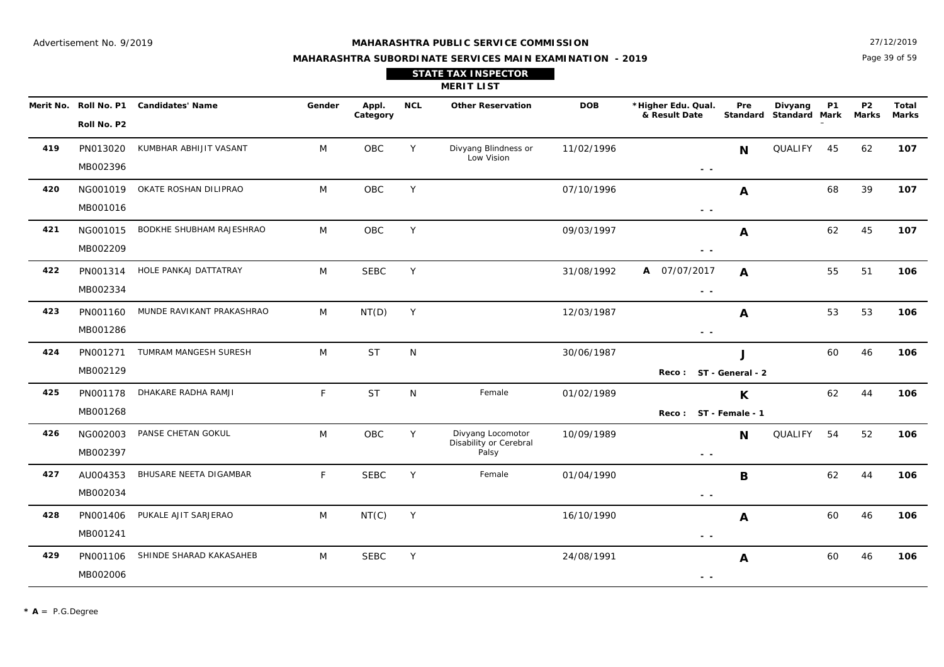Page 39 of 59 27/12/2019

#### **MAHARASHTRA SUBORDINATE SERVICES MAIN EXAMINATION - 2019**

**STATE TAX INSPECTOR**

**MERIT LIST**

|     | Roll No. P2          | Merit No. Roll No. P1 Candidates' Name | Gender | Appl.<br>Category | <b>NCL</b> | <b>Other Reservation</b>                             | <b>DOB</b> | *Higher Edu. Qual.<br>& Result Date                                               | Pre              | Divyang<br>Standard Standard Mark | <b>P1</b> | <b>P2</b><br>Marks | Total<br><b>Marks</b> |
|-----|----------------------|----------------------------------------|--------|-------------------|------------|------------------------------------------------------|------------|-----------------------------------------------------------------------------------|------------------|-----------------------------------|-----------|--------------------|-----------------------|
| 419 | PN013020<br>MB002396 | KUMBHAR ABHIJIT VASANT                 | M      | OBC               | Y          | Divyang Blindness or<br>Low Vision                   | 11/02/1996 | $\sim$ $\sim$                                                                     | <b>N</b>         | QUALIFY 45                        |           | 62                 | 107                   |
| 420 | MB001016             | NG001019 OKATE ROSHAN DILIPRAO         | M      | <b>OBC</b>        | Y          |                                                      | 07/10/1996 | $\sim$ $-$                                                                        | A                |                                   | 68        | 39                 | 107                   |
| 421 | NG001015<br>MB002209 | BODKHE SHUBHAM RAJESHRAO               | M      | OBC               | Y          |                                                      | 09/03/1997 | $\sim$ $\sim$                                                                     | $\mathbf{A}$     |                                   | 62        | 45                 | 107                   |
| 422 | PN001314<br>MB002334 | HOLE PANKAJ DATTATRAY                  | M      | <b>SEBC</b>       | Y          |                                                      | 31/08/1992 | A 07/07/2017<br>$\sim$ $\sim$                                                     | $\mathbf{A}$     |                                   | 55        | 51                 | 106                   |
| 423 | PN001160<br>MB001286 | MUNDE RAVIKANT PRAKASHRAO              | M      | NT(D)             | Y          |                                                      | 12/03/1987 | $\sim$ $\sim$                                                                     | A                |                                   | 53        | 53                 | 106                   |
| 424 | PN001271<br>MB002129 | TUMRAM MANGESH SURESH                  | M      | <b>ST</b>         | N          |                                                      | 30/06/1987 | Reco: ST - General - 2                                                            | $\mathbf{I}$     |                                   | 60        | 46                 | 106                   |
| 425 | PN001178<br>MB001268 | DHAKARE RADHA RAMJI                    | F      | <b>ST</b>         | N          | Female                                               | 01/02/1989 | Reco: ST - Female - 1                                                             | K                |                                   | 62        | 44                 | 106                   |
| 426 | NG002003<br>MB002397 | PANSE CHETAN GOKUL                     | M      | OBC               | Y          | Divyang Locomotor<br>Disability or Cerebral<br>Palsy | 10/09/1989 | $\frac{1}{2} \left( \frac{1}{2} \right) = \frac{1}{2} \left( \frac{1}{2} \right)$ | N                | QUALIFY                           | 54        | 52                 | 106                   |
| 427 | AU004353<br>MB002034 | BHUSARE NEETA DIGAMBAR                 | F.     | <b>SEBC</b>       | Y          | Female                                               | 01/04/1990 | $\sim$ $-$                                                                        | $\mathbf B$      |                                   | 62        | 44                 | 106                   |
| 428 | PN001406<br>MB001241 | PUKALE AJIT SARJERAO                   | M      | NT(C)             | Y          |                                                      | 16/10/1990 | $\sim$ $\sim$                                                                     | $\mathbf{A}$     |                                   | 60        | 46                 | 106                   |
| 429 | PN001106<br>MB002006 | SHINDE SHARAD KAKASAHEB                | M      | <b>SEBC</b>       | Y          |                                                      | 24/08/1991 | $\sim$ $\sim$                                                                     | $\boldsymbol{A}$ |                                   | 60        | 46                 | 106                   |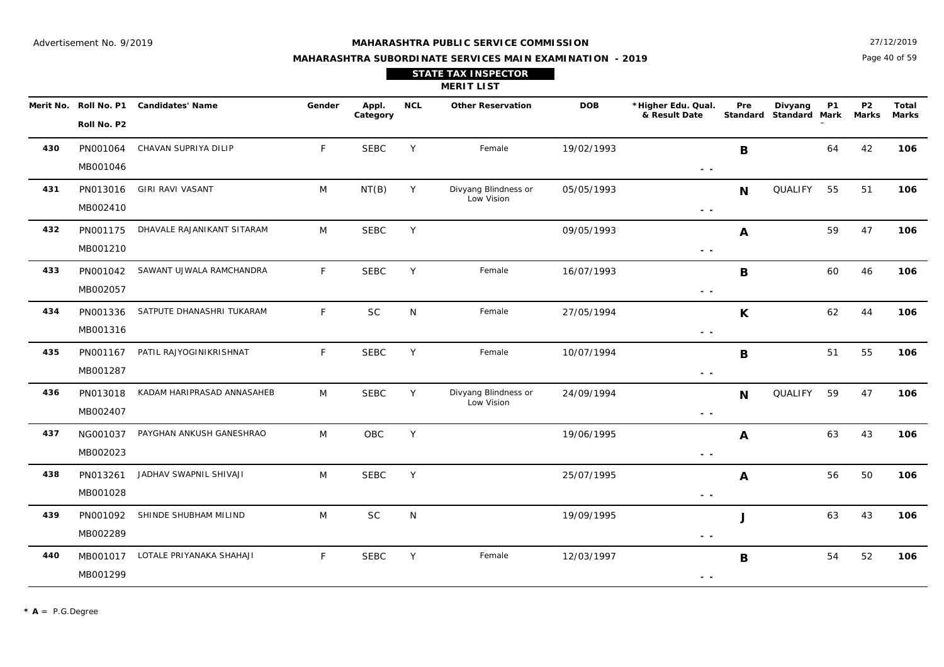Page 40 of 59 27/12/2019

| <b>STATE TAX INSPECTOR</b> |
|----------------------------|
| <b>MERIT LIST</b>          |

|     | Merit No. Roll No. P1 | <b>Candidates' Name</b>           | Gender       | Appl.<br>Category | <b>NCL</b> | <b>Other Reservation</b>           | <b>DOB</b> | *Higher Edu. Qual.<br>& Result Date                                             | Pre              | Divyang<br>Standard Standard Mark | <b>P1</b> | <b>P2</b><br>Marks | Total<br>Marks |
|-----|-----------------------|-----------------------------------|--------------|-------------------|------------|------------------------------------|------------|---------------------------------------------------------------------------------|------------------|-----------------------------------|-----------|--------------------|----------------|
|     | Roll No. P2           |                                   |              |                   |            |                                    |            |                                                                                 |                  |                                   |           |                    |                |
| 430 | PN001064              | CHAVAN SUPRIYA DILIP              | F.           | <b>SEBC</b>       | Y          | Female                             | 19/02/1993 |                                                                                 | B                |                                   | 64        | 42                 | 106            |
|     | MB001046              |                                   |              |                   |            |                                    |            | $\sim$ $\sim$                                                                   |                  |                                   |           |                    |                |
| 431 | PN013016              | <b>GIRI RAVI VASANT</b>           | M            | NT(B)             | Y          | Divyang Blindness or<br>Low Vision | 05/05/1993 |                                                                                 | N                | QUALIFY                           | 55        | 51                 | 106            |
|     | MB002410              |                                   |              |                   |            |                                    |            | $\frac{1}{2} \left( \frac{1}{2} \right) \frac{1}{2} \left( \frac{1}{2} \right)$ |                  |                                   |           |                    |                |
| 432 | PN001175              | DHAVALE RAJANIKANT SITARAM        | M            | <b>SEBC</b>       | Y          |                                    | 09/05/1993 |                                                                                 | A                |                                   | 59        | 47                 | 106            |
|     | MB001210              |                                   |              |                   |            |                                    |            | $ -$                                                                            |                  |                                   |           |                    |                |
| 433 | PN001042              | SAWANT UJWALA RAMCHANDRA          | $\mathsf{F}$ | <b>SEBC</b>       | Y          | Female                             | 16/07/1993 |                                                                                 | $\mathbf B$      |                                   | 60        | 46                 | 106            |
|     | MB002057              |                                   |              |                   |            |                                    |            | $\sim$ $\sim$                                                                   |                  |                                   |           |                    |                |
| 434 | PN001336              | SATPUTE DHANASHRI TUKARAM         | $\mathsf{F}$ | <b>SC</b>         | N          | Female                             | 27/05/1994 |                                                                                 | $\mathsf{K}$     |                                   | 62        | 44                 | 106            |
|     | MB001316              |                                   |              |                   |            |                                    |            | $\sim$ $-$                                                                      |                  |                                   |           |                    |                |
| 435 | PN001167              | PATIL RAJYOGINIKRISHNAT           | F.           | <b>SEBC</b>       | Y          | Female                             | 10/07/1994 |                                                                                 | B                |                                   | 51        | 55                 | 106            |
|     | MB001287              |                                   |              |                   |            |                                    |            | $\sim$ $\sim$                                                                   |                  |                                   |           |                    |                |
| 436 | PN013018              | KADAM HARIPRASAD ANNASAHEB        | M            | <b>SEBC</b>       | Y          | Divyang Blindness or<br>Low Vision | 24/09/1994 |                                                                                 | $\mathbf N$      | QUALIFY                           | 59        | 47                 | 106            |
|     | MB002407              |                                   |              |                   |            |                                    |            | $\sim$ $-$                                                                      |                  |                                   |           |                    |                |
| 437 | NG001037              | PAYGHAN ANKUSH GANESHRAO          | M            | OBC               | Y          |                                    | 19/06/1995 |                                                                                 | $\boldsymbol{A}$ |                                   | 63        | 43                 | 106            |
|     | MB002023              |                                   |              |                   |            |                                    |            | $\sim$ $\sim$                                                                   |                  |                                   |           |                    |                |
| 438 | PN013261              | JADHAV SWAPNIL SHIVAJI            | M            | <b>SEBC</b>       | Y          |                                    | 25/07/1995 |                                                                                 | A                |                                   | 56        | 50                 | 106            |
|     | MB001028              |                                   |              |                   |            |                                    |            | $\frac{1}{2} \left( \frac{1}{2} \right) \frac{1}{2} \left( \frac{1}{2} \right)$ |                  |                                   |           |                    |                |
| 439 | PN001092              | SHINDE SHUBHAM MILIND             | M            | SC                | N          |                                    | 19/09/1995 |                                                                                 | J                |                                   | 63        | 43                 | 106            |
|     | MB002289              |                                   |              |                   |            |                                    |            | $\sim$ $\sim$                                                                   |                  |                                   |           |                    |                |
| 440 |                       | MB001017 LOTALE PRIYANAKA SHAHAJI | $\mathsf{F}$ | <b>SEBC</b>       | Y          | Female                             | 12/03/1997 |                                                                                 | $\mathbf B$      |                                   | 54        | 52                 | 106            |
|     | MB001299              |                                   |              |                   |            |                                    |            | $\sim$ $\sim$                                                                   |                  |                                   |           |                    |                |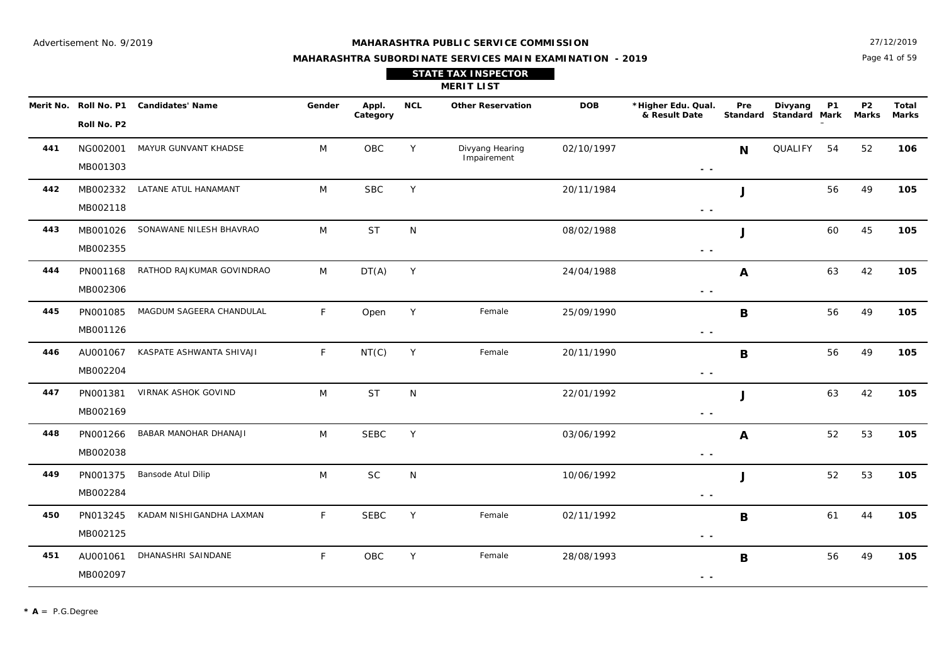27/12/2019

## **MAHARASHTRA SUBORDINATE SERVICES MAIN EXAMINATION - 2019 STATE TAX INSPECTOR**

Page 41 of 59

|           |                      |                              |              |                   |            | <b>MERIT LIST</b>              |            |                                     |             |                                   |           |                                |                |
|-----------|----------------------|------------------------------|--------------|-------------------|------------|--------------------------------|------------|-------------------------------------|-------------|-----------------------------------|-----------|--------------------------------|----------------|
| Merit No. | Roll No. P2          | Roll No. P1 Candidates' Name | Gender       | Appl.<br>Category | <b>NCL</b> | <b>Other Reservation</b>       | <b>DOB</b> | *Higher Edu. Qual.<br>& Result Date | Pre         | Divyang<br>Standard Standard Mark | <b>P1</b> | P <sub>2</sub><br><b>Marks</b> | Total<br>Marks |
| 441       | NG002001<br>MB001303 | MAYUR GUNVANT KHADSE         | M            | OBC               | Y          | Divyang Hearing<br>Impairement | 02/10/1997 | $\sim$ $\sim$                       | N           | QUALIFY 54                        |           | 52                             | 106            |
| 442       | MB002332<br>MB002118 | LATANE ATUL HANAMANT         | M            | <b>SBC</b>        | Y          |                                | 20/11/1984 | $ -$                                | J           |                                   | 56        | 49                             | 105            |
| 443       | MB001026<br>MB002355 | SONAWANE NILESH BHAVRAO      | M            | <b>ST</b>         | N          |                                | 08/02/1988 | $\sim$ $\sim$                       | J           |                                   | 60        | 45                             | 105            |
| 444       | PN001168<br>MB002306 | RATHOD RAJKUMAR GOVINDRAO    | M            | DT(A)             | Y          |                                | 24/04/1988 | $\sim$ $-$                          | A           |                                   | 63        | 42                             | 105            |
| 445       | PN001085<br>MB001126 | MAGDUM SAGEERA CHANDULAL     | $\mathsf{F}$ | Open              | Y          | Female                         | 25/09/1990 | $\sim$ $\sim$                       | B           |                                   | 56        | 49                             | 105            |
| 446       | AU001067<br>MB002204 | KASPATE ASHWANTA SHIVAJI     | F            | NT(C)             | Y          | Female                         | 20/11/1990 | $ -$                                | $\mathbf B$ |                                   | 56        | 49                             | 105            |
| 447       | PN001381<br>MB002169 | VIRNAK ASHOK GOVIND          | M            | <b>ST</b>         | N          |                                | 22/01/1992 | $\sim$ $\sim$                       | J           |                                   | 63        | 42                             | 105            |
| 448       | PN001266<br>MB002038 | BABAR MANOHAR DHANAJI        | M            | <b>SEBC</b>       | Y          |                                | 03/06/1992 | $\sim$ $\sim$                       | A           |                                   | 52        | 53                             | 105            |
| 449       | PN001375<br>MB002284 | Bansode Atul Dilip           | M            | <b>SC</b>         | N          |                                | 10/06/1992 | $\sim$ $\sim$                       | J           |                                   | 52        | 53                             | 105            |
| 450       | PN013245<br>MB002125 | KADAM NISHIGANDHA LAXMAN     | F            | <b>SEBC</b>       | Y          | Female                         | 02/11/1992 | $\sim$ $\sim$                       | B           |                                   | 61        | 44                             | 105            |
| 451       | AU001061<br>MB002097 | DHANASHRI SAINDANE           | F            | OBC               | Υ          | Female                         | 28/08/1993 | $ -$                                | B           |                                   | 56        | 49                             | 105            |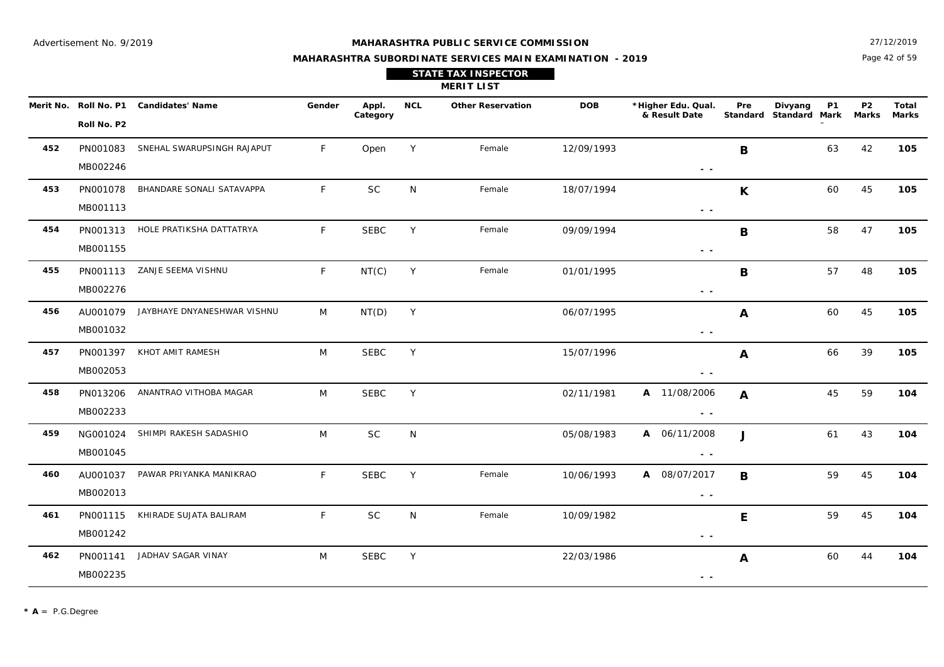27/12/2019

## **MAHARASHTRA SUBORDINATE SERVICES MAIN EXAMINATION - 2019 STATE TAX INSPECTOR**

Page 42 of 59

|     |                      |                                        |        |                   |            | <b>MERIT LIST</b>        |            |                                     |              |                                                |                           |                       |
|-----|----------------------|----------------------------------------|--------|-------------------|------------|--------------------------|------------|-------------------------------------|--------------|------------------------------------------------|---------------------------|-----------------------|
|     | Roll No. P2          | Merit No. Roll No. P1 Candidates' Name | Gender | Appl.<br>Category | <b>NCL</b> | <b>Other Reservation</b> | <b>DOB</b> | *Higher Edu. Qual.<br>& Result Date | Pre          | <b>P1</b><br>Divyang<br>Standard Standard Mark | <b>P2</b><br><b>Marks</b> | Total<br><b>Marks</b> |
| 452 | PN001083<br>MB002246 | SNEHAL SWARUPSINGH RAJAPUT             | F      | Open              | Y          | Female                   | 12/09/1993 | $\sim$ $\sim$                       | B            | 63                                             | 42                        | 105                   |
| 453 | PN001078<br>MB001113 | BHANDARE SONALI SATAVAPPA              | F      | <b>SC</b>         | N          | Female                   | 18/07/1994 | $\sim$ $\sim$                       | K            | 60                                             | 45                        | 105                   |
| 454 | PN001313<br>MB001155 | HOLE PRATIKSHA DATTATRYA               | F.     | <b>SEBC</b>       | Y          | Female                   | 09/09/1994 | $\sim$ $\sim$                       | B            | 58                                             | 47                        | 105                   |
| 455 | PN001113<br>MB002276 | ZANJE SEEMA VISHNU                     | F.     | NT(C)             | Y          | Female                   | 01/01/1995 | $\sim$ $\sim$                       | B            | 57                                             | 48                        | 105                   |
| 456 | AU001079<br>MB001032 | JAYBHAYE DNYANESHWAR VISHNU            | M      | NT(D)             | Y          |                          | 06/07/1995 | $\sim$ $\sim$                       | A            | 60                                             | 45                        | 105                   |
| 457 | PN001397<br>MB002053 | KHOT AMIT RAMESH                       | M      | <b>SEBC</b>       | Y          |                          | 15/07/1996 | $\sim$ $\sim$                       | A            | 66                                             | 39                        | 105                   |
| 458 | PN013206<br>MB002233 | ANANTRAO VITHOBA MAGAR                 | M      | <b>SEBC</b>       | Y          |                          | 02/11/1981 | A 11/08/2006<br>$ -$                | A            | 45                                             | 59                        | 104                   |
| 459 | NG001024<br>MB001045 | SHIMPI RAKESH SADASHIO                 | M      | <b>SC</b>         | N          |                          | 05/08/1983 | A 06/11/2008<br>$\sim$ $\sim$       | $\mathbf{J}$ | 61                                             | 43                        | 104                   |
| 460 | AU001037<br>MB002013 | PAWAR PRIYANKA MANIKRAO                | F.     | <b>SEBC</b>       | Y          | Female                   | 10/06/1993 | A 08/07/2017<br>$ -$                | B            | 59                                             | 45                        | 104                   |
| 461 | PN001115<br>MB001242 | KHIRADE SUJATA BALIRAM                 | F      | SC                | N          | Female                   | 10/09/1982 | $ -$                                | E            | 59                                             | 45                        | 104                   |
| 462 | PN001141<br>MB002235 | JADHAV SAGAR VINAY                     | M      | <b>SEBC</b>       | Y          |                          | 22/03/1986 | $\sim$ $\sim$                       | A            | 60                                             | 44                        | 104                   |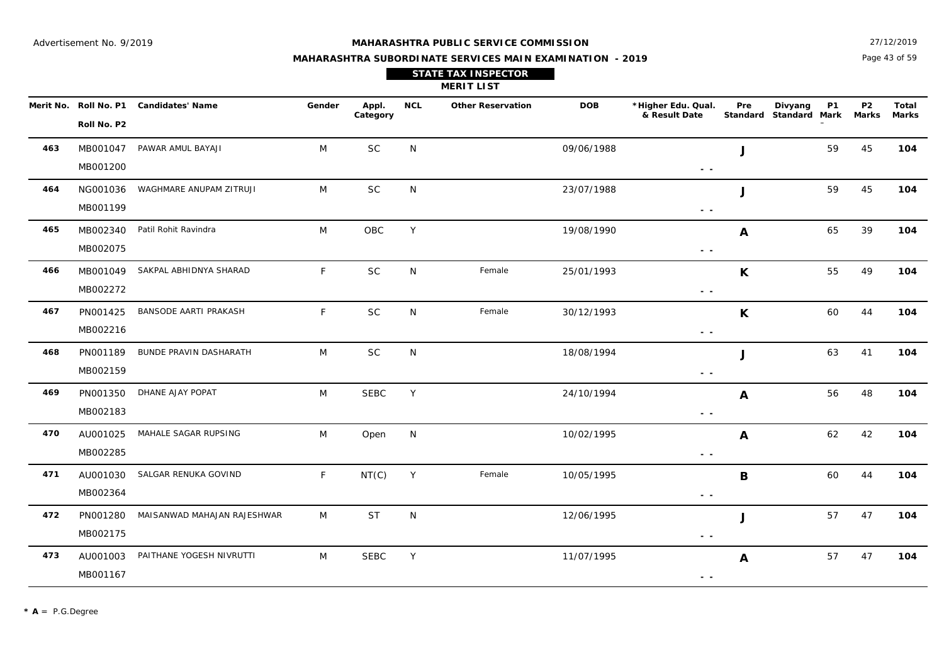#### **MAHARASHTRA PUBLIC SERVICE COMMISSION**

Page 43 of 59 27/12/2019

**Marks**

|                                      |                         |        |                   |     | <b>STATE TAX INSPECTOR</b><br><b>MERIT LIST</b> |            |                                     |     |                                         |    |                |              |
|--------------------------------------|-------------------------|--------|-------------------|-----|-------------------------------------------------|------------|-------------------------------------|-----|-----------------------------------------|----|----------------|--------------|
| Merit No. Roll No. P1<br>Roll No. P2 | <b>Candidates' Name</b> | Gender | Appl.<br>Category | NCL | <b>Other Reservation</b>                        | <b>DOB</b> | *Higher Edu. Qual.<br>& Result Date | Pre | Divyang<br>Standard Standard Mark Marks | P1 | P <sub>2</sub> | Tota<br>Mark |
|                                      |                         |        |                   |     |                                                 |            |                                     |     |                                         |    |                |              |

| 463 | MB001047<br>MB001200 | PAWAR AMUL BAYAJI               | M  | <b>SC</b>   | N |        | 09/06/1988 | J<br>$\sim$ $\sim$            | 59 | 45 | 104 |
|-----|----------------------|---------------------------------|----|-------------|---|--------|------------|-------------------------------|----|----|-----|
| 464 | NG001036             | WAGHMARE ANUPAM ZITRUJI         | M  | $\sf SC$    | N |        | 23/07/1988 | $\mathbf{J}$                  | 59 | 45 | 104 |
| 465 | MB001199             | MB002340 Patil Rohit Ravindra   | M  | <b>OBC</b>  | Y |        | 19/08/1990 | $\sim$ $\sim$<br>A            | 65 | 39 | 104 |
| 466 | MB002075             | MB001049 SAKPAL ABHIDNYA SHARAD | F. | $\sf SC$    | N | Female | 25/01/1993 | $ -$<br>K                     | 55 | 49 | 104 |
| 467 | MB002272<br>PN001425 | BANSODE AARTI PRAKASH           | F  | <b>SC</b>   | N | Female | 30/12/1993 | $\sim$ $\sim$<br>$\mathsf{K}$ | 60 | 44 | 104 |
|     | MB002216             |                                 |    |             |   |        |            | $\sim$ $\sim$                 |    |    |     |
| 468 | PN001189<br>MB002159 | BUNDE PRAVIN DASHARATH          | M  | <b>SC</b>   | N |        | 18/08/1994 | $\mathbf{I}$<br>$ -$          | 63 | 41 | 104 |
| 469 | PN001350<br>MB002183 | DHANE AJAY POPAT                | M  | <b>SEBC</b> | Y |        | 24/10/1994 | A<br>$ -$                     | 56 | 48 | 104 |
| 470 | AU001025<br>MB002285 | MAHALE SAGAR RUPSING            | M  | Open        | N |        | 10/02/1995 | $\mathbf{A}$<br>$\sim$ $\sim$ | 62 | 42 | 104 |
| 471 | AU001030<br>MB002364 | SALGAR RENUKA GOVIND            | F  | NT(C)       | Y | Female | 10/05/1995 | B<br>$\sim$ $\sim$            | 60 | 44 | 104 |
| 472 | PN001280<br>MB002175 | MAISANWAD MAHAJAN RAJESHWAR     | M  | <b>ST</b>   | N |        | 12/06/1995 | J<br>$ -$                     | 57 | 47 | 104 |
| 473 | AU001003<br>MB001167 | PAITHANE YOGESH NIVRUTTI        | M  | <b>SEBC</b> | Y |        | 11/07/1995 | $\mathbf{A}$<br>$\sim$ $\sim$ | 57 | 47 | 104 |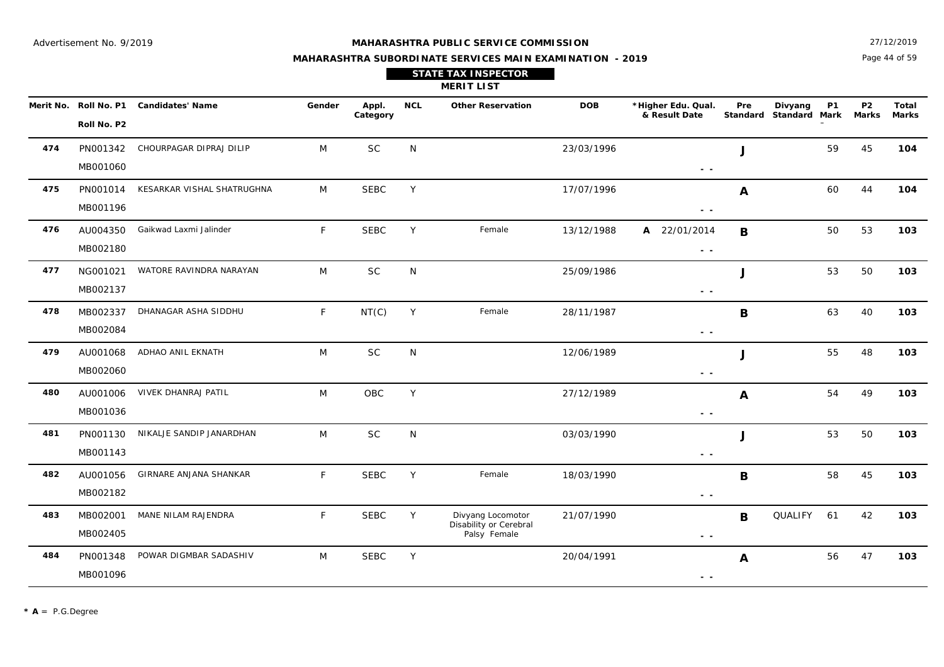27/12/2019

#### **MAHARASHTRA SUBORDINATE SERVICES MAIN EXAMINATION - 2019**

| Annl | <b>MCI</b> | Other Decentation          | םחח | *Higher Edu. Our |
|------|------------|----------------------------|-----|------------------|
|      |            | <b>MERIT LIST</b>          |     |                  |
|      |            | <b>STATE TAX INSPECTOR</b> |     |                  |

|     | Roll No. P2          | Merit No. Roll No. P1 Candidates' Name | Gender       | Appl.<br>Category | <b>NCL</b> | <b>Other Reservation</b>                                    | <b>DOB</b> | *Higher Edu. Qual.<br>& Result Date | Pre          | Divyang<br>Standard Standard Mark Marks | <b>P1</b> | P <sub>2</sub> | Total<br><b>Marks</b> |
|-----|----------------------|----------------------------------------|--------------|-------------------|------------|-------------------------------------------------------------|------------|-------------------------------------|--------------|-----------------------------------------|-----------|----------------|-----------------------|
| 474 | PN001342<br>MB001060 | CHOURPAGAR DIPRAJ DILIP                | M            | <b>SC</b>         | N          |                                                             | 23/03/1996 | $\sim$ $\sim$                       | J            |                                         | 59        | 45             | 104                   |
| 475 | PN001014<br>MB001196 | KESARKAR VISHAL SHATRUGHNA             | M            | <b>SEBC</b>       | Y          |                                                             | 17/07/1996 | $ -$                                | $\mathbf{A}$ |                                         | 60        | 44             | 104                   |
| 476 | AU004350<br>MB002180 | Gaikwad Laxmi Jalinder                 | F            | <b>SEBC</b>       | Y          | Female                                                      | 13/12/1988 | A 22/01/2014<br>$\sim$ $ \sim$      | B            |                                         | 50        | 53             | 103                   |
| 477 | NG001021<br>MB002137 | WATORE RAVINDRA NARAYAN                | M            | SC                | N          |                                                             | 25/09/1986 | $ -$                                | J            |                                         | 53        | 50             | 103                   |
| 478 | MB002337<br>MB002084 | DHANAGAR ASHA SIDDHU                   | $\mathsf{F}$ | NT(C)             | Y          | Female                                                      | 28/11/1987 | - -                                 | B            |                                         | 63        | 40             | 103                   |
| 479 | AU001068<br>MB002060 | ADHAO ANIL EKNATH                      | M            | <b>SC</b>         | N          |                                                             | 12/06/1989 | $\sim$ $\sim$                       | J            |                                         | 55        | 48             | 103                   |
| 480 | AU001006<br>MB001036 | VIVEK DHANRAJ PATIL                    | M            | OBC               | Y          |                                                             | 27/12/1989 | $ -$                                | A            |                                         | 54        | 49             | 103                   |
| 481 | PN001130<br>MB001143 | NIKALJE SANDIP JANARDHAN               | M            | <b>SC</b>         | N          |                                                             | 03/03/1990 | $ -$                                | J            |                                         | 53        | 50             | 103                   |
| 482 | AU001056<br>MB002182 | GIRNARE ANJANA SHANKAR                 | $\mathsf{F}$ | <b>SEBC</b>       | Y          | Female                                                      | 18/03/1990 | $\sim$ $\sim$                       | $\mathbf B$  |                                         | 58        | 45             | 103                   |
| 483 | MB002001<br>MB002405 | MANE NILAM RAJENDRA                    | F            | <b>SEBC</b>       | Y          | Divyang Locomotor<br>Disability or Cerebral<br>Palsy Female | 21/07/1990 | $\sim$ $ \sim$                      | B            | QUALIFY                                 | 61        | 42             | 103                   |
| 484 | PN001348<br>MB001096 | POWAR DIGMBAR SADASHIV                 | M            | <b>SEBC</b>       | Y          |                                                             | 20/04/1991 | $ -$                                | A            |                                         | 56        | 47             | 103                   |

Page 44 of 59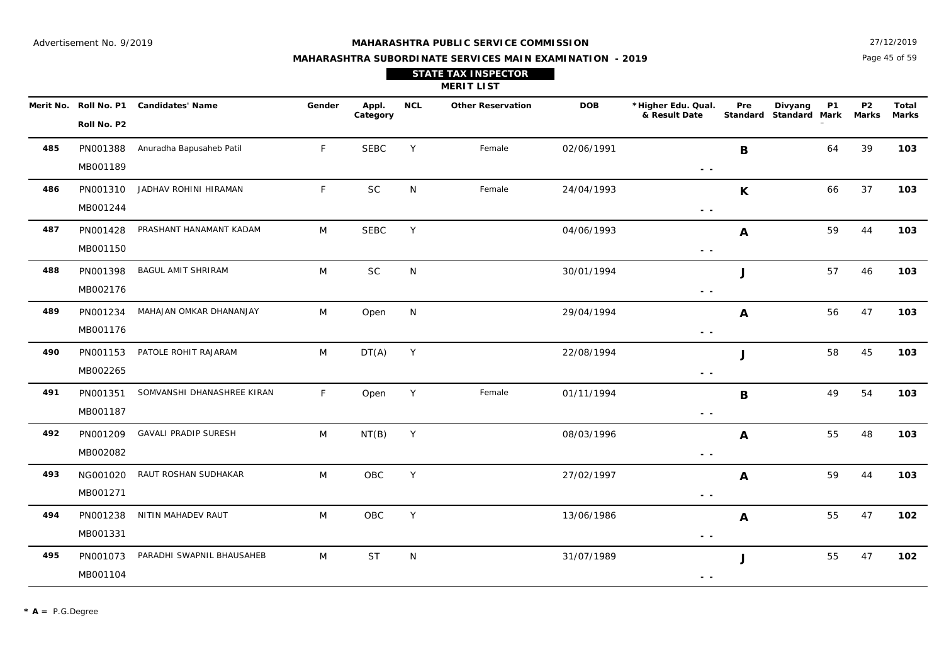Page 45 of 59 27/12/2019

## **MAHARASHTRA SUBORDINATE SERVICES MAIN EXAMINATION - 2019 STATE TAX INSPECTOR**

|     |                                      |                             |             |                   |            | <b>MERIT LIST</b>        |            |                                                                                   |                           |                                              |                         |                |
|-----|--------------------------------------|-----------------------------|-------------|-------------------|------------|--------------------------|------------|-----------------------------------------------------------------------------------|---------------------------|----------------------------------------------|-------------------------|----------------|
|     | Merit No. Roll No. P1<br>Roll No. P2 | <b>Candidates' Name</b>     | Gender      | Appl.<br>Category | <b>NCL</b> | <b>Other Reservation</b> | <b>DOB</b> | *Higher Edu. Qual.<br>& Result Date                                               | Pre<br>Standard           | Divyang<br><b>P1</b><br><b>Standard Mark</b> | P <sub>2</sub><br>Marks | Total<br>Marks |
| 485 | PN001388<br>MB001189                 | Anuradha Bapusaheb Patil    | F.          | <b>SEBC</b>       | Y          | Female                   | 02/06/1991 | $\frac{1}{2} \left( \frac{1}{2} \right) = \frac{1}{2} \left( \frac{1}{2} \right)$ | B                         | 64                                           | 39                      | 103            |
| 486 | PN001310<br>MB001244                 | JADHAV ROHINI HIRAMAN       | F           | SC                | N.         | Female                   | 24/04/1993 | $\sim$ $\sim$                                                                     | $\boldsymbol{\mathsf{K}}$ | 66                                           | 37                      | 103            |
| 487 | PN001428<br>MB001150                 | PRASHANT HANAMANT KADAM     | M           | <b>SEBC</b>       | Y          |                          | 04/06/1993 | $\frac{1}{2} \left( \frac{1}{2} \right) \frac{1}{2} \left( \frac{1}{2} \right)$   | A                         | 59                                           | 44                      | 103            |
| 488 | PN001398<br>MB002176                 | <b>BAGUL AMIT SHRIRAM</b>   | M           | SC                | N          |                          | 30/01/1994 | $\sim$ $\sim$                                                                     | J                         | 57                                           | 46                      | 103            |
| 489 | PN001234<br>MB001176                 | MAHAJAN OMKAR DHANANJAY     | M           | Open              | N          |                          | 29/04/1994 | $\sim$ $\sim$                                                                     | $\boldsymbol{A}$          | 56                                           | 47                      | 103            |
| 490 | PN001153<br>MB002265                 | PATOLE ROHIT RAJARAM        | M           | DT(A)             | Y          |                          | 22/08/1994 | $\frac{1}{2} \left( \frac{1}{2} \right) \frac{1}{2} \left( \frac{1}{2} \right)$   | J                         | 58                                           | 45                      | 103            |
| 491 | PN001351<br>MB001187                 | SOMVANSHI DHANASHREE KIRAN  | $\mathsf F$ | Open              | Y          | Female                   | 01/11/1994 | $ -$                                                                              | $\mathbf B$               | 49                                           | 54                      | 103            |
| 492 | PN001209<br>MB002082                 | <b>GAVALI PRADIP SURESH</b> | M           | NT(B)             | Y          |                          | 08/03/1996 | $\frac{1}{2} \left( \frac{1}{2} \right) = \frac{1}{2} \left( \frac{1}{2} \right)$ | A                         | 55                                           | 48                      | 103            |
| 493 | NG001020<br>MB001271                 | RAUT ROSHAN SUDHAKAR        | M           | OBC               | Y          |                          | 27/02/1997 | $\sim$ $\sim$                                                                     | $\boldsymbol{A}$          | 59                                           | 44                      | 103            |
| 494 | PN001238<br>MB001331                 | NITIN MAHADEV RAUT          | M           | OBC               | Y          |                          | 13/06/1986 | $\frac{1}{2} \left( \frac{1}{2} \right) = \frac{1}{2} \left( \frac{1}{2} \right)$ | A                         | 55                                           | 47                      | 102            |
| 495 | PN001073<br>MB001104                 | PARADHI SWAPNIL BHAUSAHEB   | M           | <b>ST</b>         | N          |                          | 31/07/1989 |                                                                                   | J                         | 55                                           | 47                      | 102            |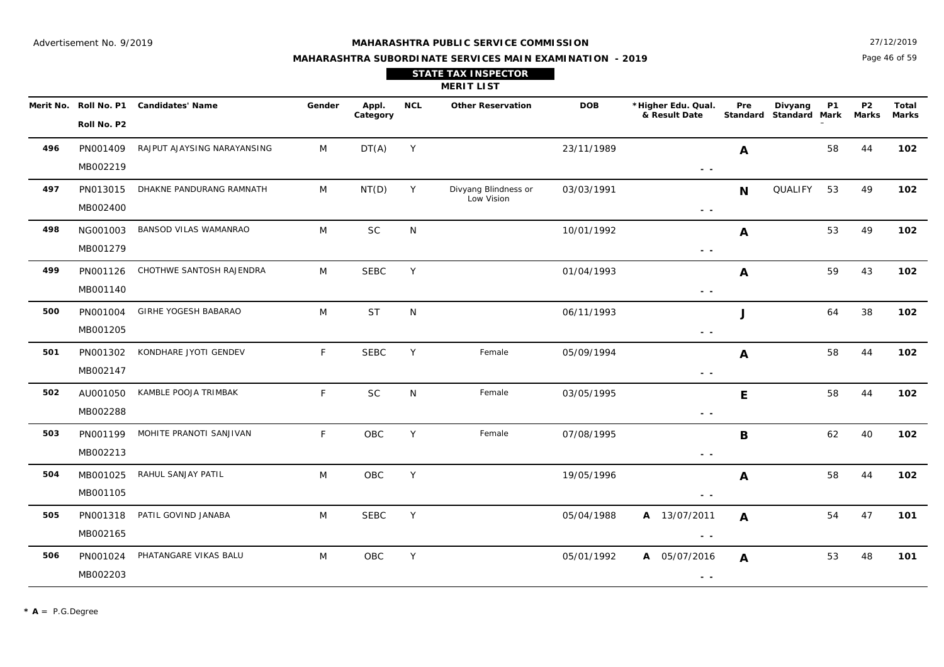27/12/2019

## **MAHARASHTRA SUBORDINATE SERVICES MAIN EXAMINATION - 2019 STATE TAX INSPECTOR**

|  |  | Page 46 of 59 |
|--|--|---------------|
|  |  |               |

|           |                            |                             |              |                   |            | <b>MERIT LIST</b>                  |            |                                     |                  |                                   |           |                    |                       |
|-----------|----------------------------|-----------------------------|--------------|-------------------|------------|------------------------------------|------------|-------------------------------------|------------------|-----------------------------------|-----------|--------------------|-----------------------|
| Merit No. | Roll No. P1<br>Roll No. P2 | <b>Candidates' Name</b>     | Gender       | Appl.<br>Category | <b>NCL</b> | <b>Other Reservation</b>           | <b>DOB</b> | *Higher Edu. Qual.<br>& Result Date | Pre              | Divyang<br>Standard Standard Mark | <b>P1</b> | <b>P2</b><br>Marks | Total<br><b>Marks</b> |
| 496       | PN001409<br>MB002219       | RAJPUT AJAYSING NARAYANSING | M            | DT(A)             | Y          |                                    | 23/11/1989 | $\sim$ $\sim$                       | A                |                                   | 58        | 44                 | 102                   |
| 497       | PN013015<br>MB002400       | DHAKNE PANDURANG RAMNATH    | M            | NT(D)             | Y          | Divyang Blindness or<br>Low Vision | 03/03/1991 | $\sim$ $\sim$                       | <b>N</b>         | QUALIFY                           | 53        | 49                 | 102                   |
| 498       | NG001003<br>MB001279       | BANSOD VILAS WAMANRAO       | M            | SC                | N          |                                    | 10/01/1992 | $\sim$ $\sim$                       | A                |                                   | 53        | 49                 | 102                   |
| 499       | PN001126<br>MB001140       | CHOTHWE SANTOSH RAJENDRA    | M            | <b>SEBC</b>       | Υ          |                                    | 01/04/1993 | $\sim$ $\sim$                       | A                |                                   | 59        | 43                 | 102                   |
| 500       | PN001004<br>MB001205       | GIRHE YOGESH BABARAO        | M            | <b>ST</b>         | N          |                                    | 06/11/1993 | $\sim$ $\sim$                       | J                |                                   | 64        | 38                 | 102                   |
| 501       | PN001302<br>MB002147       | KONDHARE JYOTI GENDEV       | $\mathsf{F}$ | <b>SEBC</b>       | Y          | Female                             | 05/09/1994 | $\sim$ $\sim$                       | A                |                                   | 58        | 44                 | 102                   |
| 502       | AU001050<br>MB002288       | KAMBLE POOJA TRIMBAK        | F            | <b>SC</b>         | N          | Female                             | 03/05/1995 | $\sim$ $\sim$                       | E                |                                   | 58        | 44                 | 102                   |
| 503       | PN001199<br>MB002213       | MOHITE PRANOTI SANJIVAN     | F            | OBC               | Y          | Female                             | 07/08/1995 | $\sim$ $\sim$                       | B                |                                   | 62        | 40                 | 102                   |
| 504       | MB001025<br>MB001105       | RAHUL SANJAY PATIL          | M            | OBC               | Y          |                                    | 19/05/1996 | $\sim$ $\sim$                       | $\boldsymbol{A}$ |                                   | 58        | 44                 | 102                   |
| 505       | PN001318<br>MB002165       | PATIL GOVIND JANABA         | M            | <b>SEBC</b>       | Y          |                                    | 05/04/1988 | A 13/07/2011<br>$\sim$ $\sim$       | A                |                                   | 54        | 47                 | 101                   |
| 506       | PN001024<br>MB002203       | PHATANGARE VIKAS BALU       | M            | OBC               | Y          |                                    | 05/01/1992 | A 05/07/2016<br>$\sim$ $-$          | $\boldsymbol{A}$ |                                   | 53        | 48                 | 101                   |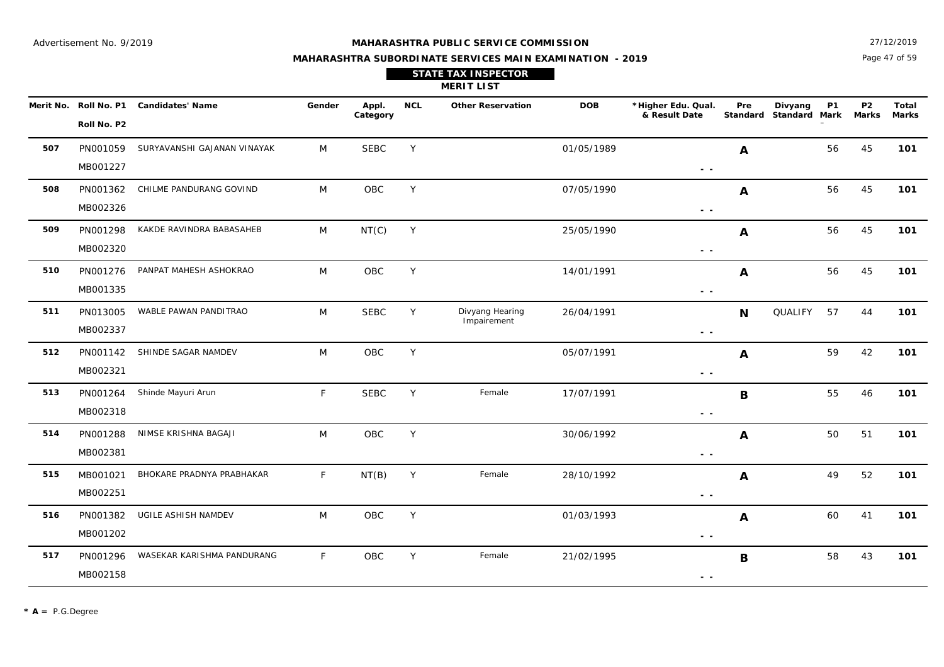27/12/2019

## **MAHARASHTRA SUBORDINATE SERVICES MAIN EXAMINATION - 2019 STATE TAX INSPECTOR**

Page 47 of 59

|           |                      |                              |        |                   |            | <b>MERIT LIST</b>              |            |                                                                                 |                  |                                   |           |                           |                       |
|-----------|----------------------|------------------------------|--------|-------------------|------------|--------------------------------|------------|---------------------------------------------------------------------------------|------------------|-----------------------------------|-----------|---------------------------|-----------------------|
| Merit No. | Roll No. P2          | Roll No. P1 Candidates' Name | Gender | Appl.<br>Category | <b>NCL</b> | <b>Other Reservation</b>       | <b>DOB</b> | *Higher Edu. Qual.<br>& Result Date                                             | Pre              | Divyang<br>Standard Standard Mark | <b>P1</b> | <b>P2</b><br><b>Marks</b> | Total<br><b>Marks</b> |
| 507       | PN001059<br>MB001227 | SURYAVANSHI GAJANAN VINAYAK  | M      | <b>SEBC</b>       | Y          |                                | 01/05/1989 | $\sim$ $-$                                                                      | A                |                                   | 56        | 45                        | 101                   |
| 508       | PN001362<br>MB002326 | CHILME PANDURANG GOVIND      | M      | OBC               | Y          |                                | 07/05/1990 | $\sim$ $\sim$                                                                   | A                |                                   | 56        | 45                        | 101                   |
| 509       | PN001298<br>MB002320 | KAKDE RAVINDRA BABASAHEB     | M      | NT(C)             | Y          |                                | 25/05/1990 | $\sim$ $\sim$                                                                   | A                |                                   | 56        | 45                        | 101                   |
| 510       | PN001276<br>MB001335 | PANPAT MAHESH ASHOKRAO       | M      | OBC               | Y          |                                | 14/01/1991 | $\sim$ $\sim$                                                                   | $\boldsymbol{A}$ |                                   | 56        | 45                        | 101                   |
| 511       | PN013005<br>MB002337 | WABLE PAWAN PANDITRAO        | M      | <b>SEBC</b>       | Y          | Divyang Hearing<br>Impairement | 26/04/1991 | $\sim$ $\sim$                                                                   | <b>N</b>         | <b>QUALIFY</b>                    | 57        | 44                        | 101                   |
| 512       | PN001142<br>MB002321 | SHINDE SAGAR NAMDEV          | M      | OBC               | Y          |                                | 05/07/1991 | $\sim$ $\sim$                                                                   | A                |                                   | 59        | 42                        | 101                   |
| 513       | PN001264<br>MB002318 | Shinde Mayuri Arun           | F.     | <b>SEBC</b>       | Y          | Female                         | 17/07/1991 | $\frac{1}{2} \left( \frac{1}{2} \right) \frac{1}{2} \left( \frac{1}{2} \right)$ | B                |                                   | 55        | 46                        | 101                   |
| 514       | PN001288<br>MB002381 | NIMSE KRISHNA BAGAJI         | M      | OBC               | Y          |                                | 30/06/1992 | $\sim$ $\sim$                                                                   | $\mathbf{A}$     |                                   | 50        | 51                        | 101                   |
| 515       | MB001021<br>MB002251 | BHOKARE PRADNYA PRABHAKAR    | F      | NT(B)             | Y          | Female                         | 28/10/1992 | $\sim$ $\sim$                                                                   | $\boldsymbol{A}$ |                                   | 49        | 52                        | 101                   |
| 516       | PN001382<br>MB001202 | UGILE ASHISH NAMDEV          | M      | OBC               | Y          |                                | 01/03/1993 | $\sim$ $\sim$                                                                   | A                |                                   | 60        | 41                        | 101                   |
| 517       | PN001296<br>MB002158 | WASEKAR KARISHMA PANDURANG   | F.     | OBC               | Y          | Female                         | 21/02/1995 | $\sim$ $\sim$                                                                   | B                |                                   | 58        | 43                        | 101                   |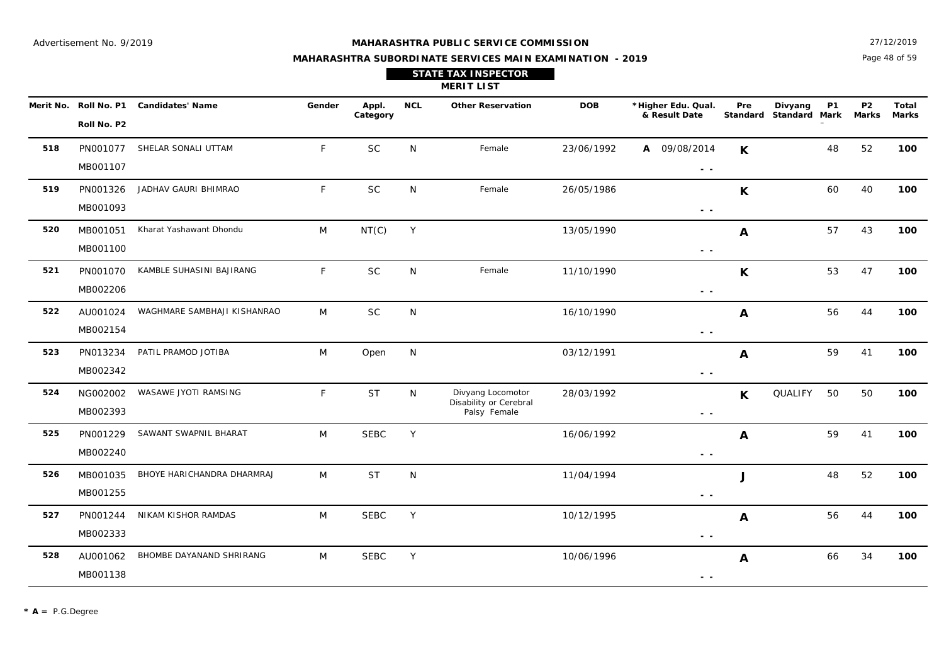#### **MAHARASHTRA PUBLIC SERVICE COMMISSION**

Page 48 of 59 27/12/2019

## **MAHARASHTRA SUBORDINATE SERVICES MAIN EXAMINATION - 2019 STATE TAX INSPECTOR**

**MERIT LIST**

| Merit No. | Roll No. P1 | <b>Candidates' Name</b>     | Gender | Appl.<br>Category | <b>NCL</b>   | <b>Other Reservation</b> | <b>DOB</b> | *Higher Edu. Qual.<br>& Result Date | Pre<br><b>Standard</b> | <b>P1</b><br>Divyang<br><b>Standard Mark</b> | P <sub>2</sub><br>Marks | <b>Total</b><br>Marks |
|-----------|-------------|-----------------------------|--------|-------------------|--------------|--------------------------|------------|-------------------------------------|------------------------|----------------------------------------------|-------------------------|-----------------------|
|           | Roll No. P2 |                             |        |                   |              |                          |            |                                     |                        |                                              |                         |                       |
| 518       | PN001077    | SHELAR SONALI UTTAM         | F.     | <b>SC</b>         | N            | Female                   | 23/06/1992 | 09/08/2014<br>A                     | K                      | 48                                           | 52                      | 100                   |
|           | MB001107    |                             |        |                   |              |                          |            | $ -$                                |                        |                                              |                         |                       |
| 519       | PN001326    | JADHAV GAURI BHIMRAO        | F.     | <b>SC</b>         | N            | Female                   | 26/05/1986 |                                     | K                      | 60                                           | 40                      | 100                   |
|           | MB001093    |                             |        |                   |              |                          |            | $ -$                                |                        |                                              |                         |                       |
| 520       | MB001051    | Kharat Yashawant Dhondu     | M      | NT(C)             | Y            |                          | 13/05/1990 |                                     | A                      | 57                                           | 43                      | 100                   |
|           | MB001100    |                             |        |                   |              |                          |            | $ -$                                |                        |                                              |                         |                       |
| 521       | PN001070    | KAMBLE SUHASINI BAJIRANG    | F.     | <b>SC</b>         | N.           | Female                   | 11/10/1990 |                                     | K                      | 53                                           | 47                      | 100                   |
|           | MB002206    |                             |        |                   |              |                          |            | $ -$                                |                        |                                              |                         |                       |
| 522       | AU001024    | WAGHMARE SAMBHAJI KISHANRAO | M      | <b>SC</b>         | <sup>N</sup> |                          | 16/10/1990 |                                     | A                      | 56                                           | 44                      | 100                   |

| 518 | PN001077 | SHELAR SONALI UTTAM         | F  | <b>SC</b>   | N | Female                                 | 23/06/1992 | 09/08/2014<br>A | $\mathsf K$      |         | 48 | 52 | 100 |
|-----|----------|-----------------------------|----|-------------|---|----------------------------------------|------------|-----------------|------------------|---------|----|----|-----|
|     | MB001107 |                             |    |             |   |                                        |            | $\sim$ $-$      |                  |         |    |    |     |
| 519 | PN001326 | JADHAV GAURI BHIMRAO        | F. | $\sf SC$    | N | Female                                 | 26/05/1986 |                 | K                |         | 60 | 40 | 100 |
|     | MB001093 |                             |    |             |   |                                        |            | $\sim$ $\sim$   |                  |         |    |    |     |
| 520 | MB001051 | Kharat Yashawant Dhondu     | M  | NT(C)       | Y |                                        | 13/05/1990 |                 | $\boldsymbol{A}$ |         | 57 | 43 | 100 |
|     | MB001100 |                             |    |             |   |                                        |            | $\sim$ $\sim$   |                  |         |    |    |     |
| 521 | PN001070 | KAMBLE SUHASINI BAJIRANG    | F. | $\sf SC$    | N | Female                                 | 11/10/1990 |                 | $\mathbf{K}$     |         | 53 | 47 | 100 |
|     | MB002206 |                             |    |             |   |                                        |            | $\sim$ $\sim$   |                  |         |    |    |     |
| 522 | AU001024 | WAGHMARE SAMBHAJI KISHANRAO | M  | <b>SC</b>   | N |                                        | 16/10/1990 |                 | A                |         | 56 | 44 | 100 |
|     | MB002154 |                             |    |             |   |                                        |            | $\sim$ $\sim$   |                  |         |    |    |     |
| 523 | PN013234 | PATIL PRAMOD JOTIBA         | M  | Open        | N |                                        | 03/12/1991 |                 | A                |         | 59 | 41 | 100 |
|     | MB002342 |                             |    |             |   |                                        |            | $\sim$ $\sim$   |                  |         |    |    |     |
| 524 | NG002002 | WASAWE JYOTI RAMSING        | F  | <b>ST</b>   | N | Divyang Locomotor                      | 28/03/1992 |                 | $\mathsf{K}$     | QUALIFY | 50 | 50 | 100 |
|     | MB002393 |                             |    |             |   | Disability or Cerebral<br>Palsy Female |            | $ -$            |                  |         |    |    |     |
| 525 | PN001229 | SAWANT SWAPNIL BHARAT       | M  | <b>SEBC</b> | Y |                                        | 16/06/1992 |                 | $\boldsymbol{A}$ |         | 59 | 41 | 100 |
|     | MB002240 |                             |    |             |   |                                        |            | $\sim$ $\sim$   |                  |         |    |    |     |
| 526 | MB001035 | BHOYE HARICHANDRA DHARMRAJ  | M  | <b>ST</b>   | N |                                        | 11/04/1994 |                 |                  |         | 48 | 52 | 100 |
|     | MB001255 |                             |    |             |   |                                        |            | $\sim$ $-$      |                  |         |    |    |     |
| 527 | PN001244 | NIKAM KISHOR RAMDAS         | M  | <b>SEBC</b> | Y |                                        | 10/12/1995 |                 | $\boldsymbol{A}$ |         | 56 | 44 | 100 |
|     | MB002333 |                             |    |             |   |                                        |            | $\sim$ $\sim$   |                  |         |    |    |     |
| 528 | AU001062 | BHOMBE DAYANAND SHRIRANG    | M  | <b>SEBC</b> | Y |                                        | 10/06/1996 |                 | A                |         | 66 | 34 | 100 |
|     | MB001138 |                             |    |             |   |                                        |            | $ -$            |                  |         |    |    |     |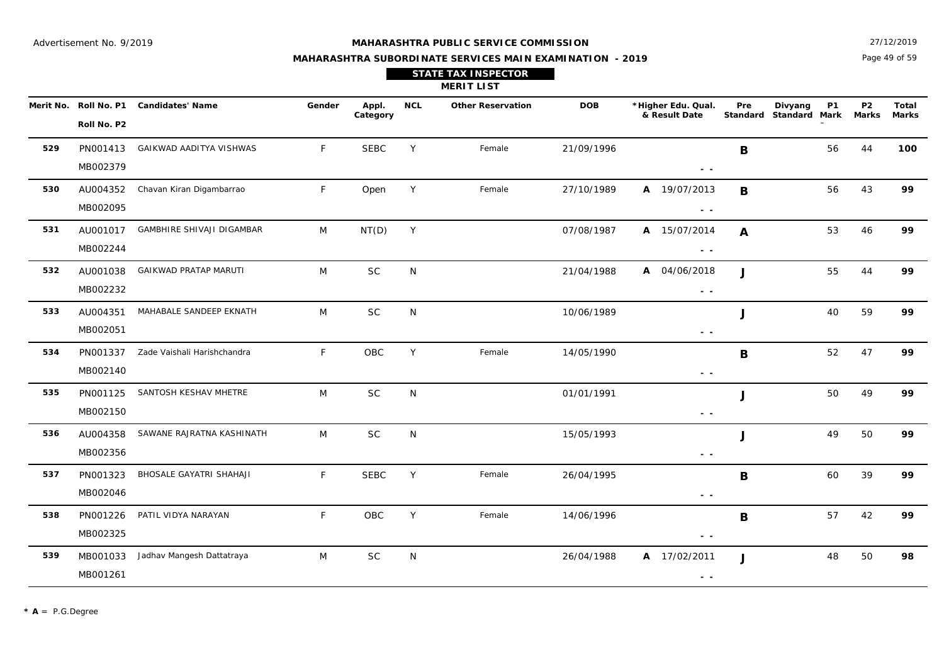27/12/2019

## **MAHARASHTRA SUBORDINATE SERVICES MAIN EXAMINATION - 2019 STATE TAX INSPECTOR**

Page 49 of 59

|     |                      |                                        |              |                   |            | <b>MERIT LIST</b>        |            |                                                                                                 |              |                                                |                           |                       |
|-----|----------------------|----------------------------------------|--------------|-------------------|------------|--------------------------|------------|-------------------------------------------------------------------------------------------------|--------------|------------------------------------------------|---------------------------|-----------------------|
|     | Roll No. P2          | Merit No. Roll No. P1 Candidates' Name | Gender       | Appl.<br>Category | <b>NCL</b> | <b>Other Reservation</b> | <b>DOB</b> | *Higher Edu. Qual.<br>& Result Date                                                             | Pre          | <b>P1</b><br>Divyang<br>Standard Standard Mark | <b>P2</b><br><b>Marks</b> | Total<br><b>Marks</b> |
| 529 | PN001413<br>MB002379 | GAIKWAD AADITYA VISHWAS                | $\mathsf{F}$ | <b>SEBC</b>       | Y          | Female                   | 21/09/1996 | $ -$                                                                                            | B            | 56                                             | 44                        | 100                   |
| 530 | AU004352<br>MB002095 | Chavan Kiran Digambarrao               | F            | Open              | Y          | Female                   | 27/10/1989 | A 19/07/2013<br>$\frac{1}{2} \left( \frac{1}{2} \right) \frac{1}{2} \left( \frac{1}{2} \right)$ | B            | 56                                             | 43                        | 99                    |
| 531 | AU001017<br>MB002244 | GAMBHIRE SHIVAJI DIGAMBAR              | M            | NT(D)             | Y          |                          | 07/08/1987 | A 15/07/2014<br>$\frac{1}{2} \left( \frac{1}{2} \right) \frac{1}{2} \left( \frac{1}{2} \right)$ | $\mathbf{A}$ | 53                                             | 46                        | 99                    |
| 532 | AU001038<br>MB002232 | <b>GAIKWAD PRATAP MARUTI</b>           | M            | <b>SC</b>         | N          |                          | 21/04/1988 | A 04/06/2018<br>$\sim$ $\sim$                                                                   | $\mathbf{J}$ | 55                                             | 44                        | 99                    |
| 533 | AU004351<br>MB002051 | MAHABALE SANDEEP EKNATH                | M            | <b>SC</b>         | N          |                          | 10/06/1989 | $\sim$ $\sim$                                                                                   | J            | 40                                             | 59                        | 99                    |
| 534 | PN001337<br>MB002140 | Zade Vaishali Harishchandra            | $\mathsf{F}$ | OBC               | Y          | Female                   | 14/05/1990 | $\sim$ $\sim$                                                                                   | B            | 52                                             | 47                        | 99                    |
| 535 | PN001125<br>MB002150 | SANTOSH KESHAV MHETRE                  | M            | <b>SC</b>         | N          |                          | 01/01/1991 | $\sim$ $\sim$                                                                                   | J            | 50                                             | 49                        | 99                    |
| 536 | AU004358<br>MB002356 | SAWANE RAJRATNA KASHINATH              | M            | <b>SC</b>         | N          |                          | 15/05/1993 | $\sim$ $\sim$                                                                                   | J            | 49                                             | 50                        | 99                    |
| 537 | PN001323<br>MB002046 | BHOSALE GAYATRI SHAHAJI                | F            | <b>SEBC</b>       | Y          | Female                   | 26/04/1995 | $\sim$ $ \sim$                                                                                  | $\mathbf B$  | 60                                             | 39                        | 99                    |
| 538 | PN001226<br>MB002325 | PATIL VIDYA NARAYAN                    | $\mathsf{F}$ | OBC               | Y          | Female                   | 14/06/1996 | $\frac{1}{2} \left( \frac{1}{2} \right) \frac{1}{2} \left( \frac{1}{2} \right)$                 | B            | 57                                             | 42                        | 99                    |
| 539 | MB001033<br>MB001261 | Jadhav Mangesh Dattatraya              | M            | $\sf SC$          | N          |                          | 26/04/1988 | A 17/02/2011<br>$ -$                                                                            | $\mathbf{J}$ | 48                                             | 50                        | 98                    |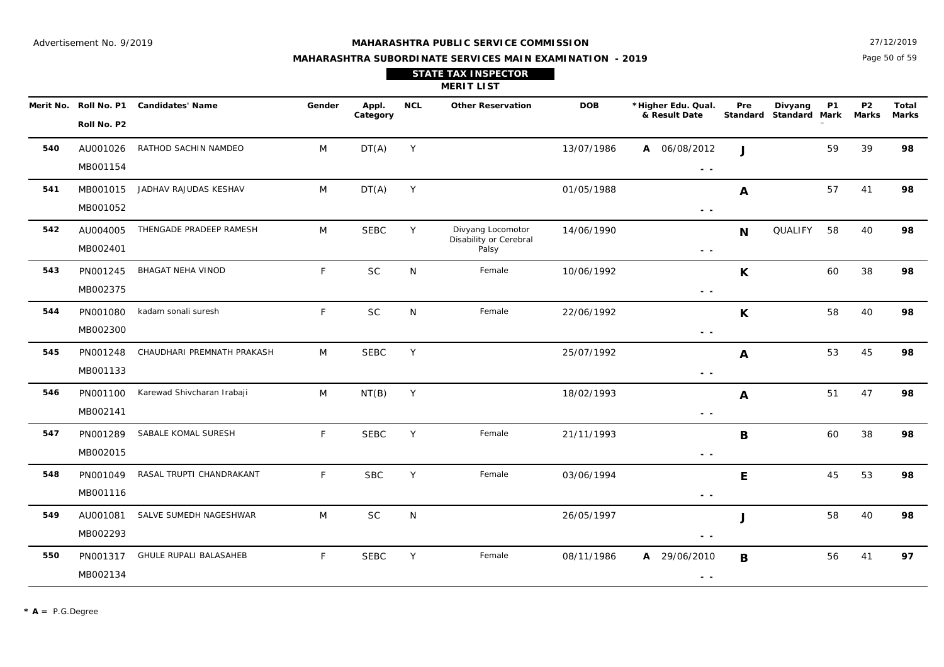Page 50 of 59 27/12/2019

## **MAHARASHTRA SUBORDINATE SERVICES MAIN EXAMINATION - 2019 STATE TAX INSPECTOR**

|     |                       |                         |        |          |            | <b>MERIT LIST</b>        |            |                                     |     |                                   |     |                               |       |
|-----|-----------------------|-------------------------|--------|----------|------------|--------------------------|------------|-------------------------------------|-----|-----------------------------------|-----|-------------------------------|-------|
|     | Merit No. Roll No. P1 | <b>Candidates' Name</b> | Gender | Appl.    | <b>NCL</b> | <b>Other Reservation</b> | <b>DOB</b> | *Higher Edu. Qual.<br>& Result Date | Pre | Divyang<br>Standard Standard Mark | P1. | P <sub>2</sub><br>Marks Marks | Total |
|     | Roll No. P2           |                         |        | Category |            |                          |            |                                     |     |                                   |     |                               |       |
| 540 | AU001026              | RATHOD SACHIN NAMDEO    | M      | DT(A)    |            |                          | 13/07/1986 | A 06/08/2012                        |     |                                   | 59  | 39                            | 98    |
|     | MB001154              |                         |        |          |            |                          |            | $ -$                                |     |                                   |     |                               |       |

|     | Roll No. P2          |                                    | Category    |   |                                                      |            | & Result Date                                                                                   |              | Standard Standard Mark Marks Marks |    |    |    |
|-----|----------------------|------------------------------------|-------------|---|------------------------------------------------------|------------|-------------------------------------------------------------------------------------------------|--------------|------------------------------------|----|----|----|
| 540 | AU001026<br>MB001154 | RATHOD SACHIN NAMDEO<br>M          | DT(A)       | Y |                                                      | 13/07/1986 | A 06/08/2012<br>$\frac{1}{2} \left( \frac{1}{2} \right) \frac{1}{2} \left( \frac{1}{2} \right)$ | $\mathbf{J}$ |                                    | 59 | 39 | 98 |
| 541 | MB001015<br>MB001052 | JADHAV RAJUDAS KESHAV<br>M         | DT(A)       | Y |                                                      | 01/05/1988 | $\sim$ $\sim$                                                                                   | A            |                                    | 57 | 41 | 98 |
| 542 | AU004005<br>MB002401 | THENGADE PRADEEP RAMESH<br>M       | <b>SEBC</b> | Y | Divyang Locomotor<br>Disability or Cerebral<br>Palsy | 14/06/1990 | $\sim$ $\sim$                                                                                   | N            | QUALIFY                            | 58 | 40 | 98 |
| 543 | PN001245<br>MB002375 | F.<br><b>BHAGAT NEHA VINOD</b>     | <b>SC</b>   | N | Female                                               | 10/06/1992 | $\sim$ $\sim$                                                                                   | K            |                                    | 60 | 38 | 98 |
| 544 | PN001080<br>MB002300 | F<br>kadam sonali suresh           | <b>SC</b>   | N | Female                                               | 22/06/1992 | $\sim$ $\sim$                                                                                   | $\mathsf{K}$ |                                    | 58 | 40 | 98 |
| 545 | PN001248<br>MB001133 | CHAUDHARI PREMNATH PRAKASH<br>M    | <b>SEBC</b> | Y |                                                      | 25/07/1992 | $ -$                                                                                            | $\mathbf{A}$ |                                    | 53 | 45 | 98 |
| 546 | PN001100<br>MB002141 | Karewad Shivcharan Irabaji<br>M    | NT(B)       | Y |                                                      | 18/02/1993 | $\sim$ $\sim$                                                                                   | A            |                                    | 51 | 47 | 98 |
| 547 | PN001289<br>MB002015 | SABALE KOMAL SURESH<br>F           | <b>SEBC</b> | Y | Female                                               | 21/11/1993 | $\sim$ $\sim$                                                                                   | $\mathbf B$  |                                    | 60 | 38 | 98 |
| 548 | PN001049<br>MB001116 | RASAL TRUPTI CHANDRAKANT<br>F      | <b>SBC</b>  | Y | Female                                               | 03/06/1994 | $ -$                                                                                            | E            |                                    | 45 | 53 | 98 |
| 549 | AU001081<br>MB002293 | SALVE SUMEDH NAGESHWAR<br>M        | <b>SC</b>   | N |                                                      | 26/05/1997 | $ -$                                                                                            | J            |                                    | 58 | 40 | 98 |
| 550 | PN001317<br>MB002134 | <b>GHULE RUPALI BALASAHEB</b><br>F | <b>SEBC</b> | Y | Female                                               | 08/11/1986 | A 29/06/2010<br>$\sim$ $\sim$                                                                   | B            |                                    | 56 | 41 | 97 |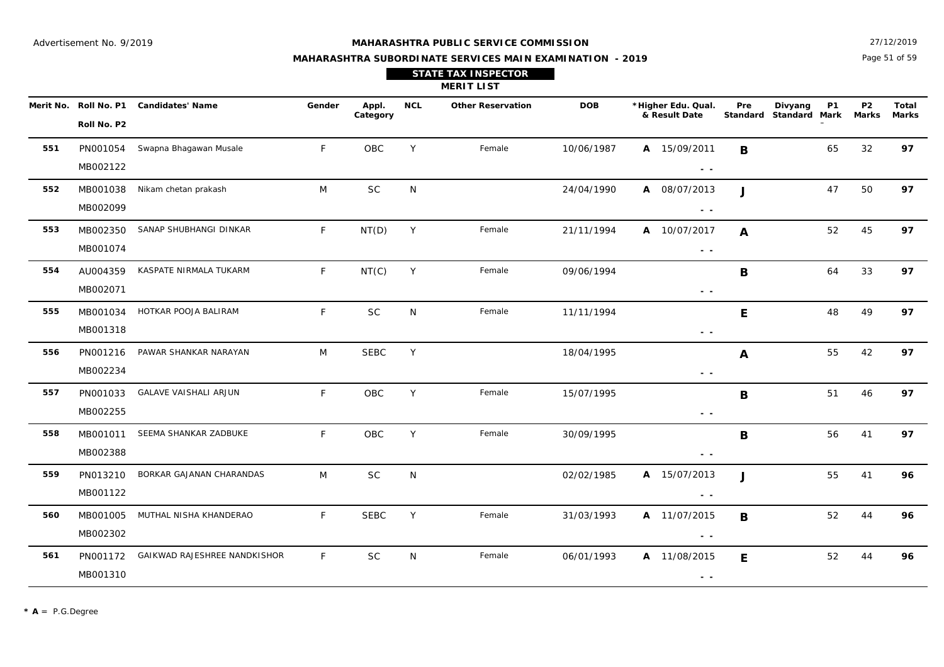**558**

**559**

MB001011

MB002388

PN013210

MB001122

#### **MAHARASHTRA PUBLIC SERVICE COMMISSION**

Page 51 of 59 27/12/2019

97

96

 **- -** 

 **- -** 

 $A$  11/07/2015

 **- -** 

 **- -** 

**B**

**J**

**B**

**E**

## **MAHARASHTRA SUBORDINATE SERVICES MAIN EXAMINATION - 2019 STATE TAX INSPECTOR**

|           |                            |                              |        |                   |            | <b>MERIT LIST</b>        |            |                                                                                                                                                                                                                                                                                                                                                                                                                                                |                 |                                              |                         |                       |
|-----------|----------------------------|------------------------------|--------|-------------------|------------|--------------------------|------------|------------------------------------------------------------------------------------------------------------------------------------------------------------------------------------------------------------------------------------------------------------------------------------------------------------------------------------------------------------------------------------------------------------------------------------------------|-----------------|----------------------------------------------|-------------------------|-----------------------|
| Merit No. | Roll No. P1<br>Roll No. P2 | <b>Candidates' Name</b>      | Gender | Appl.<br>Category | <b>NCL</b> | <b>Other Reservation</b> | <b>DOB</b> | *Higher Edu. Qual.<br>& Result Date                                                                                                                                                                                                                                                                                                                                                                                                            | Pre<br>Standard | <b>P1</b><br>Divyang<br><b>Standard Mark</b> | P <sub>2</sub><br>Marks | <b>Total</b><br>Marks |
| 551       | PN001054<br>MB002122       | Swapna Bhagawan Musale       | F.     | OBC               | Y          | Female                   | 10/06/1987 | A 15/09/2011<br>$ -$                                                                                                                                                                                                                                                                                                                                                                                                                           | B               | 65                                           | 32                      | 97                    |
| 552       | MB001038<br>MB002099       | Nikam chetan prakash         | M      | <b>SC</b>         | N          |                          | 24/04/1990 | A 08/07/2013<br>$\sim$ $-$                                                                                                                                                                                                                                                                                                                                                                                                                     | J               | 47                                           | 50                      | 97                    |
| 553       | MB002350<br>MB001074       | SANAP SHUBHANGI DINKAR       | F.     | NT(D)             | Y          | Female                   | 21/11/1994 | 10/07/2017<br>A<br>$ -$                                                                                                                                                                                                                                                                                                                                                                                                                        | A               | 52                                           | 45                      | 97                    |
| 554       | AU004359<br>MB002071       | KASPATE NIRMALA TUKARM       | F.     | NT(C)             | Y          | Female                   | 09/06/1994 | $\frac{1}{2} \left( \frac{1}{2} \right) \frac{1}{2} \left( \frac{1}{2} \right) \frac{1}{2} \left( \frac{1}{2} \right) \frac{1}{2} \left( \frac{1}{2} \right) \frac{1}{2} \left( \frac{1}{2} \right) \frac{1}{2} \left( \frac{1}{2} \right) \frac{1}{2} \left( \frac{1}{2} \right) \frac{1}{2} \left( \frac{1}{2} \right) \frac{1}{2} \left( \frac{1}{2} \right) \frac{1}{2} \left( \frac{1}{2} \right) \frac{1}{2} \left( \frac{1}{2} \right)$ | B               | 64                                           | 33                      | 97                    |
| 555       | MB001034<br>MB001318       | HOTKAR POOJA BALIRAM         | F      | <b>SC</b>         | N          | Female                   | 11/11/1994 | $\sim$ $-$                                                                                                                                                                                                                                                                                                                                                                                                                                     | E               | 48                                           | 49                      | 97                    |
| 556       | PN001216<br>MB002234       | PAWAR SHANKAR NARAYAN        | M      | <b>SEBC</b>       | Y          |                          | 18/04/1995 | $ -$                                                                                                                                                                                                                                                                                                                                                                                                                                           | A               | 55                                           | 42                      | 97                    |
| 557       | PN001033<br>MB002255       | <b>GALAVE VAISHALI ARJUN</b> | F      | OBC               | Y          | Female                   | 15/07/1995 | $ -$                                                                                                                                                                                                                                                                                                                                                                                                                                           | B               | 51                                           | 46                      | 97                    |

SEEMA SHANKAR ZADBUKE FOBCY Female 30/09/1995 **B** B 56 41

30/09/1995

N 02/02/1985 **A 96** 15/07/2013 55 41

OBC

**SC** 

**560** MB001005MUTHAL NISHA KHANDERAO F SEBC Y Female 31/03/1993 **A** 11/07/2015 **B** 52 44 SEBCMB002302**561** PN001172 GAIKWAD RAJESHREE NANDKISHOR F N Female 06/01/1993 **A 96**SCN Female 06/01/1993 **A** 11/08/2015 **F** 52 44 MB001310

BORKAR GAJANAN CHARANDAS M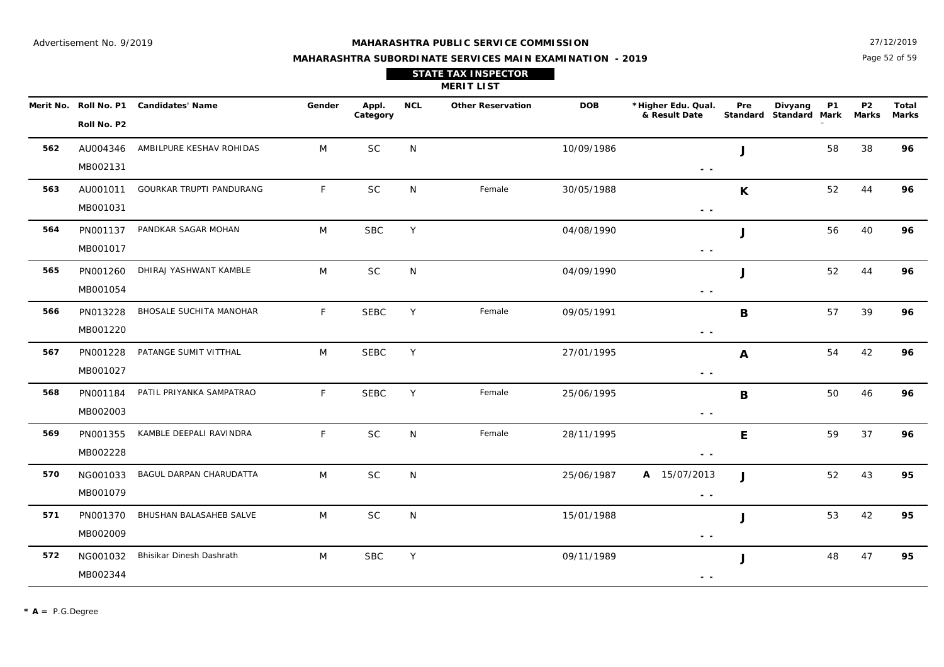27/12/2019

## **MAHARASHTRA SUBORDINATE SERVICES MAIN EXAMINATION - 2019 STATE TAX INSPECTOR**

Page 52 of 59

|     |                      |                                        |        |                   |            | <b>MERIT LIST</b>        |            |                                     |     |                                                |                           |                       |
|-----|----------------------|----------------------------------------|--------|-------------------|------------|--------------------------|------------|-------------------------------------|-----|------------------------------------------------|---------------------------|-----------------------|
|     | Roll No. P2          | Merit No. Roll No. P1 Candidates' Name | Gender | Appl.<br>Category | <b>NCL</b> | <b>Other Reservation</b> | <b>DOB</b> | *Higher Edu. Qual.<br>& Result Date | Pre | Divyang<br><b>P1</b><br>Standard Standard Mark | <b>P2</b><br><b>Marks</b> | Total<br><b>Marks</b> |
| 562 | AU004346<br>MB002131 | AMBILPURE KESHAV ROHIDAS               | M      | <b>SC</b>         | N          |                          | 10/09/1986 | $\sim$ $\sim$                       | J   | 58                                             | 38                        | 96                    |
| 563 | AU001011<br>MB001031 | GOURKAR TRUPTI PANDURANG               | F      | <b>SC</b>         | N          | Female                   | 30/05/1988 | $\sim$ $-$                          | K   | 52                                             | 44                        | 96                    |
| 564 | PN001137<br>MB001017 | PANDKAR SAGAR MOHAN                    | M      | <b>SBC</b>        | Y          |                          | 04/08/1990 | $\sim$ $\sim$                       | J   | 56                                             | 40                        | 96                    |
| 565 | PN001260<br>MB001054 | DHIRAJ YASHWANT KAMBLE                 | M      | $\sf SC$          | N          |                          | 04/09/1990 | $\sim$ $\sim$                       | J   | 52                                             | 44                        | 96                    |
| 566 | PN013228<br>MB001220 | BHOSALE SUCHITA MANOHAR                | F      | <b>SEBC</b>       | Y          | Female                   | 09/05/1991 | $\sim$ $\sim$                       | B   | 57                                             | 39                        | 96                    |
| 567 | PN001228<br>MB001027 | PATANGE SUMIT VITTHAL                  | M      | <b>SEBC</b>       | Y          |                          | 27/01/1995 | $\sim$ $\sim$                       | A   | 54                                             | 42                        | 96                    |
| 568 | PN001184<br>MB002003 | PATIL PRIYANKA SAMPATRAO               | F      | <b>SEBC</b>       | Y          | Female                   | 25/06/1995 | $\sim$ $\sim$                       | B   | 50                                             | 46                        | 96                    |
| 569 | PN001355<br>MB002228 | KAMBLE DEEPALI RAVINDRA                | F      | <b>SC</b>         | N          | Female                   | 28/11/1995 | $\sim$ $\sim$                       | E   | 59                                             | 37                        | 96                    |
| 570 | NG001033<br>MB001079 | BAGUL DARPAN CHARUDATTA                | M      | SC                | N          |                          | 25/06/1987 | A 15/07/2013<br>$\sim$ $\sim$       | J   | 52                                             | 43                        | 95                    |
| 571 | PN001370<br>MB002009 | BHUSHAN BALASAHEB SALVE                | M      | SC                | N          |                          | 15/01/1988 | $\sim$ $\sim$                       | J   | 53                                             | 42                        | 95                    |
| 572 | NG001032<br>MB002344 | Bhisikar Dinesh Dashrath               | M      | <b>SBC</b>        | Y          |                          | 09/11/1989 | $ -$                                | J   | 48                                             | 47                        | 95                    |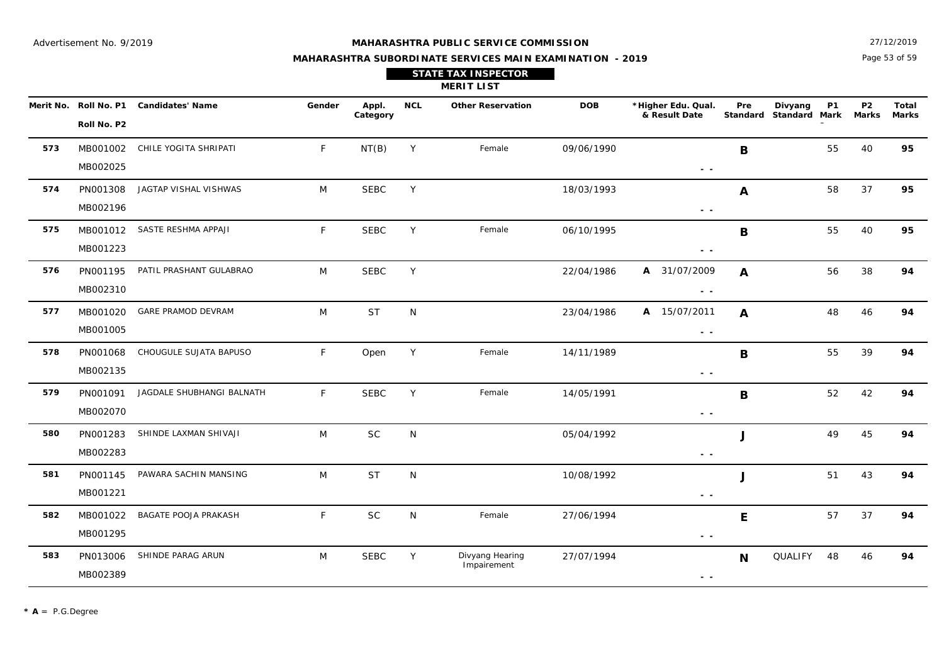**579**

PN001091

MB002070

#### **MAHARASHTRA PUBLIC SERVICE COMMISSION**

Page 53 of 59 27/12/2019

94

## **MAHARASHTRA SUBORDINATE SERVICES MAIN EXAMINATION - 2019 STATE TAX INSPECTOR**

**MERIT LIST**

| Merit No. | Roll No. P1 | <b>Candidates' Name</b>   | Gender | Appl.<br>Category | <b>NCL</b> | <b>Other Reservation</b> | <b>DOB</b> | *Higher Edu. Qual.<br>& Result Date                                                                                                                                                                                                                                                                                                                                                                                                            | Pre<br>Standard | <b>P1</b><br>Divyang<br>Standard<br>Mark | P <sub>2</sub><br>Marks | Total<br><b>Marks</b> |
|-----------|-------------|---------------------------|--------|-------------------|------------|--------------------------|------------|------------------------------------------------------------------------------------------------------------------------------------------------------------------------------------------------------------------------------------------------------------------------------------------------------------------------------------------------------------------------------------------------------------------------------------------------|-----------------|------------------------------------------|-------------------------|-----------------------|
|           | Roll No. P2 |                           |        |                   |            |                          |            |                                                                                                                                                                                                                                                                                                                                                                                                                                                |                 |                                          |                         |                       |
| 573       | MB001002    | CHILE YOGITA SHRIPATI     | F      | NT(B)             | Y          | Female                   | 09/06/1990 |                                                                                                                                                                                                                                                                                                                                                                                                                                                | B               | 55                                       | 40                      | 95                    |
|           | MB002025    |                           |        |                   |            |                          |            | $\frac{1}{2} \left( \frac{1}{2} \right) \frac{1}{2} \left( \frac{1}{2} \right) \frac{1}{2} \left( \frac{1}{2} \right) \frac{1}{2} \left( \frac{1}{2} \right) \frac{1}{2} \left( \frac{1}{2} \right) \frac{1}{2} \left( \frac{1}{2} \right) \frac{1}{2} \left( \frac{1}{2} \right) \frac{1}{2} \left( \frac{1}{2} \right) \frac{1}{2} \left( \frac{1}{2} \right) \frac{1}{2} \left( \frac{1}{2} \right) \frac{1}{2} \left( \frac{1}{2} \right)$ |                 |                                          |                         |                       |
| 574       | PN001308    | JAGTAP VISHAL VISHWAS     | M      | <b>SEBC</b>       | Y          |                          | 18/03/1993 |                                                                                                                                                                                                                                                                                                                                                                                                                                                | A               | 58                                       | 37                      | 95                    |
|           | MB002196    |                           |        |                   |            |                          |            | $ -$                                                                                                                                                                                                                                                                                                                                                                                                                                           |                 |                                          |                         |                       |
| 575       | MB001012    | SASTE RESHMA APPAJI       | F      | <b>SEBC</b>       | Y          | Female                   | 06/10/1995 |                                                                                                                                                                                                                                                                                                                                                                                                                                                | B               | 55                                       | 40                      | 95                    |
|           | MB001223    |                           |        |                   |            |                          |            | $\sim$ $\sim$                                                                                                                                                                                                                                                                                                                                                                                                                                  |                 |                                          |                         |                       |
| 576       | PN001195    | PATIL PRASHANT GULABRAO   | M      | <b>SEBC</b>       | Y          |                          | 22/04/1986 | A 31/07/2009                                                                                                                                                                                                                                                                                                                                                                                                                                   | $\mathbf{A}$    | 56                                       | 38                      | 94                    |
|           | MB002310    |                           |        |                   |            |                          |            | $ -$                                                                                                                                                                                                                                                                                                                                                                                                                                           |                 |                                          |                         |                       |
| 577       | MB001020    | <b>GARE PRAMOD DEVRAM</b> | M      | <b>ST</b>         | N          |                          | 23/04/1986 | A 15/07/2011                                                                                                                                                                                                                                                                                                                                                                                                                                   | $\mathbf{A}$    | 48                                       | 46                      | 94                    |
|           | MB001005    |                           |        |                   |            |                          |            | $\frac{1}{2} \left( \frac{1}{2} \right) \frac{1}{2} \left( \frac{1}{2} \right)$                                                                                                                                                                                                                                                                                                                                                                |                 |                                          |                         |                       |
| 578       | PN001068    | CHOUGULE SUJATA BAPUSO    | F.     | Open              | Y          | Female                   | 14/11/1989 |                                                                                                                                                                                                                                                                                                                                                                                                                                                | B               | 55                                       | 39                      | 94                    |
|           | MB002135    |                           |        |                   |            |                          |            | $ -$                                                                                                                                                                                                                                                                                                                                                                                                                                           |                 |                                          |                         |                       |

JAGDALE SHUBHANGI BALNATH F SEBC Y Female 14/05/1991 **R** B 52 42 94

14/05/1991

 **- -** 

 **- -** 

**B**

| PN001283 | SHINDE LAXMAN SHIVAJI | M | <b>SC</b>   | N            |                                | 05/04/1992 | u |         | 49 | 45  | 94 |
|----------|-----------------------|---|-------------|--------------|--------------------------------|------------|---|---------|----|-----|----|
| MB002283 |                       |   |             |              |                                | $ -$       |   |         |    |     |    |
| PN001145 | PAWARA SACHIN MANSING | M | <b>ST</b>   | N            |                                | 10/08/1992 |   |         | 51 | 43  | 94 |
| MB001221 |                       |   |             |              |                                | $ -$       |   |         |    |     |    |
| MB001022 | BAGATE POOJA PRAKASH  |   | <b>SC</b>   | N            | Female                         | 27/06/1994 | Е |         | 57 | -37 | 94 |
| MB001295 |                       |   |             |              |                                | $ -$       |   |         |    |     |    |
| PN013006 | SHINDE PARAG ARUN     | M | <b>SEBC</b> | $\checkmark$ | Divyang Hearing<br>Impairement | 27/07/1994 | N | QUALIFY | 48 | 46  | 94 |
|          |                       |   |             |              |                                |            |   |         |    |     |    |

SEBC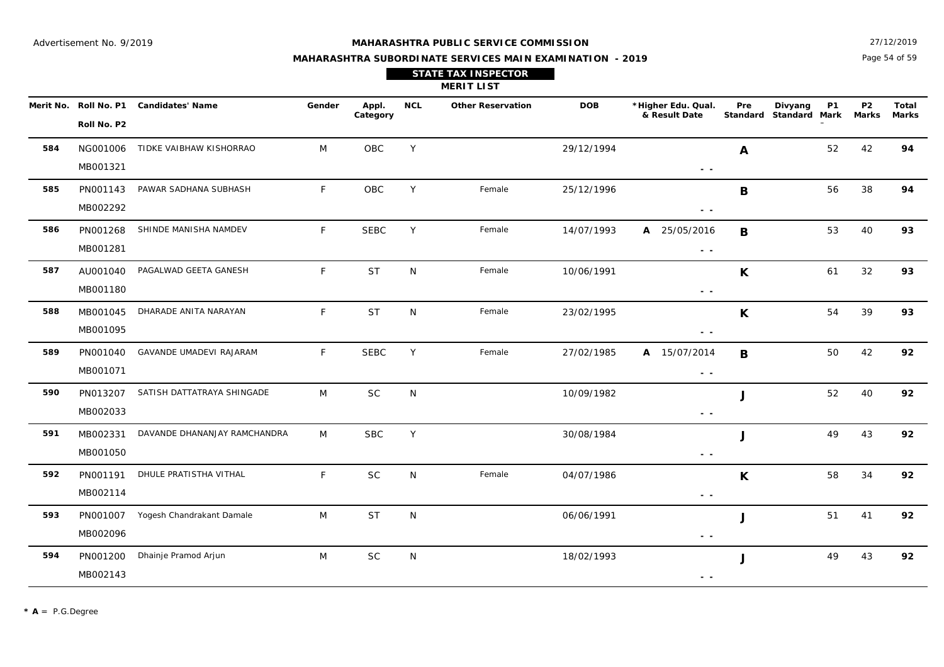27/12/2019

## **MAHARASHTRA SUBORDINATE SERVICES MAIN EXAMINATION - 2019 STATE TAX INSPECTOR**

Page 54 of 59

|     |                      |                                        |        |                   |            | <b>MERIT LIST</b>        |            |                                     |              |                                                |                           |                       |
|-----|----------------------|----------------------------------------|--------|-------------------|------------|--------------------------|------------|-------------------------------------|--------------|------------------------------------------------|---------------------------|-----------------------|
|     | Roll No. P2          | Merit No. Roll No. P1 Candidates' Name | Gender | Appl.<br>Category | <b>NCL</b> | <b>Other Reservation</b> | <b>DOB</b> | *Higher Edu. Qual.<br>& Result Date | Pre          | <b>P1</b><br>Divyang<br>Standard Standard Mark | <b>P2</b><br><b>Marks</b> | Total<br><b>Marks</b> |
| 584 | NG001006<br>MB001321 | TIDKE VAIBHAW KISHORRAO                | M      | OBC               | Y          |                          | 29/12/1994 | $\sim$ $ \sim$                      | A            | 52                                             | 42                        | 94                    |
| 585 | PN001143<br>MB002292 | PAWAR SADHANA SUBHASH                  | F      | OBC               | Y          | Female                   | 25/12/1996 | $ -$                                | B            | 56                                             | 38                        | 94                    |
| 586 | PN001268<br>MB001281 | SHINDE MANISHA NAMDEV                  | F      | <b>SEBC</b>       | Y          | Female                   | 14/07/1993 | A 25/05/2016<br>$\sim$ $\sim$       | $\mathbf B$  | 53                                             | 40                        | 93                    |
| 587 | AU001040<br>MB001180 | PAGALWAD GEETA GANESH                  | F      | <b>ST</b>         | N          | Female                   | 10/06/1991 | $\sim$ $\sim$                       | K            | 61                                             | 32                        | 93                    |
| 588 | MB001045<br>MB001095 | DHARADE ANITA NARAYAN                  | F      | <b>ST</b>         | N          | Female                   | 23/02/1995 | $ -$                                | K            | 54                                             | 39                        | 93                    |
| 589 | PN001040<br>MB001071 | GAVANDE UMADEVI RAJARAM                | F      | <b>SEBC</b>       | Y          | Female                   | 27/02/1985 | A 15/07/2014<br>$\sim$ $\sim$       | B            | 50                                             | 42                        | 92                    |
| 590 | PN013207<br>MB002033 | SATISH DATTATRAYA SHINGADE             | M      | <b>SC</b>         | N          |                          | 10/09/1982 | $\sim$ $\sim$                       | $\mathbf{J}$ |                                                | 52<br>40                  | 92                    |
| 591 | MB002331<br>MB001050 | DAVANDE DHANANJAY RAMCHANDRA           | M      | <b>SBC</b>        | Y          |                          | 30/08/1984 | $\sim$ $\sim$                       | J            | 49                                             | 43                        | 92                    |
| 592 | PN001191<br>MB002114 | DHULE PRATISTHA VITHAL                 | F      | SC                | N          | Female                   | 04/07/1986 | $\sim$ $\sim$                       | K            | 58                                             | 34                        | 92                    |
| 593 | PN001007<br>MB002096 | Yogesh Chandrakant Damale              | M      | <b>ST</b>         | N          |                          | 06/06/1991 | $\sim$ $\sim$                       | J            | 51                                             | 41                        | 92                    |
| 594 | PN001200<br>MB002143 | Dhainje Pramod Arjun                   | M      | SC                | N          |                          | 18/02/1993 | $ -$                                | J            | 49                                             | 43                        | 92                    |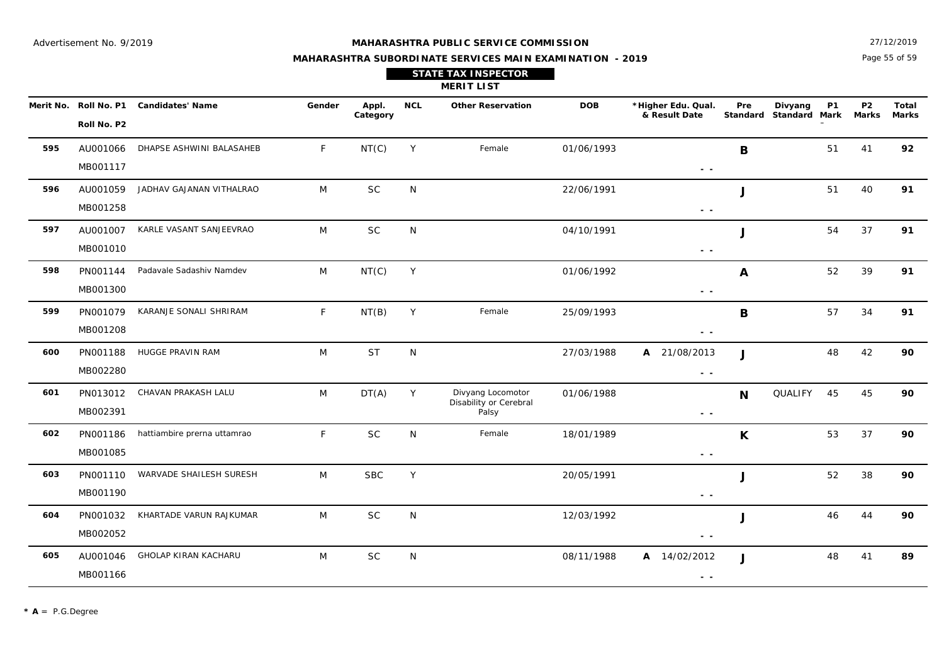27/12/2019

## **MAHARASHTRA SUBORDINATE SERVICES MAIN EXAMINATION - 2019 STATE TAX INSPECTOR**

Page 55 of 59

|     |                      |                                        |              |                   |              | <b>MERIT LIST</b>                                    |            |                                     |              |                                                     |                    |                              |
|-----|----------------------|----------------------------------------|--------------|-------------------|--------------|------------------------------------------------------|------------|-------------------------------------|--------------|-----------------------------------------------------|--------------------|------------------------------|
|     | Roll No. P2          | Merit No. Roll No. P1 Candidates' Name | Gender       | Appl.<br>Category | <b>NCL</b>   | <b>Other Reservation</b>                             | <b>DOB</b> | *Higher Edu. Qual.<br>& Result Date | Pre          | Divyang<br>P <sub>1</sub><br>Standard Standard Mark | <b>P2</b><br>Marks | <b>Total</b><br><b>Marks</b> |
| 595 | AU001066<br>MB001117 | DHAPSE ASHWINI BALASAHEB               | $\mathsf{F}$ | NT(C)             | Y            | Female                                               | 01/06/1993 | $\sim$ $-$                          | B            | 51                                                  | 41                 | 92                           |
| 596 | AU001059<br>MB001258 | JADHAV GAJANAN VITHALRAO               | M            | <b>SC</b>         | N            |                                                      | 22/06/1991 | $\sim$ $\sim$                       | J            | 51                                                  | 40                 | 91                           |
| 597 | AU001007<br>MB001010 | KARLE VASANT SANJEEVRAO                | M            | <b>SC</b>         | N            |                                                      | 04/10/1991 | $\sim$ $\sim$                       | J            | 54                                                  | 37                 | 91                           |
| 598 | PN001144<br>MB001300 | Padavale Sadashiv Namdev               | M            | NT(C)             | Y            |                                                      | 01/06/1992 | $ -$                                | $\mathbf{A}$ | 52                                                  | 39                 | 91                           |
| 599 | PN001079<br>MB001208 | KARANJE SONALI SHRIRAM                 | $\mathsf{F}$ | NT(B)             | Y            | Female                                               | 25/09/1993 | $ -$                                | $\mathbf B$  | 57                                                  | 34                 | 91                           |
| 600 | PN001188<br>MB002280 | HUGGE PRAVIN RAM                       | M            | <b>ST</b>         | N            |                                                      | 27/03/1988 | A 21/08/2013<br>$\sim$ $\sim$       | J            | 48                                                  | 42                 | 90                           |
| 601 | PN013012<br>MB002391 | CHAVAN PRAKASH LALU                    | M            | DT(A)             | Y            | Divyang Locomotor<br>Disability or Cerebral<br>Palsy | 01/06/1988 | $\sim$ $\sim$                       | N            | QUALIFY<br>45                                       | 45                 | 90                           |
| 602 | PN001186<br>MB001085 | hattiambire prerna uttamrao            | $\mathsf{F}$ | <b>SC</b>         | $\mathsf{N}$ | Female                                               | 18/01/1989 | $\sim$ $\sim$                       | K            | 53                                                  | 37                 | 90                           |
| 603 | PN001110<br>MB001190 | WARVADE SHAILESH SURESH                | M            | <b>SBC</b>        | Y            |                                                      | 20/05/1991 | $\sim$ $\sim$                       | J            | 52                                                  | 38                 | 90                           |
| 604 | PN001032<br>MB002052 | KHARTADE VARUN RAJKUMAR                | M            | <b>SC</b>         | ${\sf N}$    |                                                      | 12/03/1992 | $ -$                                | J            | 46                                                  | 44                 | 90                           |
| 605 | AU001046<br>MB001166 | GHOLAP KIRAN KACHARU                   | M            | <b>SC</b>         | N            |                                                      | 08/11/1988 | A 14/02/2012<br>$\sim$ $-$          | J            | 48                                                  | 41                 | 89                           |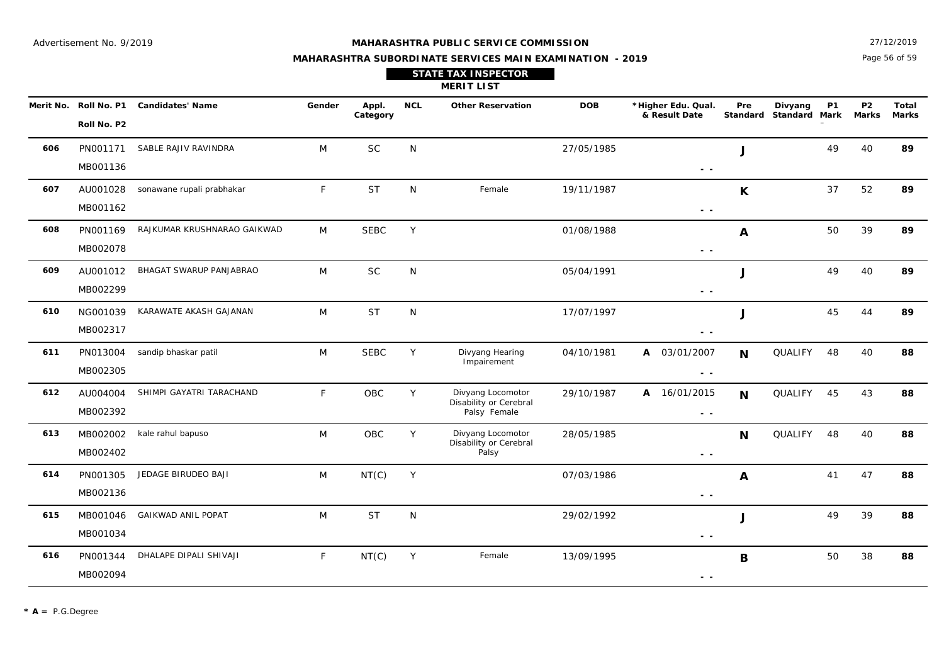Page 56 of 59 27/12/2019

| <b>STATE TAX INSPECTOR</b> |  |
|----------------------------|--|
| <b>MERIT LIST</b>          |  |
|                            |  |

|     | Merit No. Roll No. P1<br>Roll No. P2 | <b>Candidates' Name</b>     | Gender       | Appl.<br>Category | <b>NCL</b>   | <b>Other Reservation</b>                                    | <b>DOB</b> | *Higher Edu. Qual.<br>& Result Date                                               | Pre              | Divyang<br>Standard Standard Mark | <b>P1</b> | <b>P2</b><br>Marks | Total<br><b>Marks</b> |
|-----|--------------------------------------|-----------------------------|--------------|-------------------|--------------|-------------------------------------------------------------|------------|-----------------------------------------------------------------------------------|------------------|-----------------------------------|-----------|--------------------|-----------------------|
| 606 | PN001171<br>MB001136                 | SABLE RAJIV RAVINDRA        | M            | <b>SC</b>         | N            |                                                             | 27/05/1985 | $\sim$ $-$                                                                        | J                |                                   | 49        | 40                 | 89                    |
| 607 | AU001028<br>MB001162                 | sonawane rupali prabhakar   | $\mathsf{F}$ | <b>ST</b>         | N            | Female                                                      | 19/11/1987 | $\sim$ $-$                                                                        | $\mathsf{K}$     |                                   | 37        | 52                 | 89                    |
| 608 | PN001169<br>MB002078                 | RAJKUMAR KRUSHNARAO GAIKWAD | M            | <b>SEBC</b>       | Y            |                                                             | 01/08/1988 | $\sim$ $\sim$                                                                     | A                |                                   | 50        | 39                 | 89                    |
| 609 | AU001012<br>MB002299                 | BHAGAT SWARUP PANJABRAO     | M            | <b>SC</b>         | N            |                                                             | 05/04/1991 | $\sim$ $ \sim$                                                                    | J                |                                   | 49        | 40                 | 89                    |
| 610 | NG001039<br>MB002317                 | KARAWATE AKASH GAJANAN      | M            | <b>ST</b>         | N            |                                                             | 17/07/1997 | $\sim$ $\sim$                                                                     | $\mathbf{J}$     |                                   | 45        | 44                 | 89                    |
| 611 | PN013004<br>MB002305                 | sandip bhaskar patil        | M            | <b>SEBC</b>       | Υ            | Divyang Hearing<br>Impairement                              | 04/10/1981 | A 03/01/2007<br>$\sim$ $-$                                                        | $\mathbf N$      | QUALIFY                           | 48        | 40                 | 88                    |
| 612 | AU004004<br>MB002392                 | SHIMPI GAYATRI TARACHAND    | $\mathsf{F}$ | OBC               | Y            | Divyang Locomotor<br>Disability or Cerebral<br>Palsy Female | 29/10/1987 | A 16/01/2015<br>$ -$                                                              | $\mathbf N$      | QUALIFY                           | 45        | 43                 | 88                    |
| 613 | MB002002<br>MB002402                 | kale rahul bapuso           | M            | OBC               | Y            | Divyang Locomotor<br>Disability or Cerebral<br>Palsy        | 28/05/1985 | $ -$                                                                              | N                | QUALIFY                           | 48        | 40                 | 88                    |
| 614 | PN001305<br>MB002136                 | JEDAGE BIRUDEO BAJI         | M            | NT(C)             | Y            |                                                             | 07/03/1986 | $ -$                                                                              | $\boldsymbol{A}$ |                                   | 41        | 47                 | 88                    |
| 615 | MB001046<br>MB001034                 | <b>GAIKWAD ANIL POPAT</b>   | M            | <b>ST</b>         | $\mathsf{N}$ |                                                             | 29/02/1992 | $ -$                                                                              | J                |                                   | 49        | 39                 | 88                    |
| 616 | PN001344<br>MB002094                 | DHALAPE DIPALI SHIVAJI      | $\mathsf{F}$ | NT(C)             | Y            | Female                                                      | 13/09/1995 | $\frac{1}{2} \left( \frac{1}{2} \right) = \frac{1}{2} \left( \frac{1}{2} \right)$ | B                |                                   | 50        | 38                 | 88                    |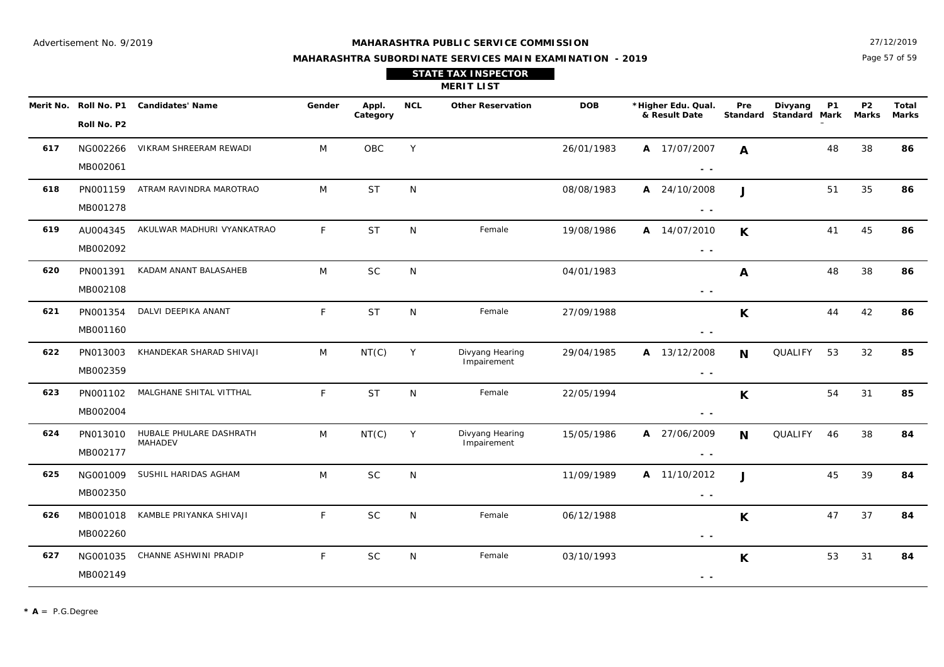Page 57 of 59 27/12/2019

| <b>STATE TAX INSPECTOR</b> |  |
|----------------------------|--|
| <b>MERIT LIST</b>          |  |

|     | Merit No. Roll No. P1 | <b>Candidates' Name</b>            | Gender       | Appl.     | <b>NCL</b> | <b>Other Reservation</b>       | <b>DOB</b> | *Higher Edu. Qual.<br>& Result Date | Pre<br>Standard | Divyang<br><b>Standard Mark</b> | <b>P1</b> | P <sub>2</sub><br><b>Marks</b> | Total<br><b>Marks</b> |
|-----|-----------------------|------------------------------------|--------------|-----------|------------|--------------------------------|------------|-------------------------------------|-----------------|---------------------------------|-----------|--------------------------------|-----------------------|
|     | Roll No. P2           |                                    |              | Category  |            |                                |            |                                     |                 |                                 |           |                                |                       |
| 617 | NG002266              | VIKRAM SHREERAM REWADI             | M            | OBC       | Y          |                                | 26/01/1983 | A 17/07/2007                        | $\mathbf{A}$    |                                 | 48        | 38                             | 86                    |
|     | MB002061              |                                    |              |           |            |                                |            | $\sim$ $\sim$                       |                 |                                 |           |                                |                       |
| 618 | PN001159              | ATRAM RAVINDRA MAROTRAO            | M            | <b>ST</b> | N          |                                | 08/08/1983 | A 24/10/2008                        | $\mathbf{J}$    |                                 | 51        | 35                             | 86                    |
|     | MB001278              |                                    |              |           |            |                                |            | $\sim$ $\sim$                       |                 |                                 |           |                                |                       |
| 619 | AU004345              | AKULWAR MADHURI VYANKATRAO         | $\mathsf{F}$ | <b>ST</b> | N          | Female                         | 19/08/1986 | A 14/07/2010                        | K               |                                 | 41        | 45                             | 86                    |
|     | MB002092              |                                    |              |           |            |                                |            | $\sim$ $\sim$                       |                 |                                 |           |                                |                       |
| 620 | PN001391              | KADAM ANANT BALASAHEB              | M            | <b>SC</b> | N          |                                | 04/01/1983 |                                     | A               |                                 | 48        | 38                             | 86                    |
|     | MB002108              |                                    |              |           |            |                                |            | $\sim$ $\sim$                       |                 |                                 |           |                                |                       |
| 621 | PN001354              | DALVI DEEPIKA ANANT                | F            | <b>ST</b> | N          | Female                         | 27/09/1988 |                                     | K               |                                 | 44        | 42                             | 86                    |
|     | MB001160              |                                    |              |           |            |                                |            | $ -$                                |                 |                                 |           |                                |                       |
| 622 | PN013003              | KHANDEKAR SHARAD SHIVAJI           | M            | NT(C)     | Y          | Divyang Hearing<br>Impairement | 29/04/1985 | A 13/12/2008                        | <b>N</b>        | QUALIFY                         | 53        | 32                             | 85                    |
|     | MB002359              |                                    |              |           |            |                                |            | $ -$                                |                 |                                 |           |                                |                       |
| 623 | PN001102              | MALGHANE SHITAL VITTHAL            | $\mathsf{F}$ | <b>ST</b> | N          | Female                         | 22/05/1994 |                                     | $\mathsf{K}$    |                                 | 54        | 31                             | 85                    |
|     | MB002004              |                                    |              |           |            |                                |            | $ -$                                |                 |                                 |           |                                |                       |
| 624 | PN013010              | HUBALE PHULARE DASHRATH<br>MAHADEV | M            | NT(C)     | Y          | Divyang Hearing<br>Impairement | 15/05/1986 | A 27/06/2009                        | <b>N</b>        | QUALIFY                         | 46        | 38                             | 84                    |
|     | MB002177              |                                    |              |           |            |                                |            | $\sim$ $\sim$                       |                 |                                 |           |                                |                       |
| 625 | NG001009              | SUSHIL HARIDAS AGHAM               | M            | <b>SC</b> | N          |                                | 11/09/1989 | A 11/10/2012                        | $\mathbf{J}$    |                                 | 45        | 39                             | 84                    |
|     | MB002350              |                                    |              |           |            |                                |            | $ -$                                |                 |                                 |           |                                |                       |
| 626 | MB001018              | KAMBLE PRIYANKA SHIVAJI            | $\mathsf{F}$ | <b>SC</b> | N          | Female                         | 06/12/1988 |                                     | K               |                                 | 47        | 37                             | 84                    |
|     | MB002260              |                                    |              |           |            |                                |            | $ -$                                |                 |                                 |           |                                |                       |
| 627 | NG001035              | CHANNE ASHWINI PRADIP              | F            | <b>SC</b> | N          | Female                         | 03/10/1993 |                                     | K               |                                 | 53        | 31                             | 84                    |
|     | MB002149              |                                    |              |           |            |                                |            | $ -$                                |                 |                                 |           |                                |                       |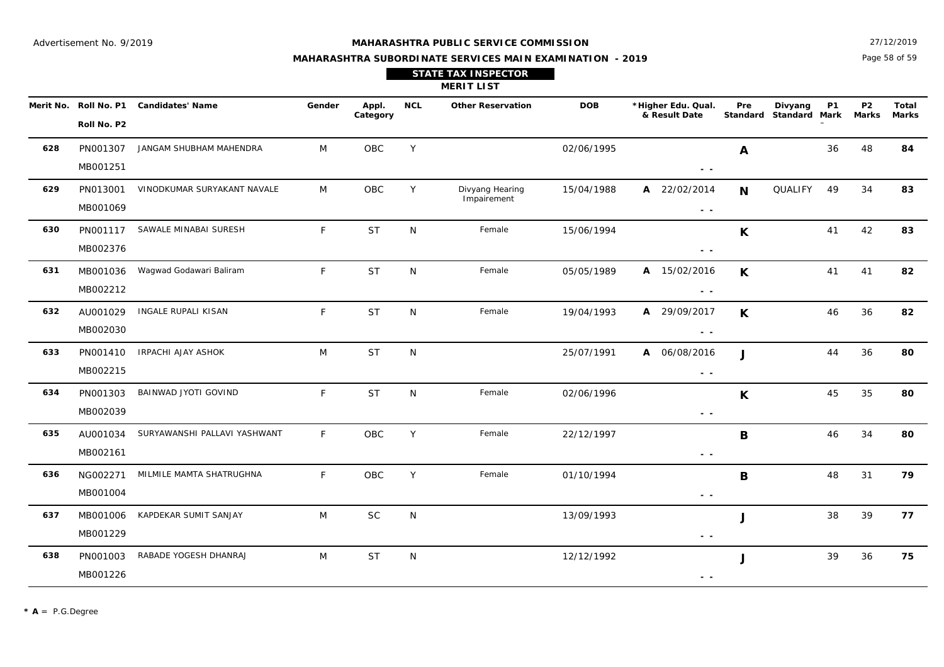Page 58 of 59 27/12/2019

#### **MAHARASHTRA SUBORDINATE SERVICES MAIN EXAMINATION - 2019**

|  | <b>STATE TAX INSPECTOR</b> |
|--|----------------------------|
|--|----------------------------|

**MERIT LIST**

|     | Roll No. P2          | Merit No. Roll No. P1 Candidates' Name | Gender       | Appl.<br>Category | <b>NCL</b>   | <b>Other Reservation</b>       | <b>DOB</b> | *Higher Edu. Qual.<br>& Result Date                                               | Pre          | Divyang<br>Standard Standard Mark | <b>P1</b> | <b>P2</b><br>Marks | Total<br><b>Marks</b> |
|-----|----------------------|----------------------------------------|--------------|-------------------|--------------|--------------------------------|------------|-----------------------------------------------------------------------------------|--------------|-----------------------------------|-----------|--------------------|-----------------------|
| 628 | PN001307<br>MB001251 | JANGAM SHUBHAM MAHENDRA                | M            | OBC               | Y            |                                | 02/06/1995 | $\sim$ $\sim$                                                                     | $\mathbf{A}$ |                                   | 36        | 48                 | 84                    |
| 629 | PN013001<br>MB001069 | VINODKUMAR SURYAKANT NAVALE            | M            | OBC               | Y            | Divyang Hearing<br>Impairement | 15/04/1988 | A 22/02/2014<br>$\sim$ $\sim$                                                     | <b>N</b>     | QUALIFY                           | 49        | 34                 | 83                    |
| 630 | PN001117<br>MB002376 | SAWALE MINABAI SURESH                  | F.           | <b>ST</b>         | N            | Female                         | 15/06/1994 | $\sim$ $\sim$                                                                     | $\mathsf{K}$ |                                   | 41        | 42                 | 83                    |
| 631 | MB001036<br>MB002212 | Wagwad Godawari Baliram                | F            | <b>ST</b>         | $\mathsf{N}$ | Female                         | 05/05/1989 | A 15/02/2016<br>$\sim$ $\sim$                                                     | $\mathsf{K}$ |                                   | 41        | 41                 | 82                    |
| 632 | AU001029<br>MB002030 | INGALE RUPALI KISAN                    | $\mathsf{F}$ | <b>ST</b>         | $\mathsf{N}$ | Female                         | 19/04/1993 | A 29/09/2017<br>$\sim$ $\sim$                                                     | K            |                                   | 46        | 36                 | 82                    |
| 633 | PN001410<br>MB002215 | IRPACHI AJAY ASHOK                     | M            | <b>ST</b>         | N            |                                | 25/07/1991 | A 06/08/2016<br>$\sim$ $\sim$                                                     | $\mathbf{I}$ |                                   | 44        | 36                 | 80                    |
| 634 | PN001303<br>MB002039 | BAINWAD JYOTI GOVIND                   | F.           | <b>ST</b>         | N            | Female                         | 02/06/1996 | $\sim$ $\sim$                                                                     | K.           |                                   | 45        | 35                 | 80                    |
| 635 | AU001034<br>MB002161 | SURYAWANSHI PALLAVI YASHWANT           | F.           | OBC               | Y            | Female                         | 22/12/1997 | $\frac{1}{2} \left( \frac{1}{2} \right) = \frac{1}{2} \left( \frac{1}{2} \right)$ | B            |                                   | 46        | 34                 | 80                    |
| 636 | NG002271<br>MB001004 | MILMILE MAMTA SHATRUGHNA               | F.           | OBC               | Y            | Female                         | 01/10/1994 | $\frac{1}{2} \left( \frac{1}{2} \right) = \frac{1}{2} \left( \frac{1}{2} \right)$ | $\mathbf B$  |                                   | 48        | 31                 | 79                    |
| 637 | MB001006<br>MB001229 | KAPDEKAR SUMIT SANJAY                  | M            | <b>SC</b>         | N            |                                | 13/09/1993 | $\sim$ $\sim$                                                                     | J            |                                   | 38        | 39                 | 77                    |
| 638 | PN001003<br>MB001226 | RABADE YOGESH DHANRAJ                  | M            | <b>ST</b>         | ${\sf N}$    |                                | 12/12/1992 | $ -$                                                                              | J            |                                   | 39        | 36                 | 75                    |